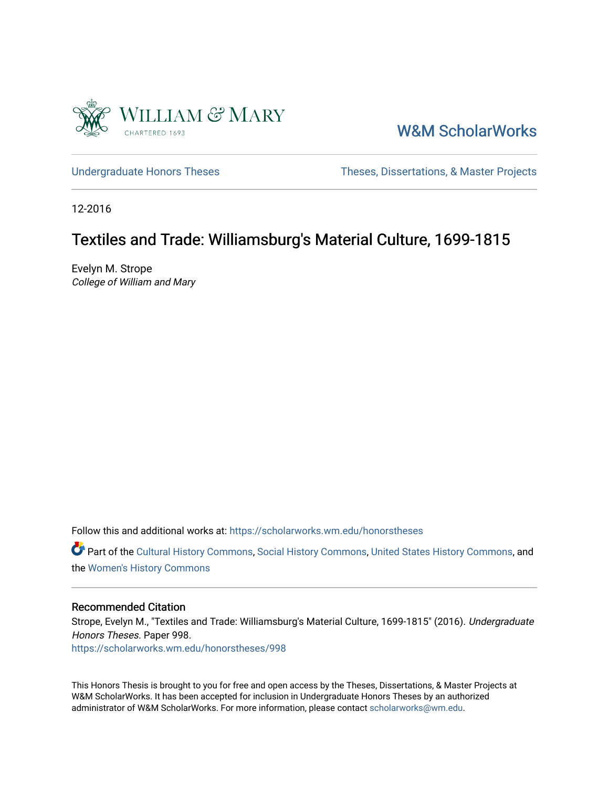

[W&M ScholarWorks](https://scholarworks.wm.edu/) 

[Undergraduate Honors Theses](https://scholarworks.wm.edu/honorstheses) Theses Theses, Dissertations, & Master Projects

12-2016

# Textiles and Trade: Williamsburg's Material Culture, 1699-1815

Evelyn M. Strope College of William and Mary

Follow this and additional works at: [https://scholarworks.wm.edu/honorstheses](https://scholarworks.wm.edu/honorstheses?utm_source=scholarworks.wm.edu%2Fhonorstheses%2F998&utm_medium=PDF&utm_campaign=PDFCoverPages) 

Part of the [Cultural History Commons](http://network.bepress.com/hgg/discipline/496?utm_source=scholarworks.wm.edu%2Fhonorstheses%2F998&utm_medium=PDF&utm_campaign=PDFCoverPages), [Social History Commons,](http://network.bepress.com/hgg/discipline/506?utm_source=scholarworks.wm.edu%2Fhonorstheses%2F998&utm_medium=PDF&utm_campaign=PDFCoverPages) [United States History Commons,](http://network.bepress.com/hgg/discipline/495?utm_source=scholarworks.wm.edu%2Fhonorstheses%2F998&utm_medium=PDF&utm_campaign=PDFCoverPages) and the [Women's History Commons](http://network.bepress.com/hgg/discipline/507?utm_source=scholarworks.wm.edu%2Fhonorstheses%2F998&utm_medium=PDF&utm_campaign=PDFCoverPages)

#### Recommended Citation

Strope, Evelyn M., "Textiles and Trade: Williamsburg's Material Culture, 1699-1815" (2016). Undergraduate Honors Theses. Paper 998.

[https://scholarworks.wm.edu/honorstheses/998](https://scholarworks.wm.edu/honorstheses/998?utm_source=scholarworks.wm.edu%2Fhonorstheses%2F998&utm_medium=PDF&utm_campaign=PDFCoverPages) 

This Honors Thesis is brought to you for free and open access by the Theses, Dissertations, & Master Projects at W&M ScholarWorks. It has been accepted for inclusion in Undergraduate Honors Theses by an authorized administrator of W&M ScholarWorks. For more information, please contact [scholarworks@wm.edu.](mailto:scholarworks@wm.edu)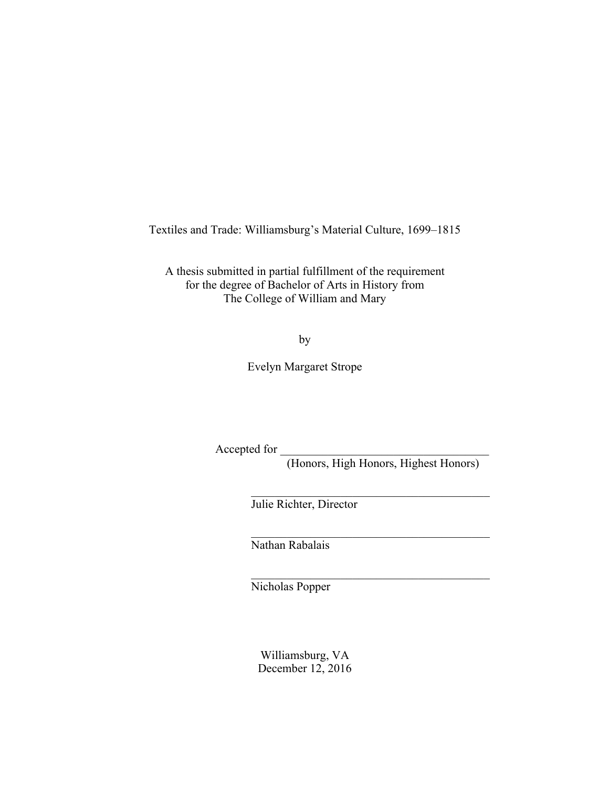Textiles and Trade: Williamsburg's Material Culture, 1699–1815

A thesis submitted in partial fulfillment of the requirement for the degree of Bachelor of Arts in History from The College of William and Mary

by

Evelyn Margaret Strope

Accepted for

(Honors, High Honors, Highest Honors)

 $\mathcal{L}_\text{max}$  , and the set of the set of the set of the set of the set of the set of the set of the set of the set of the set of the set of the set of the set of the set of the set of the set of the set of the set of the

 $\mathcal{L}_\text{max}$  , and the set of the set of the set of the set of the set of the set of the set of the set of the set of the set of the set of the set of the set of the set of the set of the set of the set of the set of the

 $\mathcal{L}_\text{max}$  , and the set of the set of the set of the set of the set of the set of the set of the set of the set of the set of the set of the set of the set of the set of the set of the set of the set of the set of the

Julie Richter, Director

Nathan Rabalais

Nicholas Popper

Williamsburg, VA December 12, 2016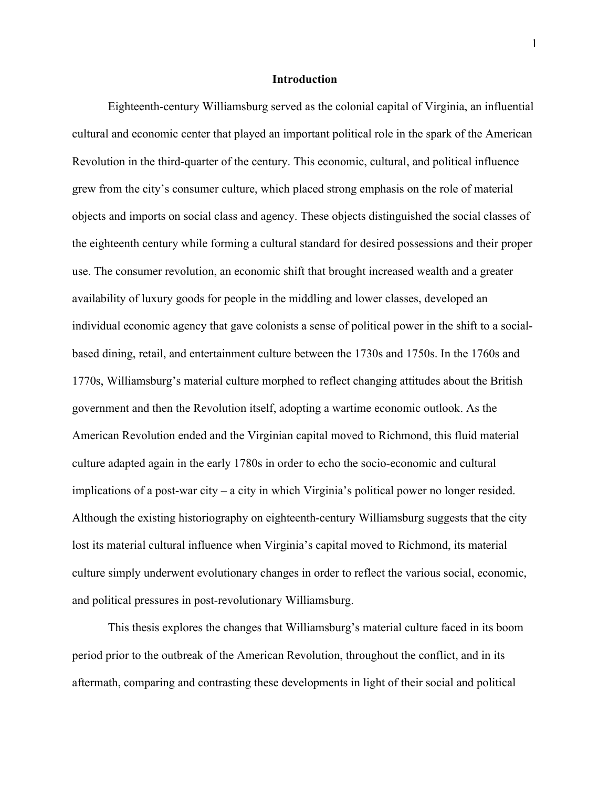## **Introduction**

Eighteenth-century Williamsburg served as the colonial capital of Virginia, an influential cultural and economic center that played an important political role in the spark of the American Revolution in the third-quarter of the century. This economic, cultural, and political influence grew from the city's consumer culture, which placed strong emphasis on the role of material objects and imports on social class and agency. These objects distinguished the social classes of the eighteenth century while forming a cultural standard for desired possessions and their proper use. The consumer revolution, an economic shift that brought increased wealth and a greater availability of luxury goods for people in the middling and lower classes, developed an individual economic agency that gave colonists a sense of political power in the shift to a socialbased dining, retail, and entertainment culture between the 1730s and 1750s. In the 1760s and 1770s, Williamsburg's material culture morphed to reflect changing attitudes about the British government and then the Revolution itself, adopting a wartime economic outlook. As the American Revolution ended and the Virginian capital moved to Richmond, this fluid material culture adapted again in the early 1780s in order to echo the socio-economic and cultural implications of a post-war city – a city in which Virginia's political power no longer resided. Although the existing historiography on eighteenth-century Williamsburg suggests that the city lost its material cultural influence when Virginia's capital moved to Richmond, its material culture simply underwent evolutionary changes in order to reflect the various social, economic, and political pressures in post-revolutionary Williamsburg.

This thesis explores the changes that Williamsburg's material culture faced in its boom period prior to the outbreak of the American Revolution, throughout the conflict, and in its aftermath, comparing and contrasting these developments in light of their social and political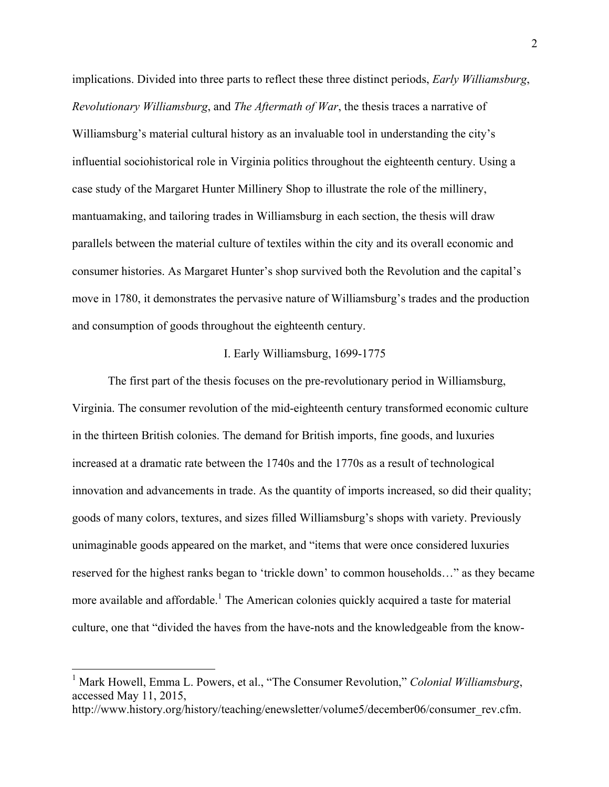implications. Divided into three parts to reflect these three distinct periods, *Early Williamsburg*, *Revolutionary Williamsburg*, and *The Aftermath of War*, the thesis traces a narrative of Williamsburg's material cultural history as an invaluable tool in understanding the city's influential sociohistorical role in Virginia politics throughout the eighteenth century. Using a case study of the Margaret Hunter Millinery Shop to illustrate the role of the millinery, mantuamaking, and tailoring trades in Williamsburg in each section, the thesis will draw parallels between the material culture of textiles within the city and its overall economic and consumer histories. As Margaret Hunter's shop survived both the Revolution and the capital's move in 1780, it demonstrates the pervasive nature of Williamsburg's trades and the production and consumption of goods throughout the eighteenth century.

## I. Early Williamsburg, 1699-1775

The first part of the thesis focuses on the pre-revolutionary period in Williamsburg, Virginia. The consumer revolution of the mid-eighteenth century transformed economic culture in the thirteen British colonies. The demand for British imports, fine goods, and luxuries increased at a dramatic rate between the 1740s and the 1770s as a result of technological innovation and advancements in trade. As the quantity of imports increased, so did their quality; goods of many colors, textures, and sizes filled Williamsburg's shops with variety. Previously unimaginable goods appeared on the market, and "items that were once considered luxuries reserved for the highest ranks began to 'trickle down' to common households…" as they became more available and affordable.<sup>1</sup> The American colonies quickly acquired a taste for material culture, one that "divided the haves from the have-nots and the knowledgeable from the know-

 <sup>1</sup> Mark Howell, Emma L. Powers, et al., "The Consumer Revolution," *Colonial Williamsburg*, accessed May 11, 2015,

http://www.history.org/history/teaching/enewsletter/volume5/december06/consumer\_rev.cfm.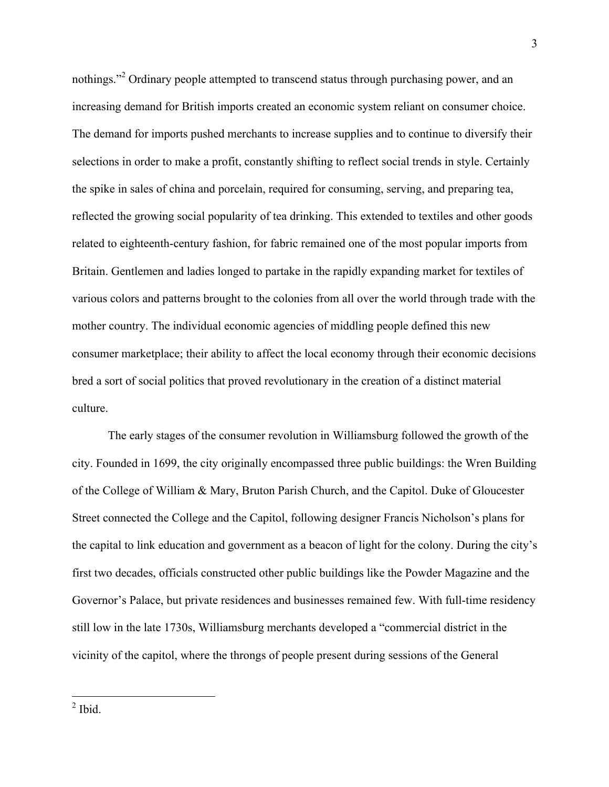nothings."<sup>2</sup> Ordinary people attempted to transcend status through purchasing power, and an increasing demand for British imports created an economic system reliant on consumer choice. The demand for imports pushed merchants to increase supplies and to continue to diversify their selections in order to make a profit, constantly shifting to reflect social trends in style. Certainly the spike in sales of china and porcelain, required for consuming, serving, and preparing tea, reflected the growing social popularity of tea drinking. This extended to textiles and other goods related to eighteenth-century fashion, for fabric remained one of the most popular imports from Britain. Gentlemen and ladies longed to partake in the rapidly expanding market for textiles of various colors and patterns brought to the colonies from all over the world through trade with the mother country. The individual economic agencies of middling people defined this new consumer marketplace; their ability to affect the local economy through their economic decisions bred a sort of social politics that proved revolutionary in the creation of a distinct material culture.

The early stages of the consumer revolution in Williamsburg followed the growth of the city. Founded in 1699, the city originally encompassed three public buildings: the Wren Building of the College of William & Mary, Bruton Parish Church, and the Capitol. Duke of Gloucester Street connected the College and the Capitol, following designer Francis Nicholson's plans for the capital to link education and government as a beacon of light for the colony. During the city's first two decades, officials constructed other public buildings like the Powder Magazine and the Governor's Palace, but private residences and businesses remained few. With full-time residency still low in the late 1730s, Williamsburg merchants developed a "commercial district in the vicinity of the capitol, where the throngs of people present during sessions of the General

<sup>3</sup>

 <sup>2</sup> Ibid.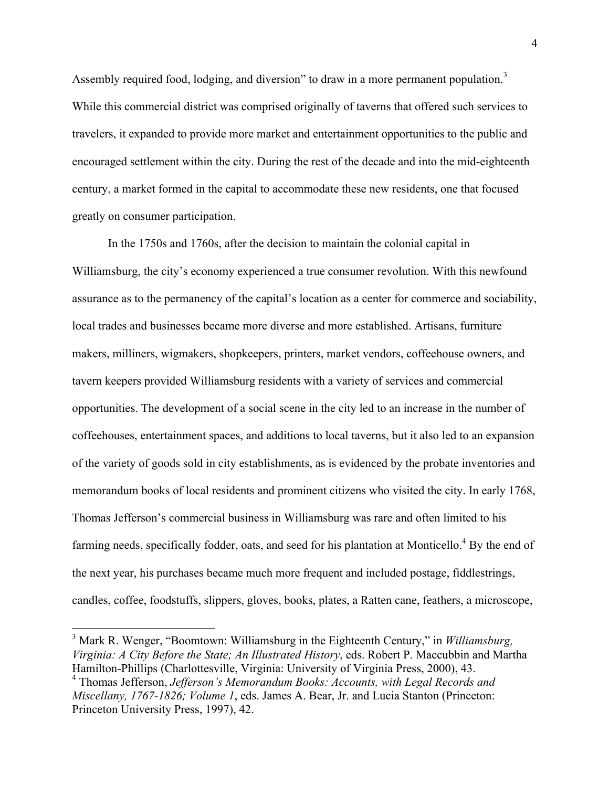Assembly required food, lodging, and diversion" to draw in a more permanent population.<sup>3</sup> While this commercial district was comprised originally of taverns that offered such services to travelers, it expanded to provide more market and entertainment opportunities to the public and encouraged settlement within the city. During the rest of the decade and into the mid-eighteenth century, a market formed in the capital to accommodate these new residents, one that focused greatly on consumer participation.

In the 1750s and 1760s, after the decision to maintain the colonial capital in Williamsburg, the city's economy experienced a true consumer revolution. With this newfound assurance as to the permanency of the capital's location as a center for commerce and sociability, local trades and businesses became more diverse and more established. Artisans, furniture makers, milliners, wigmakers, shopkeepers, printers, market vendors, coffeehouse owners, and tavern keepers provided Williamsburg residents with a variety of services and commercial opportunities. The development of a social scene in the city led to an increase in the number of coffeehouses, entertainment spaces, and additions to local taverns, but it also led to an expansion of the variety of goods sold in city establishments, as is evidenced by the probate inventories and memorandum books of local residents and prominent citizens who visited the city. In early 1768, Thomas Jefferson's commercial business in Williamsburg was rare and often limited to his farming needs, specifically fodder, oats, and seed for his plantation at Monticello.<sup>4</sup> By the end of the next year, his purchases became much more frequent and included postage, fiddlestrings, candles, coffee, foodstuffs, slippers, gloves, books, plates, a Ratten cane, feathers, a microscope,

 <sup>3</sup> Mark R. Wenger, "Boomtown: Williamsburg in the Eighteenth Century," in *Williamsburg, Virginia: A City Before the State; An Illustrated History*, eds. Robert P. Maccubbin and Martha Hamilton-Phillips (Charlottesville, Virginia: University of Virginia Press, 2000), 43.

<sup>4</sup> Thomas Jefferson, *Jefferson's Memorandum Books: Accounts, with Legal Records and Miscellany, 1767-1826; Volume 1*, eds. James A. Bear, Jr. and Lucia Stanton (Princeton: Princeton University Press, 1997), 42.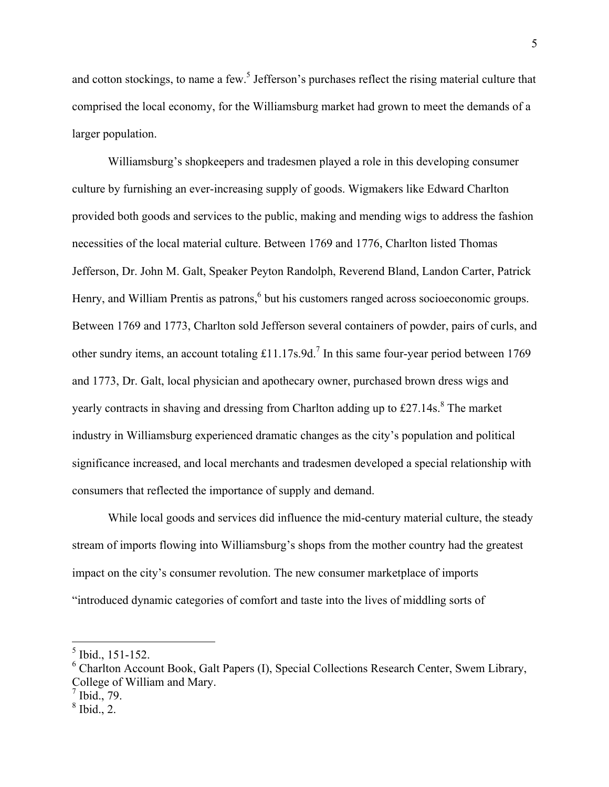and cotton stockings, to name a few.<sup>5</sup> Jefferson's purchases reflect the rising material culture that comprised the local economy, for the Williamsburg market had grown to meet the demands of a larger population.

Williamsburg's shopkeepers and tradesmen played a role in this developing consumer culture by furnishing an ever-increasing supply of goods. Wigmakers like Edward Charlton provided both goods and services to the public, making and mending wigs to address the fashion necessities of the local material culture. Between 1769 and 1776, Charlton listed Thomas Jefferson, Dr. John M. Galt, Speaker Peyton Randolph, Reverend Bland, Landon Carter, Patrick Henry, and William Prentis as patrons,<sup>6</sup> but his customers ranged across socioeconomic groups. Between 1769 and 1773, Charlton sold Jefferson several containers of powder, pairs of curls, and other sundry items, an account totaling  $£11.17s.9d<sup>7</sup>$  In this same four-year period between 1769 and 1773, Dr. Galt, local physician and apothecary owner, purchased brown dress wigs and yearly contracts in shaving and dressing from Charlton adding up to  $\text{\pounds}27.14\text{s}$ .<sup>8</sup> The market industry in Williamsburg experienced dramatic changes as the city's population and political significance increased, and local merchants and tradesmen developed a special relationship with consumers that reflected the importance of supply and demand.

While local goods and services did influence the mid-century material culture, the steady stream of imports flowing into Williamsburg's shops from the mother country had the greatest impact on the city's consumer revolution. The new consumer marketplace of imports "introduced dynamic categories of comfort and taste into the lives of middling sorts of

 <sup>5</sup> Ibid., 151-152.

<sup>6</sup> Charlton Account Book, Galt Papers (I), Special Collections Research Center, Swem Library, College of William and Mary.

 $^7$  Ibid., 79.

 $8$  Ibid., 2.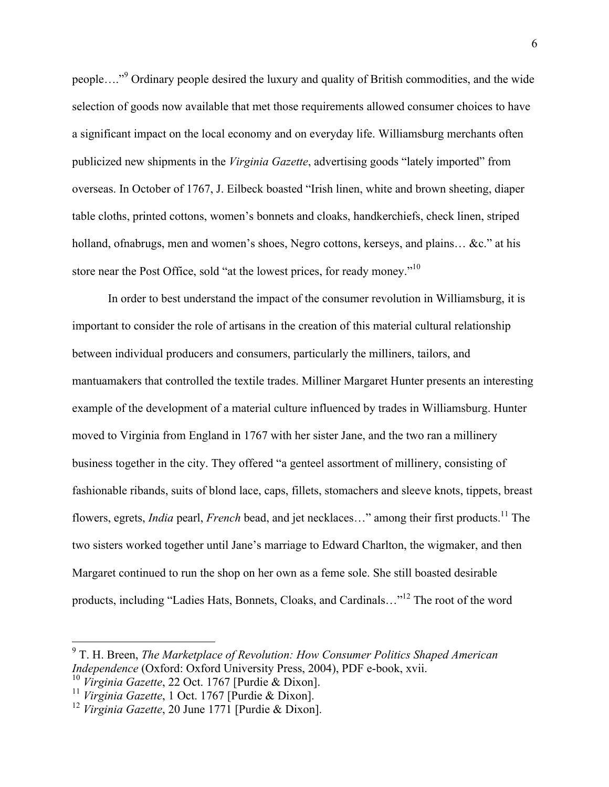people…."<sup>9</sup> Ordinary people desired the luxury and quality of British commodities, and the wide selection of goods now available that met those requirements allowed consumer choices to have a significant impact on the local economy and on everyday life. Williamsburg merchants often publicized new shipments in the *Virginia Gazette*, advertising goods "lately imported" from overseas. In October of 1767, J. Eilbeck boasted "Irish linen, white and brown sheeting, diaper table cloths, printed cottons, women's bonnets and cloaks, handkerchiefs, check linen, striped holland, of nabrugs, men and women's shoes, Negro cottons, kerseys, and plains... &c." at his store near the Post Office, sold "at the lowest prices, for ready money."<sup>10</sup>

In order to best understand the impact of the consumer revolution in Williamsburg, it is important to consider the role of artisans in the creation of this material cultural relationship between individual producers and consumers, particularly the milliners, tailors, and mantuamakers that controlled the textile trades. Milliner Margaret Hunter presents an interesting example of the development of a material culture influenced by trades in Williamsburg. Hunter moved to Virginia from England in 1767 with her sister Jane, and the two ran a millinery business together in the city. They offered "a genteel assortment of millinery, consisting of fashionable ribands, suits of blond lace, caps, fillets, stomachers and sleeve knots, tippets, breast flowers, egrets, *India* pearl, *French* bead, and jet necklaces…" among their first products.11 The two sisters worked together until Jane's marriage to Edward Charlton, the wigmaker, and then Margaret continued to run the shop on her own as a feme sole. She still boasted desirable products, including "Ladies Hats, Bonnets, Cloaks, and Cardinals…"12 The root of the word

 <sup>9</sup> T. H. Breen, *The Marketplace of Revolution: How Consumer Politics Shaped American Independence* (Oxford: Oxford University Press, 2004), PDF e-book, xvii.

<sup>10</sup> *Virginia Gazette*, 22 Oct. 1767 [Purdie & Dixon].

<sup>11</sup> *Virginia Gazette*, 1 Oct. 1767 [Purdie & Dixon].

<sup>12</sup> *Virginia Gazette*, 20 June 1771 [Purdie & Dixon].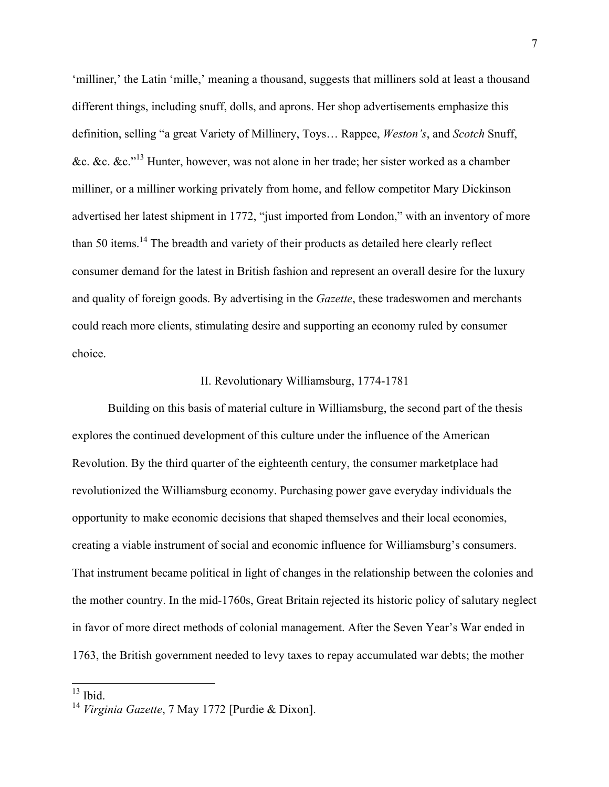'milliner,' the Latin 'mille,' meaning a thousand, suggests that milliners sold at least a thousand different things, including snuff, dolls, and aprons. Her shop advertisements emphasize this definition, selling "a great Variety of Millinery, Toys… Rappee, *Weston's*, and *Scotch* Snuff, &c. &c.  $\&c. \&c. \n\frac{13}{13}$  Hunter, however, was not alone in her trade; her sister worked as a chamber milliner, or a milliner working privately from home, and fellow competitor Mary Dickinson advertised her latest shipment in 1772, "just imported from London," with an inventory of more than 50 items.<sup>14</sup> The breadth and variety of their products as detailed here clearly reflect consumer demand for the latest in British fashion and represent an overall desire for the luxury and quality of foreign goods. By advertising in the *Gazette*, these tradeswomen and merchants could reach more clients, stimulating desire and supporting an economy ruled by consumer choice.

## II. Revolutionary Williamsburg, 1774-1781

Building on this basis of material culture in Williamsburg, the second part of the thesis explores the continued development of this culture under the influence of the American Revolution. By the third quarter of the eighteenth century, the consumer marketplace had revolutionized the Williamsburg economy. Purchasing power gave everyday individuals the opportunity to make economic decisions that shaped themselves and their local economies, creating a viable instrument of social and economic influence for Williamsburg's consumers. That instrument became political in light of changes in the relationship between the colonies and the mother country. In the mid-1760s, Great Britain rejected its historic policy of salutary neglect in favor of more direct methods of colonial management. After the Seven Year's War ended in 1763, the British government needed to levy taxes to repay accumulated war debts; the mother

 $13$  Ibid.

<sup>14</sup> *Virginia Gazette*, 7 May 1772 [Purdie & Dixon].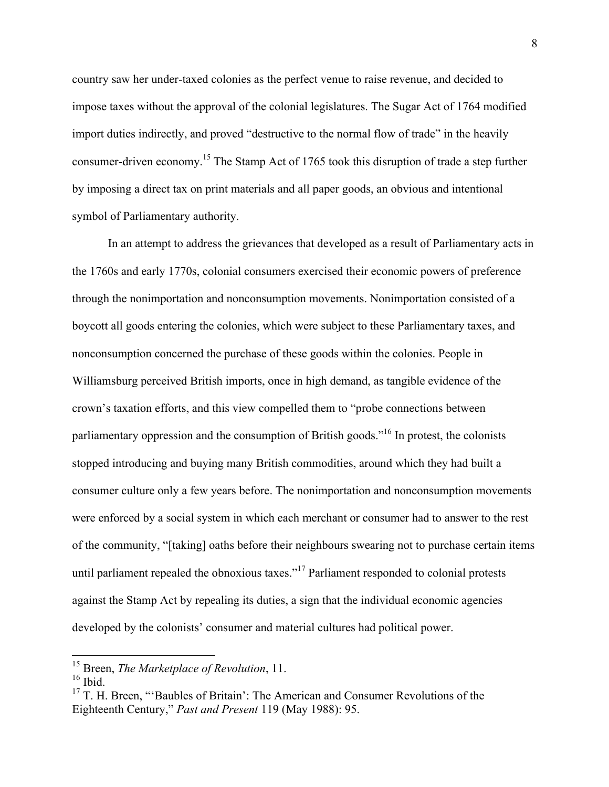country saw her under-taxed colonies as the perfect venue to raise revenue, and decided to impose taxes without the approval of the colonial legislatures. The Sugar Act of 1764 modified import duties indirectly, and proved "destructive to the normal flow of trade" in the heavily consumer-driven economy.15 The Stamp Act of 1765 took this disruption of trade a step further by imposing a direct tax on print materials and all paper goods, an obvious and intentional symbol of Parliamentary authority.

In an attempt to address the grievances that developed as a result of Parliamentary acts in the 1760s and early 1770s, colonial consumers exercised their economic powers of preference through the nonimportation and nonconsumption movements. Nonimportation consisted of a boycott all goods entering the colonies, which were subject to these Parliamentary taxes, and nonconsumption concerned the purchase of these goods within the colonies. People in Williamsburg perceived British imports, once in high demand, as tangible evidence of the crown's taxation efforts, and this view compelled them to "probe connections between parliamentary oppression and the consumption of British goods.<sup> $16$ </sup> In protest, the colonists stopped introducing and buying many British commodities, around which they had built a consumer culture only a few years before. The nonimportation and nonconsumption movements were enforced by a social system in which each merchant or consumer had to answer to the rest of the community, "[taking] oaths before their neighbours swearing not to purchase certain items until parliament repealed the obnoxious taxes."<sup>17</sup> Parliament responded to colonial protests against the Stamp Act by repealing its duties, a sign that the individual economic agencies developed by the colonists' consumer and material cultures had political power.

 <sup>15</sup> Breen, *The Marketplace of Revolution*, 11.

 $16$  Ibid.

<sup>&</sup>lt;sup>17</sup> T. H. Breen, "'Baubles of Britain': The American and Consumer Revolutions of the Eighteenth Century," *Past and Present* 119 (May 1988): 95.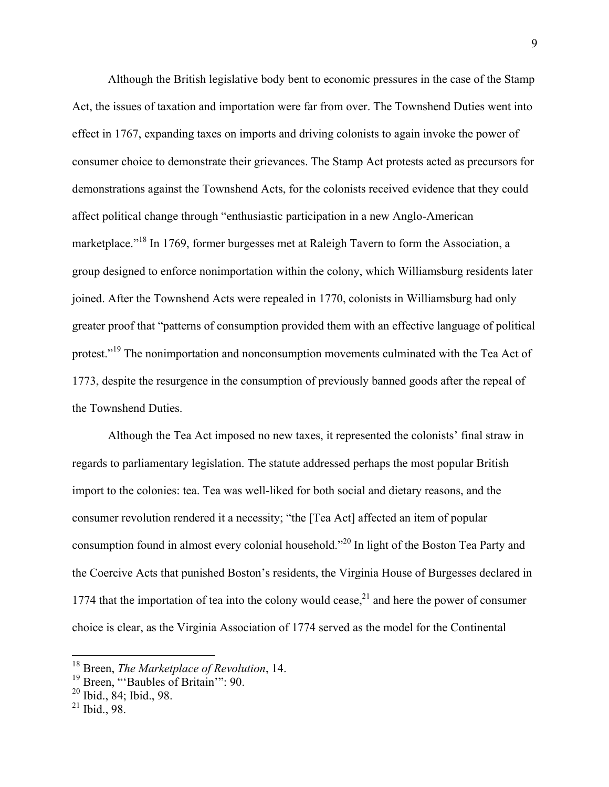Although the British legislative body bent to economic pressures in the case of the Stamp Act, the issues of taxation and importation were far from over. The Townshend Duties went into effect in 1767, expanding taxes on imports and driving colonists to again invoke the power of consumer choice to demonstrate their grievances. The Stamp Act protests acted as precursors for demonstrations against the Townshend Acts, for the colonists received evidence that they could affect political change through "enthusiastic participation in a new Anglo-American marketplace."<sup>18</sup> In 1769, former burgesses met at Raleigh Tavern to form the Association, a group designed to enforce nonimportation within the colony, which Williamsburg residents later joined. After the Townshend Acts were repealed in 1770, colonists in Williamsburg had only greater proof that "patterns of consumption provided them with an effective language of political protest."<sup>19</sup> The nonimportation and nonconsumption movements culminated with the Tea Act of 1773, despite the resurgence in the consumption of previously banned goods after the repeal of the Townshend Duties.

Although the Tea Act imposed no new taxes, it represented the colonists' final straw in regards to parliamentary legislation. The statute addressed perhaps the most popular British import to the colonies: tea. Tea was well-liked for both social and dietary reasons, and the consumer revolution rendered it a necessity; "the [Tea Act] affected an item of popular consumption found in almost every colonial household."<sup>20</sup> In light of the Boston Tea Party and the Coercive Acts that punished Boston's residents, the Virginia House of Burgesses declared in 1774 that the importation of tea into the colony would cease, $^{21}$  and here the power of consumer choice is clear, as the Virginia Association of 1774 served as the model for the Continental

 <sup>18</sup> Breen, *The Marketplace of Revolution*, 14.

<sup>&</sup>lt;sup>19</sup> Breen, "Baubles of Britain": 90.

<sup>20</sup> Ibid., 84; Ibid., 98.

 $21$  Ibid., 98.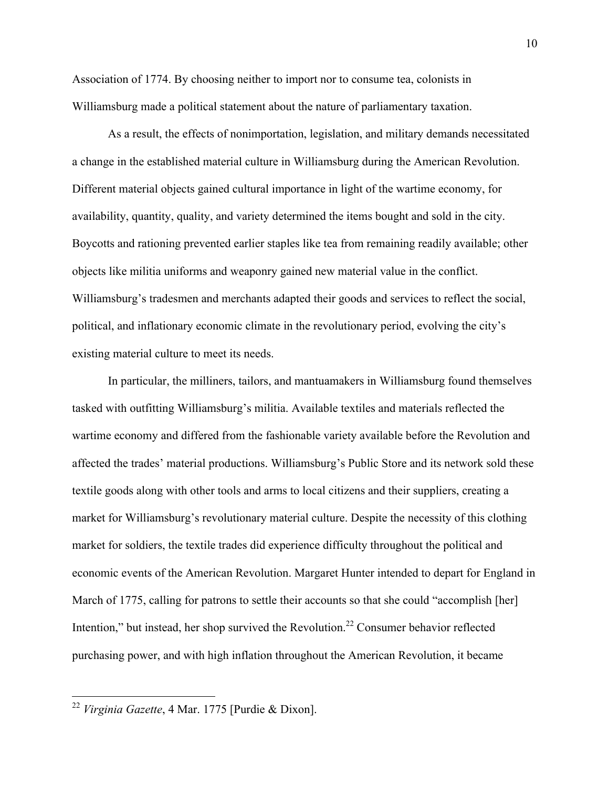Association of 1774. By choosing neither to import nor to consume tea, colonists in Williamsburg made a political statement about the nature of parliamentary taxation.

As a result, the effects of nonimportation, legislation, and military demands necessitated a change in the established material culture in Williamsburg during the American Revolution. Different material objects gained cultural importance in light of the wartime economy, for availability, quantity, quality, and variety determined the items bought and sold in the city. Boycotts and rationing prevented earlier staples like tea from remaining readily available; other objects like militia uniforms and weaponry gained new material value in the conflict. Williamsburg's tradesmen and merchants adapted their goods and services to reflect the social, political, and inflationary economic climate in the revolutionary period, evolving the city's existing material culture to meet its needs.

In particular, the milliners, tailors, and mantuamakers in Williamsburg found themselves tasked with outfitting Williamsburg's militia. Available textiles and materials reflected the wartime economy and differed from the fashionable variety available before the Revolution and affected the trades' material productions. Williamsburg's Public Store and its network sold these textile goods along with other tools and arms to local citizens and their suppliers, creating a market for Williamsburg's revolutionary material culture. Despite the necessity of this clothing market for soldiers, the textile trades did experience difficulty throughout the political and economic events of the American Revolution. Margaret Hunter intended to depart for England in March of 1775, calling for patrons to settle their accounts so that she could "accomplish [her] Intention," but instead, her shop survived the Revolution.<sup>22</sup> Consumer behavior reflected purchasing power, and with high inflation throughout the American Revolution, it became

 <sup>22</sup> *Virginia Gazette*, 4 Mar. 1775 [Purdie & Dixon].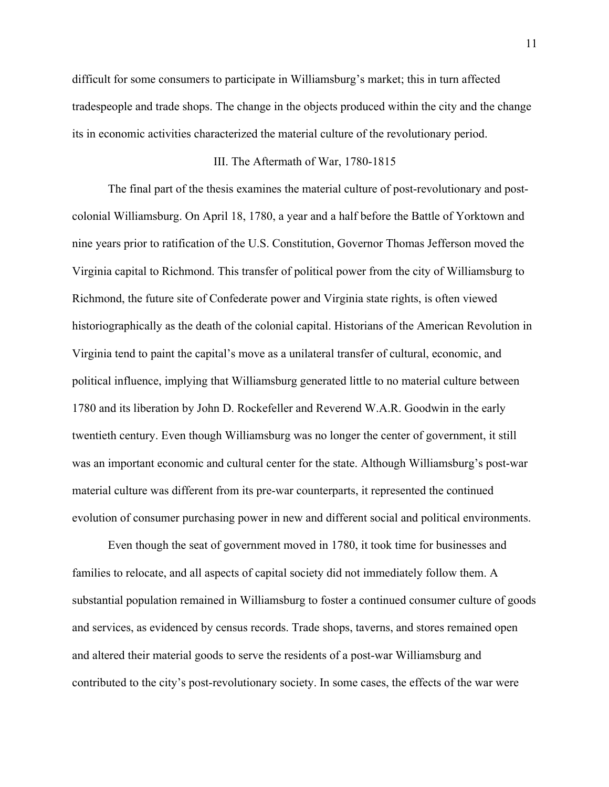difficult for some consumers to participate in Williamsburg's market; this in turn affected tradespeople and trade shops. The change in the objects produced within the city and the change its in economic activities characterized the material culture of the revolutionary period.

#### III. The Aftermath of War, 1780-1815

The final part of the thesis examines the material culture of post-revolutionary and postcolonial Williamsburg. On April 18, 1780, a year and a half before the Battle of Yorktown and nine years prior to ratification of the U.S. Constitution, Governor Thomas Jefferson moved the Virginia capital to Richmond. This transfer of political power from the city of Williamsburg to Richmond, the future site of Confederate power and Virginia state rights, is often viewed historiographically as the death of the colonial capital. Historians of the American Revolution in Virginia tend to paint the capital's move as a unilateral transfer of cultural, economic, and political influence, implying that Williamsburg generated little to no material culture between 1780 and its liberation by John D. Rockefeller and Reverend W.A.R. Goodwin in the early twentieth century. Even though Williamsburg was no longer the center of government, it still was an important economic and cultural center for the state. Although Williamsburg's post-war material culture was different from its pre-war counterparts, it represented the continued evolution of consumer purchasing power in new and different social and political environments.

Even though the seat of government moved in 1780, it took time for businesses and families to relocate, and all aspects of capital society did not immediately follow them. A substantial population remained in Williamsburg to foster a continued consumer culture of goods and services, as evidenced by census records. Trade shops, taverns, and stores remained open and altered their material goods to serve the residents of a post-war Williamsburg and contributed to the city's post-revolutionary society. In some cases, the effects of the war were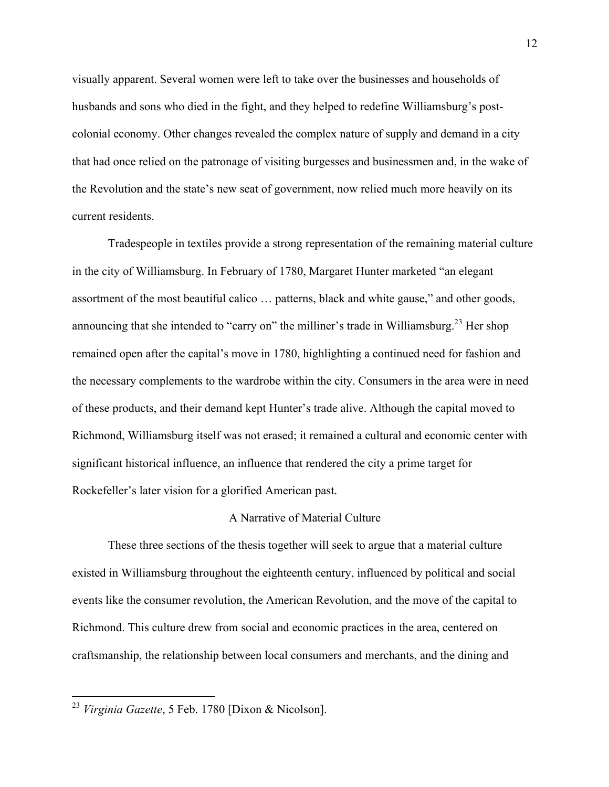visually apparent. Several women were left to take over the businesses and households of husbands and sons who died in the fight, and they helped to redefine Williamsburg's postcolonial economy. Other changes revealed the complex nature of supply and demand in a city that had once relied on the patronage of visiting burgesses and businessmen and, in the wake of the Revolution and the state's new seat of government, now relied much more heavily on its current residents.

Tradespeople in textiles provide a strong representation of the remaining material culture in the city of Williamsburg. In February of 1780, Margaret Hunter marketed "an elegant assortment of the most beautiful calico … patterns, black and white gause," and other goods, announcing that she intended to "carry on" the milliner's trade in Williamsburg.<sup>23</sup> Her shop remained open after the capital's move in 1780, highlighting a continued need for fashion and the necessary complements to the wardrobe within the city. Consumers in the area were in need of these products, and their demand kept Hunter's trade alive. Although the capital moved to Richmond, Williamsburg itself was not erased; it remained a cultural and economic center with significant historical influence, an influence that rendered the city a prime target for Rockefeller's later vision for a glorified American past.

# A Narrative of Material Culture

These three sections of the thesis together will seek to argue that a material culture existed in Williamsburg throughout the eighteenth century, influenced by political and social events like the consumer revolution, the American Revolution, and the move of the capital to Richmond. This culture drew from social and economic practices in the area, centered on craftsmanship, the relationship between local consumers and merchants, and the dining and

 <sup>23</sup> *Virginia Gazette*, 5 Feb. 1780 [Dixon & Nicolson].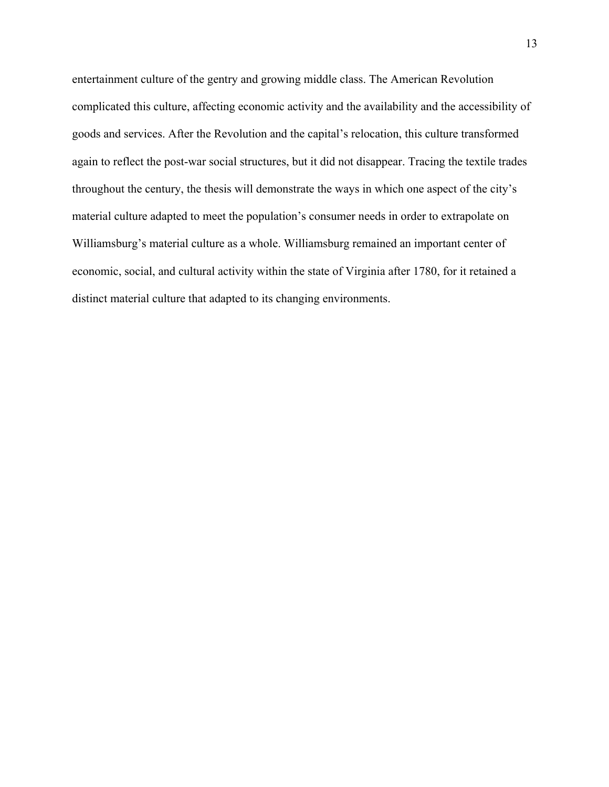entertainment culture of the gentry and growing middle class. The American Revolution complicated this culture, affecting economic activity and the availability and the accessibility of goods and services. After the Revolution and the capital's relocation, this culture transformed again to reflect the post-war social structures, but it did not disappear. Tracing the textile trades throughout the century, the thesis will demonstrate the ways in which one aspect of the city's material culture adapted to meet the population's consumer needs in order to extrapolate on Williamsburg's material culture as a whole. Williamsburg remained an important center of economic, social, and cultural activity within the state of Virginia after 1780, for it retained a distinct material culture that adapted to its changing environments.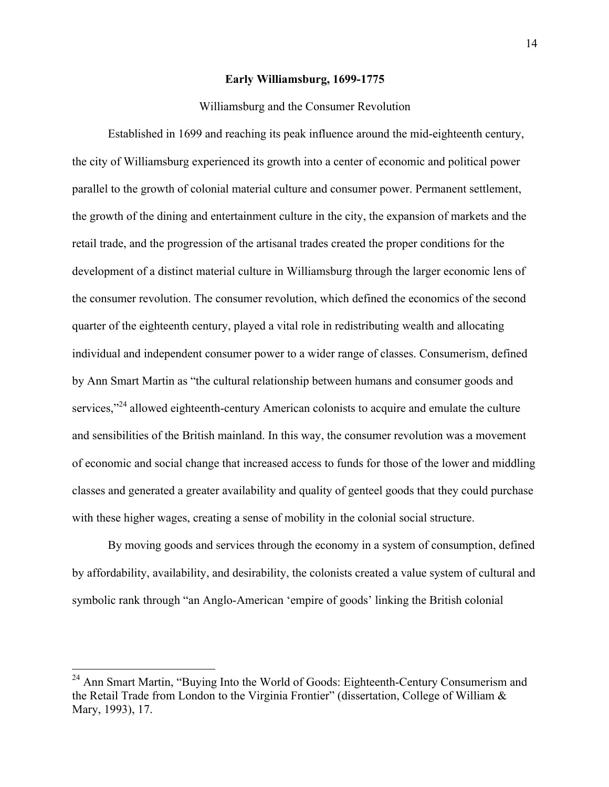## **Early Williamsburg, 1699-1775**

## Williamsburg and the Consumer Revolution

Established in 1699 and reaching its peak influence around the mid-eighteenth century, the city of Williamsburg experienced its growth into a center of economic and political power parallel to the growth of colonial material culture and consumer power. Permanent settlement, the growth of the dining and entertainment culture in the city, the expansion of markets and the retail trade, and the progression of the artisanal trades created the proper conditions for the development of a distinct material culture in Williamsburg through the larger economic lens of the consumer revolution. The consumer revolution, which defined the economics of the second quarter of the eighteenth century, played a vital role in redistributing wealth and allocating individual and independent consumer power to a wider range of classes. Consumerism, defined by Ann Smart Martin as "the cultural relationship between humans and consumer goods and services,"<sup>24</sup> allowed eighteenth-century American colonists to acquire and emulate the culture and sensibilities of the British mainland. In this way, the consumer revolution was a movement of economic and social change that increased access to funds for those of the lower and middling classes and generated a greater availability and quality of genteel goods that they could purchase with these higher wages, creating a sense of mobility in the colonial social structure.

By moving goods and services through the economy in a system of consumption, defined by affordability, availability, and desirability, the colonists created a value system of cultural and symbolic rank through "an Anglo-American 'empire of goods' linking the British colonial

 $24$  Ann Smart Martin, "Buying Into the World of Goods: Eighteenth-Century Consumerism and the Retail Trade from London to the Virginia Frontier" (dissertation, College of William & Mary, 1993), 17.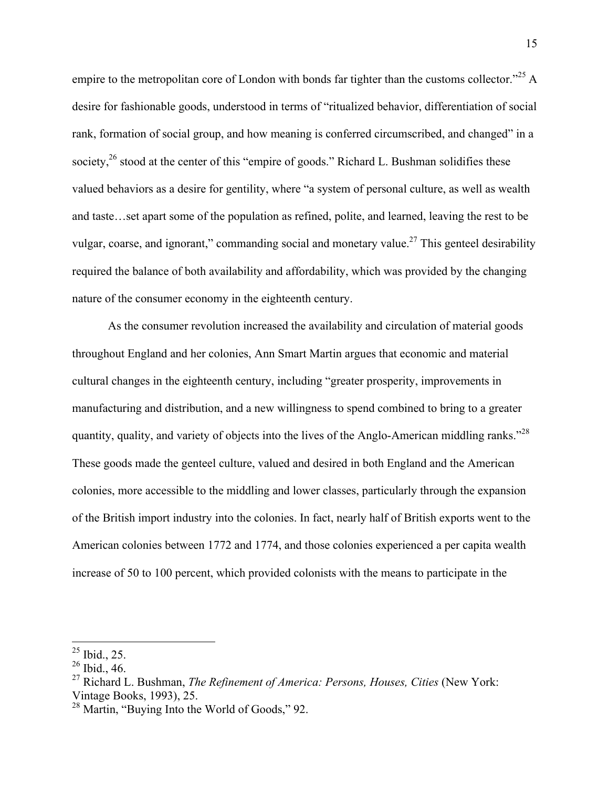empire to the metropolitan core of London with bonds far tighter than the customs collector.<sup> $25$ </sup> A desire for fashionable goods, understood in terms of "ritualized behavior, differentiation of social rank, formation of social group, and how meaning is conferred circumscribed, and changed" in a society,<sup>26</sup> stood at the center of this "empire of goods." Richard L. Bushman solidifies these valued behaviors as a desire for gentility, where "a system of personal culture, as well as wealth and taste…set apart some of the population as refined, polite, and learned, leaving the rest to be vulgar, coarse, and ignorant," commanding social and monetary value.<sup>27</sup> This genteel desirability required the balance of both availability and affordability, which was provided by the changing nature of the consumer economy in the eighteenth century.

As the consumer revolution increased the availability and circulation of material goods throughout England and her colonies, Ann Smart Martin argues that economic and material cultural changes in the eighteenth century, including "greater prosperity, improvements in manufacturing and distribution, and a new willingness to spend combined to bring to a greater quantity, quality, and variety of objects into the lives of the Anglo-American middling ranks."<sup>28</sup> These goods made the genteel culture, valued and desired in both England and the American colonies, more accessible to the middling and lower classes, particularly through the expansion of the British import industry into the colonies. In fact, nearly half of British exports went to the American colonies between 1772 and 1774, and those colonies experienced a per capita wealth increase of 50 to 100 percent, which provided colonists with the means to participate in the

 <sup>25</sup> Ibid., 25.

<sup>26</sup> Ibid., 46.

<sup>27</sup> Richard L. Bushman, *The Refinement of America: Persons, Houses, Cities* (New York: Vintage Books, 1993), 25.

<sup>28</sup> Martin, "Buying Into the World of Goods," 92.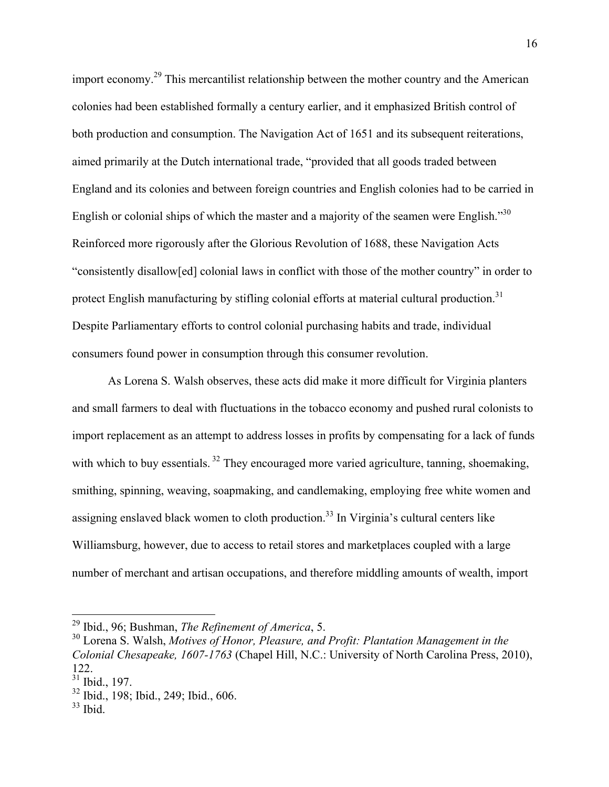import economy.<sup>29</sup> This mercantilist relationship between the mother country and the American colonies had been established formally a century earlier, and it emphasized British control of both production and consumption. The Navigation Act of 1651 and its subsequent reiterations, aimed primarily at the Dutch international trade, "provided that all goods traded between England and its colonies and between foreign countries and English colonies had to be carried in English or colonial ships of which the master and a majority of the seamen were English."<sup>30</sup> Reinforced more rigorously after the Glorious Revolution of 1688, these Navigation Acts "consistently disallow[ed] colonial laws in conflict with those of the mother country" in order to protect English manufacturing by stifling colonial efforts at material cultural production.<sup>31</sup> Despite Parliamentary efforts to control colonial purchasing habits and trade, individual consumers found power in consumption through this consumer revolution.

As Lorena S. Walsh observes, these acts did make it more difficult for Virginia planters and small farmers to deal with fluctuations in the tobacco economy and pushed rural colonists to import replacement as an attempt to address losses in profits by compensating for a lack of funds with which to buy essentials.<sup>32</sup> They encouraged more varied agriculture, tanning, shoemaking, smithing, spinning, weaving, soapmaking, and candlemaking, employing free white women and assigning enslaved black women to cloth production.<sup>33</sup> In Virginia's cultural centers like Williamsburg, however, due to access to retail stores and marketplaces coupled with a large number of merchant and artisan occupations, and therefore middling amounts of wealth, import

 <sup>29</sup> Ibid., 96; Bushman, *The Refinement of America*, 5.

<sup>30</sup> Lorena S. Walsh, *Motives of Honor, Pleasure, and Profit: Plantation Management in the Colonial Chesapeake, 1607-1763* (Chapel Hill, N.C.: University of North Carolina Press, 2010), 122.

 $31$  Ibid., 197.

<sup>32</sup> Ibid., 198; Ibid., 249; Ibid., 606.

 $33$  Ibid.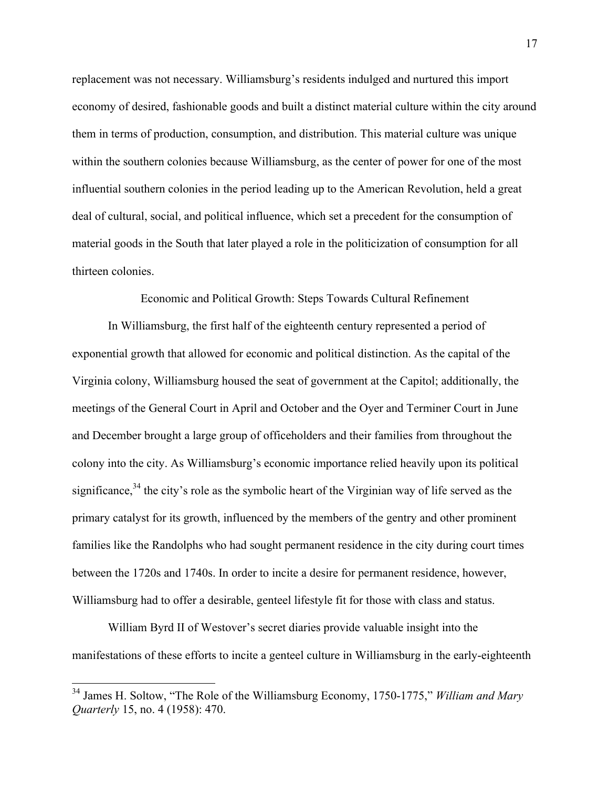replacement was not necessary. Williamsburg's residents indulged and nurtured this import economy of desired, fashionable goods and built a distinct material culture within the city around them in terms of production, consumption, and distribution. This material culture was unique within the southern colonies because Williamsburg, as the center of power for one of the most influential southern colonies in the period leading up to the American Revolution, held a great deal of cultural, social, and political influence, which set a precedent for the consumption of material goods in the South that later played a role in the politicization of consumption for all thirteen colonies.

Economic and Political Growth: Steps Towards Cultural Refinement

In Williamsburg, the first half of the eighteenth century represented a period of exponential growth that allowed for economic and political distinction. As the capital of the Virginia colony, Williamsburg housed the seat of government at the Capitol; additionally, the meetings of the General Court in April and October and the Oyer and Terminer Court in June and December brought a large group of officeholders and their families from throughout the colony into the city. As Williamsburg's economic importance relied heavily upon its political significance,  $34$  the city's role as the symbolic heart of the Virginian way of life served as the primary catalyst for its growth, influenced by the members of the gentry and other prominent families like the Randolphs who had sought permanent residence in the city during court times between the 1720s and 1740s. In order to incite a desire for permanent residence, however, Williamsburg had to offer a desirable, genteel lifestyle fit for those with class and status.

William Byrd II of Westover's secret diaries provide valuable insight into the manifestations of these efforts to incite a genteel culture in Williamsburg in the early-eighteenth

 <sup>34</sup> James H. Soltow, "The Role of the Williamsburg Economy, 1750-1775," *William and Mary Quarterly* 15, no. 4 (1958): 470.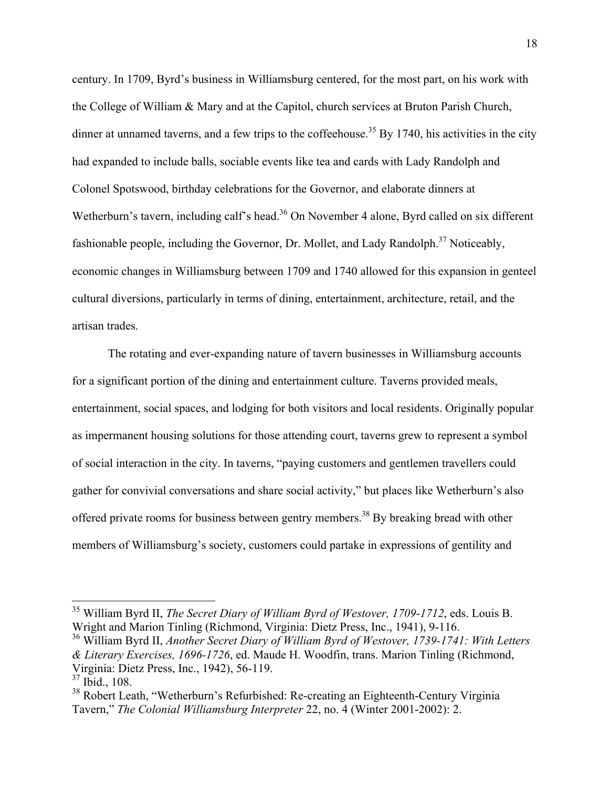century. In 1709, Byrd's business in Williamsburg centered, for the most part, on his work with the College of William & Mary and at the Capitol, church services at Bruton Parish Church, dinner at unnamed taverns, and a few trips to the coffeehouse.<sup>35</sup> By 1740, his activities in the city had expanded to include balls, sociable events like tea and cards with Lady Randolph and Colonel Spotswood, birthday celebrations for the Governor, and elaborate dinners at Wetherburn's tavern, including calf's head.<sup>36</sup> On November 4 alone, Byrd called on six different fashionable people, including the Governor, Dr. Mollet, and Lady Randolph.<sup>37</sup> Noticeably, economic changes in Williamsburg between 1709 and 1740 allowed for this expansion in genteel cultural diversions, particularly in terms of dining, entertainment, architecture, retail, and the artisan trades.

The rotating and ever-expanding nature of tavern businesses in Williamsburg accounts for a significant portion of the dining and entertainment culture. Taverns provided meals, entertainment, social spaces, and lodging for both visitors and local residents. Originally popular as impermanent housing solutions for those attending court, taverns grew to represent a symbol of social interaction in the city. In taverns, "paying customers and gentlemen travellers could gather for convivial conversations and share social activity," but places like Wetherburn's also offered private rooms for business between gentry members.<sup>38</sup> By breaking bread with other members of Williamsburg's society, customers could partake in expressions of gentility and

 <sup>35</sup> William Byrd II, *The Secret Diary of William Byrd of Westover, 1709-1712*, eds. Louis B. Wright and Marion Tinling (Richmond, Virginia: Dietz Press, Inc., 1941), 9-116.

<sup>36</sup> William Byrd II, *Another Secret Diary of William Byrd of Westover, 1739-1741: With Letters & Literary Exercises, 1696-1726*, ed. Maude H. Woodfin, trans. Marion Tinling (Richmond, Virginia: Dietz Press, Inc., 1942), 56-119.

 $37$  Ibid., 108.

<sup>&</sup>lt;sup>38</sup> Robert Leath, "Wetherburn's Refurbished: Re-creating an Eighteenth-Century Virginia Tavern," *The Colonial Williamsburg Interpreter* 22, no. 4 (Winter 2001-2002): 2.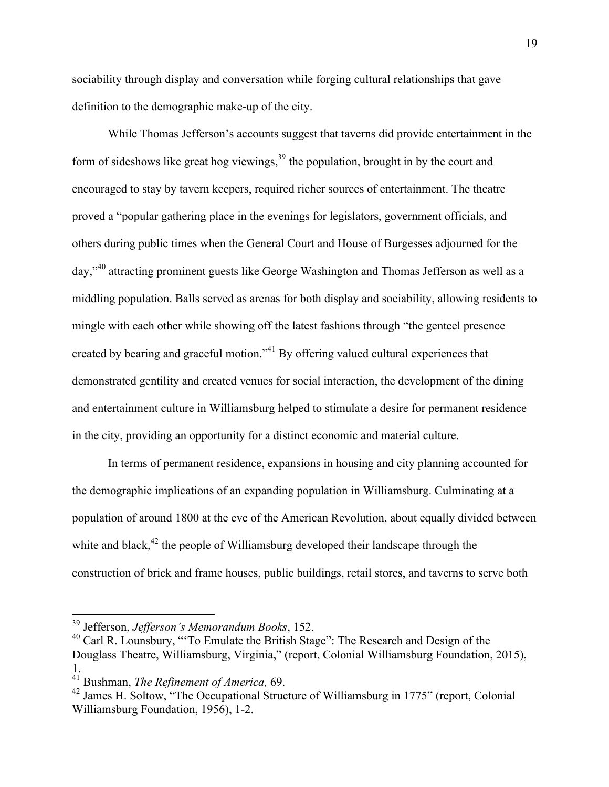sociability through display and conversation while forging cultural relationships that gave definition to the demographic make-up of the city.

While Thomas Jefferson's accounts suggest that taverns did provide entertainment in the form of sideshows like great hog viewings,  $39$  the population, brought in by the court and encouraged to stay by tavern keepers, required richer sources of entertainment. The theatre proved a "popular gathering place in the evenings for legislators, government officials, and others during public times when the General Court and House of Burgesses adjourned for the day,"<sup>40</sup> attracting prominent guests like George Washington and Thomas Jefferson as well as a middling population. Balls served as arenas for both display and sociability, allowing residents to mingle with each other while showing off the latest fashions through "the genteel presence created by bearing and graceful motion."<sup>41</sup> By offering valued cultural experiences that demonstrated gentility and created venues for social interaction, the development of the dining and entertainment culture in Williamsburg helped to stimulate a desire for permanent residence in the city, providing an opportunity for a distinct economic and material culture.

In terms of permanent residence, expansions in housing and city planning accounted for the demographic implications of an expanding population in Williamsburg. Culminating at a population of around 1800 at the eve of the American Revolution, about equally divided between white and black, $42$  the people of Williamsburg developed their landscape through the construction of brick and frame houses, public buildings, retail stores, and taverns to serve both

 <sup>39</sup> Jefferson, *Jefferson's Memorandum Books*, 152.

<sup>40</sup> Carl R. Lounsbury, "'To Emulate the British Stage": The Research and Design of the Douglass Theatre, Williamsburg, Virginia," (report, Colonial Williamsburg Foundation, 2015), 1.

<sup>41</sup> Bushman, *The Refinement of America,* 69.

<sup>&</sup>lt;sup>42</sup> James H. Soltow, "The Occupational Structure of Williamsburg in 1775" (report, Colonial Williamsburg Foundation, 1956), 1-2.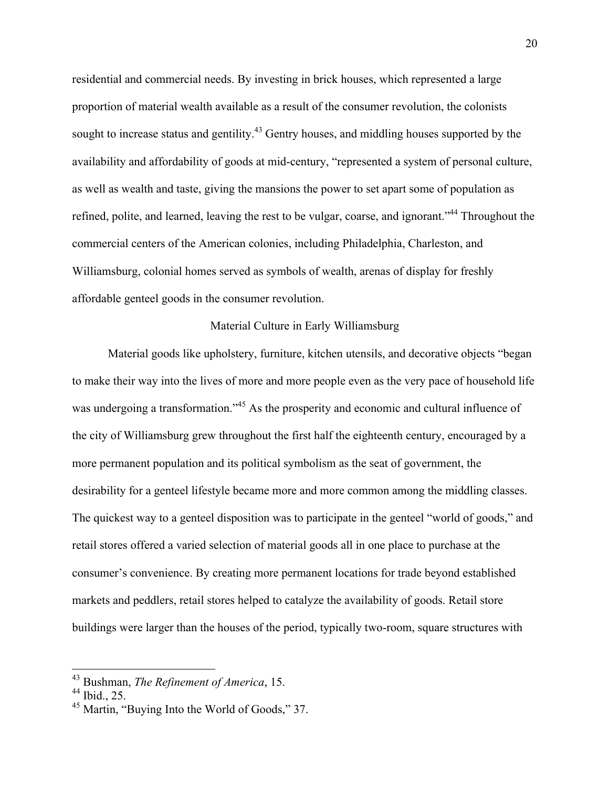residential and commercial needs. By investing in brick houses, which represented a large proportion of material wealth available as a result of the consumer revolution, the colonists sought to increase status and gentility.<sup>43</sup> Gentry houses, and middling houses supported by the availability and affordability of goods at mid-century, "represented a system of personal culture, as well as wealth and taste, giving the mansions the power to set apart some of population as refined, polite, and learned, leaving the rest to be vulgar, coarse, and ignorant."<sup>44</sup> Throughout the commercial centers of the American colonies, including Philadelphia, Charleston, and Williamsburg, colonial homes served as symbols of wealth, arenas of display for freshly affordable genteel goods in the consumer revolution.

## Material Culture in Early Williamsburg

Material goods like upholstery, furniture, kitchen utensils, and decorative objects "began to make their way into the lives of more and more people even as the very pace of household life was undergoing a transformation."<sup>45</sup> As the prosperity and economic and cultural influence of the city of Williamsburg grew throughout the first half the eighteenth century, encouraged by a more permanent population and its political symbolism as the seat of government, the desirability for a genteel lifestyle became more and more common among the middling classes. The quickest way to a genteel disposition was to participate in the genteel "world of goods," and retail stores offered a varied selection of material goods all in one place to purchase at the consumer's convenience. By creating more permanent locations for trade beyond established markets and peddlers, retail stores helped to catalyze the availability of goods. Retail store buildings were larger than the houses of the period, typically two-room, square structures with

 <sup>43</sup> Bushman, *The Refinement of America*, 15.

<sup>44</sup> Ibid., 25.

<sup>45</sup> Martin, "Buying Into the World of Goods," 37.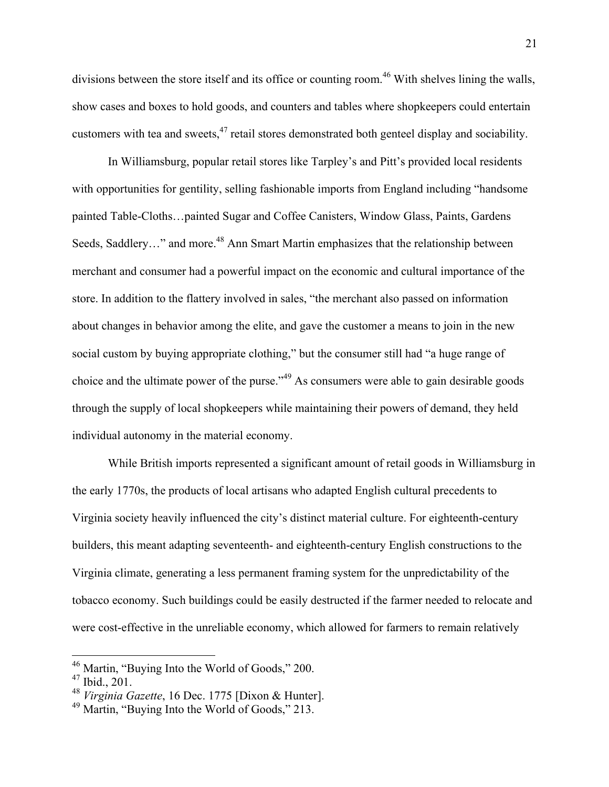divisions between the store itself and its office or counting room.<sup>46</sup> With shelves lining the walls, show cases and boxes to hold goods, and counters and tables where shopkeepers could entertain customers with tea and sweets,<sup>47</sup> retail stores demonstrated both genteel display and sociability.

In Williamsburg, popular retail stores like Tarpley's and Pitt's provided local residents with opportunities for gentility, selling fashionable imports from England including "handsome" painted Table-Cloths…painted Sugar and Coffee Canisters, Window Glass, Paints, Gardens Seeds, Saddlery..." and more.<sup>48</sup> Ann Smart Martin emphasizes that the relationship between merchant and consumer had a powerful impact on the economic and cultural importance of the store. In addition to the flattery involved in sales, "the merchant also passed on information about changes in behavior among the elite, and gave the customer a means to join in the new social custom by buying appropriate clothing," but the consumer still had "a huge range of choice and the ultimate power of the purse."<sup>49</sup> As consumers were able to gain desirable goods through the supply of local shopkeepers while maintaining their powers of demand, they held individual autonomy in the material economy.

While British imports represented a significant amount of retail goods in Williamsburg in the early 1770s, the products of local artisans who adapted English cultural precedents to Virginia society heavily influenced the city's distinct material culture. For eighteenth-century builders, this meant adapting seventeenth- and eighteenth-century English constructions to the Virginia climate, generating a less permanent framing system for the unpredictability of the tobacco economy. Such buildings could be easily destructed if the farmer needed to relocate and were cost-effective in the unreliable economy, which allowed for farmers to remain relatively

 <sup>46</sup> Martin, "Buying Into the World of Goods," 200.

 $47$  Ibid., 201.

<sup>48</sup> *Virginia Gazette*, 16 Dec. 1775 [Dixon & Hunter].

<sup>49</sup> Martin, "Buying Into the World of Goods," 213.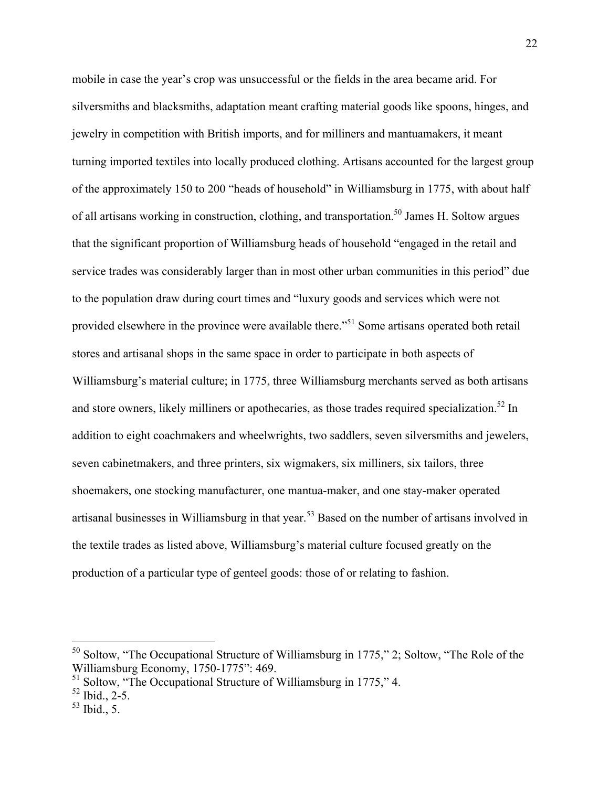mobile in case the year's crop was unsuccessful or the fields in the area became arid. For silversmiths and blacksmiths, adaptation meant crafting material goods like spoons, hinges, and jewelry in competition with British imports, and for milliners and mantuamakers, it meant turning imported textiles into locally produced clothing. Artisans accounted for the largest group of the approximately 150 to 200 "heads of household" in Williamsburg in 1775, with about half of all artisans working in construction, clothing, and transportation.<sup>50</sup> James H. Soltow argues that the significant proportion of Williamsburg heads of household "engaged in the retail and service trades was considerably larger than in most other urban communities in this period" due to the population draw during court times and "luxury goods and services which were not provided elsewhere in the province were available there.<sup>551</sup> Some artisans operated both retail stores and artisanal shops in the same space in order to participate in both aspects of Williamsburg's material culture; in 1775, three Williamsburg merchants served as both artisans and store owners, likely milliners or apothecaries, as those trades required specialization.<sup>52</sup> In addition to eight coachmakers and wheelwrights, two saddlers, seven silversmiths and jewelers, seven cabinetmakers, and three printers, six wigmakers, six milliners, six tailors, three shoemakers, one stocking manufacturer, one mantua-maker, and one stay-maker operated artisanal businesses in Williamsburg in that year.<sup>53</sup> Based on the number of artisans involved in the textile trades as listed above, Williamsburg's material culture focused greatly on the production of a particular type of genteel goods: those of or relating to fashion.

<sup>&</sup>lt;sup>50</sup> Soltow, "The Occupational Structure of Williamsburg in 1775," 2; Soltow, "The Role of the Williamsburg Economy, 1750-1775": 469.

<sup>&</sup>lt;sup>51</sup> Soltow, "The Occupational Structure of Williamsburg in 1775," 4.

 $52$  Ibid., 2-5.

 $53$  Ibid., 5.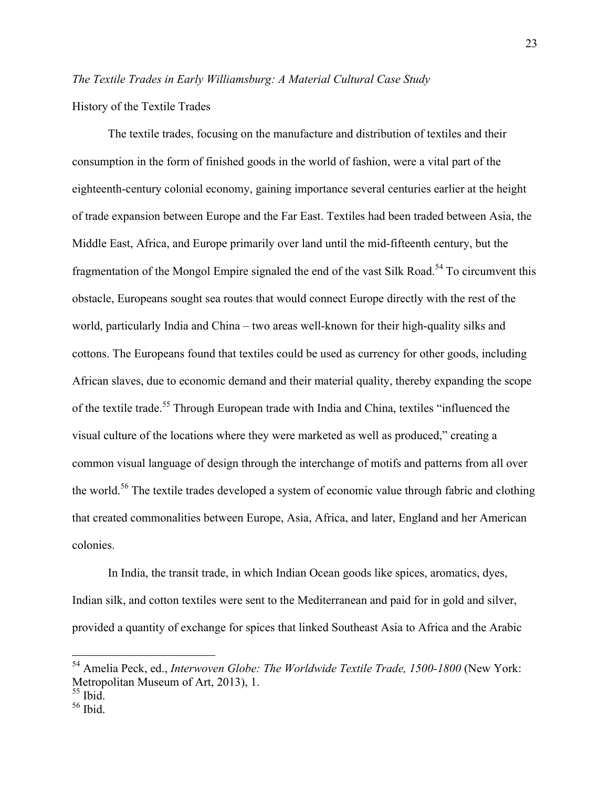# *The Textile Trades in Early Williamsburg: A Material Cultural Case Study*

History of the Textile Trades

The textile trades, focusing on the manufacture and distribution of textiles and their consumption in the form of finished goods in the world of fashion, were a vital part of the eighteenth-century colonial economy, gaining importance several centuries earlier at the height of trade expansion between Europe and the Far East. Textiles had been traded between Asia, the Middle East, Africa, and Europe primarily over land until the mid-fifteenth century, but the fragmentation of the Mongol Empire signaled the end of the vast Silk Road.<sup>54</sup> To circumvent this obstacle, Europeans sought sea routes that would connect Europe directly with the rest of the world, particularly India and China – two areas well-known for their high-quality silks and cottons. The Europeans found that textiles could be used as currency for other goods, including African slaves, due to economic demand and their material quality, thereby expanding the scope of the textile trade.<sup>55</sup> Through European trade with India and China, textiles "influenced the visual culture of the locations where they were marketed as well as produced," creating a common visual language of design through the interchange of motifs and patterns from all over the world.<sup>56</sup> The textile trades developed a system of economic value through fabric and clothing that created commonalities between Europe, Asia, Africa, and later, England and her American colonies.

In India, the transit trade, in which Indian Ocean goods like spices, aromatics, dyes, Indian silk, and cotton textiles were sent to the Mediterranean and paid for in gold and silver, provided a quantity of exchange for spices that linked Southeast Asia to Africa and the Arabic

 <sup>54</sup> Amelia Peck, ed., *Interwoven Globe: The Worldwide Textile Trade, 1500-1800* (New York: Metropolitan Museum of Art, 2013), 1.

<sup>55</sup> Ibid.

<sup>56</sup> Ibid.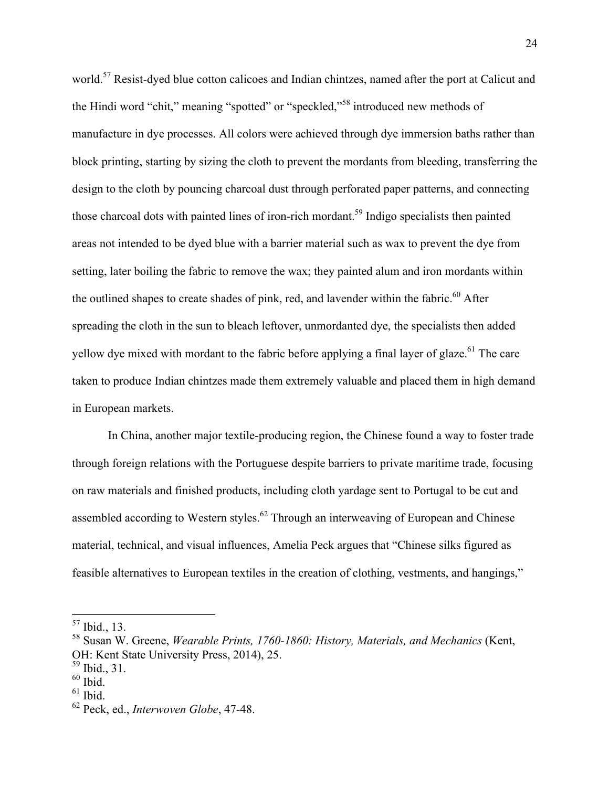world.<sup>57</sup> Resist-dyed blue cotton calicoes and Indian chintzes, named after the port at Calicut and the Hindi word "chit," meaning "spotted" or "speckled,"<sup>58</sup> introduced new methods of manufacture in dye processes. All colors were achieved through dye immersion baths rather than block printing, starting by sizing the cloth to prevent the mordants from bleeding, transferring the design to the cloth by pouncing charcoal dust through perforated paper patterns, and connecting those charcoal dots with painted lines of iron-rich mordant.<sup>59</sup> Indigo specialists then painted areas not intended to be dyed blue with a barrier material such as wax to prevent the dye from setting, later boiling the fabric to remove the wax; they painted alum and iron mordants within the outlined shapes to create shades of pink, red, and lavender within the fabric.<sup>60</sup> After spreading the cloth in the sun to bleach leftover, unmordanted dye, the specialists then added yellow dye mixed with mordant to the fabric before applying a final layer of glaze.<sup>61</sup> The care taken to produce Indian chintzes made them extremely valuable and placed them in high demand in European markets.

In China, another major textile-producing region, the Chinese found a way to foster trade through foreign relations with the Portuguese despite barriers to private maritime trade, focusing on raw materials and finished products, including cloth yardage sent to Portugal to be cut and assembled according to Western styles.<sup>62</sup> Through an interweaving of European and Chinese material, technical, and visual influences, Amelia Peck argues that "Chinese silks figured as feasible alternatives to European textiles in the creation of clothing, vestments, and hangings,"

 <sup>57</sup> Ibid., 13.

<sup>58</sup> Susan W. Greene, *Wearable Prints, 1760-1860: History, Materials, and Mechanics* (Kent, OH: Kent State University Press, 2014), 25.

 $^{59}$  Ibid., 31.<br> $^{60}$  Ibid.

 $61$  Ibid.

<sup>62</sup> Peck, ed., *Interwoven Globe*, 47-48.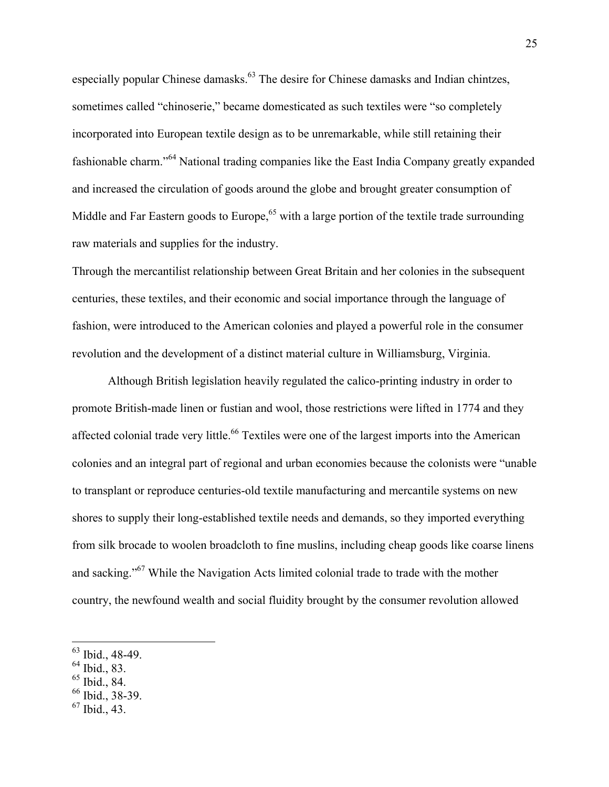especially popular Chinese damasks.<sup>63</sup> The desire for Chinese damasks and Indian chintzes, sometimes called "chinoserie," became domesticated as such textiles were "so completely incorporated into European textile design as to be unremarkable, while still retaining their fashionable charm."<sup>64</sup> National trading companies like the East India Company greatly expanded and increased the circulation of goods around the globe and brought greater consumption of Middle and Far Eastern goods to Europe,<sup>65</sup> with a large portion of the textile trade surrounding raw materials and supplies for the industry.

Through the mercantilist relationship between Great Britain and her colonies in the subsequent centuries, these textiles, and their economic and social importance through the language of fashion, were introduced to the American colonies and played a powerful role in the consumer revolution and the development of a distinct material culture in Williamsburg, Virginia.

Although British legislation heavily regulated the calico-printing industry in order to promote British-made linen or fustian and wool, those restrictions were lifted in 1774 and they affected colonial trade very little.<sup>66</sup> Textiles were one of the largest imports into the American colonies and an integral part of regional and urban economies because the colonists were "unable to transplant or reproduce centuries-old textile manufacturing and mercantile systems on new shores to supply their long-established textile needs and demands, so they imported everything from silk brocade to woolen broadcloth to fine muslins, including cheap goods like coarse linens and sacking."67 While the Navigation Acts limited colonial trade to trade with the mother country, the newfound wealth and social fluidity brought by the consumer revolution allowed

- $64$  Ibid., 83.
- $65$  Ibid., 84.
- <sup>66</sup> Ibid., 38-39.
- $67$  Ibid., 43.

 <sup>63</sup> Ibid., 48-49.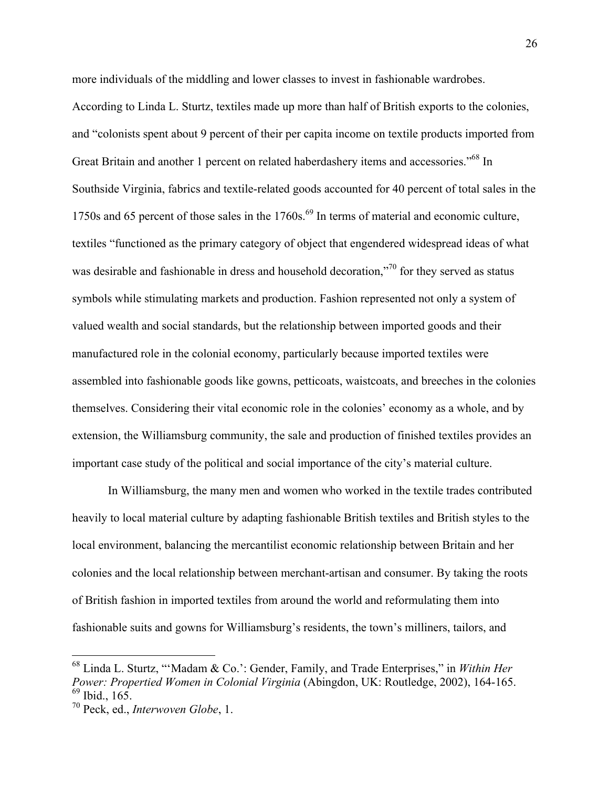more individuals of the middling and lower classes to invest in fashionable wardrobes.

According to Linda L. Sturtz, textiles made up more than half of British exports to the colonies, and "colonists spent about 9 percent of their per capita income on textile products imported from Great Britain and another 1 percent on related haberdashery items and accessories."<sup>68</sup> In Southside Virginia, fabrics and textile-related goods accounted for 40 percent of total sales in the 1750s and 65 percent of those sales in the 1760s.<sup>69</sup> In terms of material and economic culture, textiles "functioned as the primary category of object that engendered widespread ideas of what was desirable and fashionable in dress and household decoration,"<sup>70</sup> for they served as status symbols while stimulating markets and production. Fashion represented not only a system of valued wealth and social standards, but the relationship between imported goods and their manufactured role in the colonial economy, particularly because imported textiles were assembled into fashionable goods like gowns, petticoats, waistcoats, and breeches in the colonies themselves. Considering their vital economic role in the colonies' economy as a whole, and by extension, the Williamsburg community, the sale and production of finished textiles provides an important case study of the political and social importance of the city's material culture.

In Williamsburg, the many men and women who worked in the textile trades contributed heavily to local material culture by adapting fashionable British textiles and British styles to the local environment, balancing the mercantilist economic relationship between Britain and her colonies and the local relationship between merchant-artisan and consumer. By taking the roots of British fashion in imported textiles from around the world and reformulating them into fashionable suits and gowns for Williamsburg's residents, the town's milliners, tailors, and

 <sup>68</sup> Linda L. Sturtz, "'Madam & Co.': Gender, Family, and Trade Enterprises," in *Within Her Power: Propertied Women in Colonial Virginia* (Abingdon, UK: Routledge, 2002), 164-165. <sup>69</sup> Ibid., 165.

<sup>70</sup> Peck, ed., *Interwoven Globe*, 1.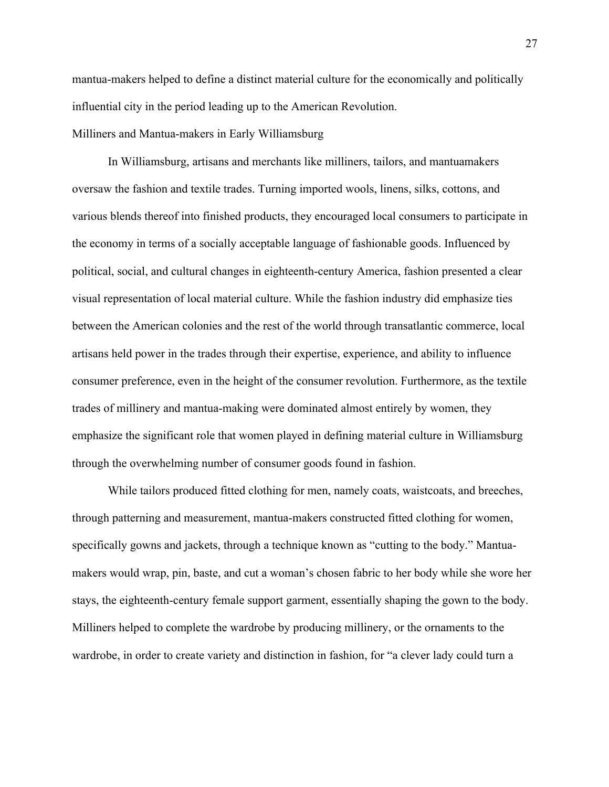mantua-makers helped to define a distinct material culture for the economically and politically influential city in the period leading up to the American Revolution.

Milliners and Mantua-makers in Early Williamsburg

In Williamsburg, artisans and merchants like milliners, tailors, and mantuamakers oversaw the fashion and textile trades. Turning imported wools, linens, silks, cottons, and various blends thereof into finished products, they encouraged local consumers to participate in the economy in terms of a socially acceptable language of fashionable goods. Influenced by political, social, and cultural changes in eighteenth-century America, fashion presented a clear visual representation of local material culture. While the fashion industry did emphasize ties between the American colonies and the rest of the world through transatlantic commerce, local artisans held power in the trades through their expertise, experience, and ability to influence consumer preference, even in the height of the consumer revolution. Furthermore, as the textile trades of millinery and mantua-making were dominated almost entirely by women, they emphasize the significant role that women played in defining material culture in Williamsburg through the overwhelming number of consumer goods found in fashion.

While tailors produced fitted clothing for men, namely coats, waistcoats, and breeches, through patterning and measurement, mantua-makers constructed fitted clothing for women, specifically gowns and jackets, through a technique known as "cutting to the body." Mantuamakers would wrap, pin, baste, and cut a woman's chosen fabric to her body while she wore her stays, the eighteenth-century female support garment, essentially shaping the gown to the body. Milliners helped to complete the wardrobe by producing millinery, or the ornaments to the wardrobe, in order to create variety and distinction in fashion, for "a clever lady could turn a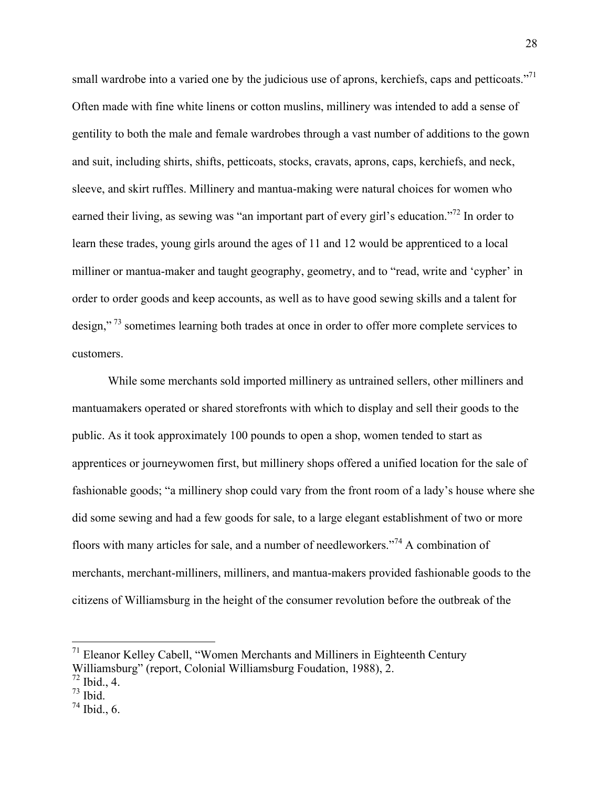small wardrobe into a varied one by the judicious use of aprons, kerchiefs, caps and petticoats."<sup>71</sup> Often made with fine white linens or cotton muslins, millinery was intended to add a sense of gentility to both the male and female wardrobes through a vast number of additions to the gown and suit, including shirts, shifts, petticoats, stocks, cravats, aprons, caps, kerchiefs, and neck, sleeve, and skirt ruffles. Millinery and mantua-making were natural choices for women who earned their living, as sewing was "an important part of every girl's education."<sup>72</sup> In order to learn these trades, young girls around the ages of 11 and 12 would be apprenticed to a local milliner or mantua-maker and taught geography, geometry, and to "read, write and 'cypher' in order to order goods and keep accounts, as well as to have good sewing skills and a talent for design,"<sup>73</sup> sometimes learning both trades at once in order to offer more complete services to customers.

While some merchants sold imported millinery as untrained sellers, other milliners and mantuamakers operated or shared storefronts with which to display and sell their goods to the public. As it took approximately 100 pounds to open a shop, women tended to start as apprentices or journeywomen first, but millinery shops offered a unified location for the sale of fashionable goods; "a millinery shop could vary from the front room of a lady's house where she did some sewing and had a few goods for sale, to a large elegant establishment of two or more floors with many articles for sale, and a number of needleworkers."<sup>74</sup> A combination of merchants, merchant-milliners, milliners, and mantua-makers provided fashionable goods to the citizens of Williamsburg in the height of the consumer revolution before the outbreak of the

 <sup>71</sup> Eleanor Kelley Cabell, "Women Merchants and Milliners in Eighteenth Century Williamsburg" (report, Colonial Williamsburg Foudation, 1988), 2.

 $72$  Ibid., 4.

 $73$  Ibid.

 $74$  Ibid., 6.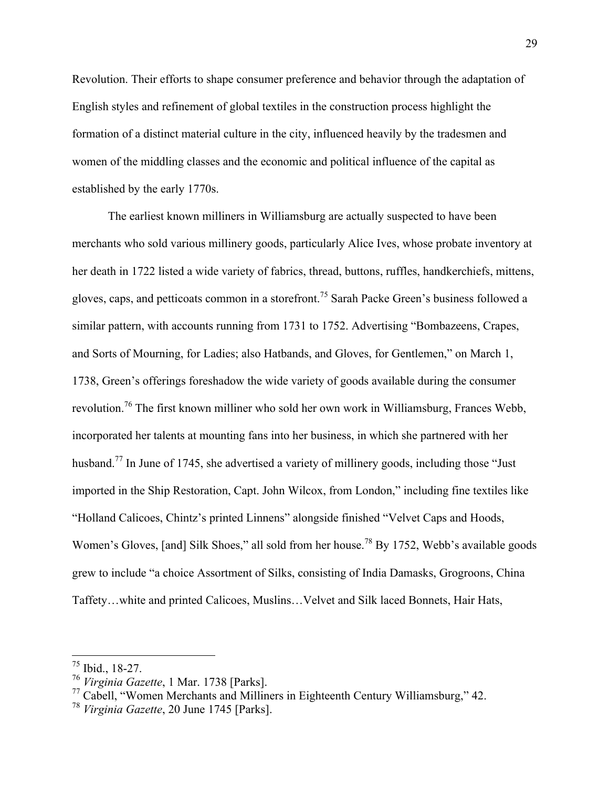Revolution. Their efforts to shape consumer preference and behavior through the adaptation of English styles and refinement of global textiles in the construction process highlight the formation of a distinct material culture in the city, influenced heavily by the tradesmen and women of the middling classes and the economic and political influence of the capital as established by the early 1770s.

The earliest known milliners in Williamsburg are actually suspected to have been merchants who sold various millinery goods, particularly Alice Ives, whose probate inventory at her death in 1722 listed a wide variety of fabrics, thread, buttons, ruffles, handkerchiefs, mittens, gloves, caps, and petticoats common in a storefront.<sup>75</sup> Sarah Packe Green's business followed a similar pattern, with accounts running from 1731 to 1752. Advertising "Bombazeens, Crapes, and Sorts of Mourning, for Ladies; also Hatbands, and Gloves, for Gentlemen," on March 1, 1738, Green's offerings foreshadow the wide variety of goods available during the consumer revolution.76 The first known milliner who sold her own work in Williamsburg, Frances Webb, incorporated her talents at mounting fans into her business, in which she partnered with her husband.<sup>77</sup> In June of 1745, she advertised a variety of millinery goods, including those "Just" imported in the Ship Restoration, Capt. John Wilcox, from London," including fine textiles like "Holland Calicoes, Chintz's printed Linnens" alongside finished "Velvet Caps and Hoods, Women's Gloves, [and] Silk Shoes," all sold from her house.<sup>78</sup> By 1752, Webb's available goods grew to include "a choice Assortment of Silks, consisting of India Damasks, Grogroons, China Taffety…white and printed Calicoes, Muslins…Velvet and Silk laced Bonnets, Hair Hats,

 <sup>75</sup> Ibid., 18-27.

<sup>76</sup> *Virginia Gazette*, 1 Mar. 1738 [Parks].

<sup>77</sup> Cabell, "Women Merchants and Milliners in Eighteenth Century Williamsburg," 42.

<sup>78</sup> *Virginia Gazette*, 20 June 1745 [Parks].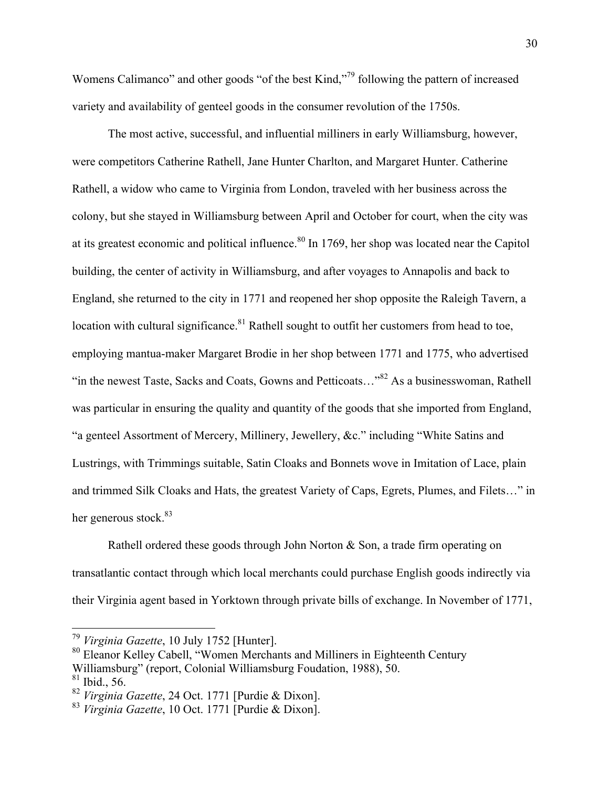Womens Calimanco" and other goods "of the best Kind,"<sup>79</sup> following the pattern of increased variety and availability of genteel goods in the consumer revolution of the 1750s.

The most active, successful, and influential milliners in early Williamsburg, however, were competitors Catherine Rathell, Jane Hunter Charlton, and Margaret Hunter. Catherine Rathell, a widow who came to Virginia from London, traveled with her business across the colony, but she stayed in Williamsburg between April and October for court, when the city was at its greatest economic and political influence.<sup>80</sup> In 1769, her shop was located near the Capitol building, the center of activity in Williamsburg, and after voyages to Annapolis and back to England, she returned to the city in 1771 and reopened her shop opposite the Raleigh Tavern, a location with cultural significance.<sup>81</sup> Rathell sought to outfit her customers from head to toe, employing mantua-maker Margaret Brodie in her shop between 1771 and 1775, who advertised "in the newest Taste, Sacks and Coats, Gowns and Petticoats..."<sup>82</sup> As a businesswoman, Rathell was particular in ensuring the quality and quantity of the goods that she imported from England, "a genteel Assortment of Mercery, Millinery, Jewellery, &c." including "White Satins and Lustrings, with Trimmings suitable, Satin Cloaks and Bonnets wove in Imitation of Lace, plain and trimmed Silk Cloaks and Hats, the greatest Variety of Caps, Egrets, Plumes, and Filets…" in her generous stock.<sup>83</sup>

Rathell ordered these goods through John Norton & Son, a trade firm operating on transatlantic contact through which local merchants could purchase English goods indirectly via their Virginia agent based in Yorktown through private bills of exchange. In November of 1771,

 <sup>79</sup> *Virginia Gazette*, 10 July 1752 [Hunter].

<sup>80</sup> Eleanor Kelley Cabell, "Women Merchants and Milliners in Eighteenth Century Williamsburg" (report, Colonial Williamsburg Foudation, 1988), 50.

 $81$  Ibid., 56.

<sup>82</sup> *Virginia Gazette*, 24 Oct. 1771 [Purdie & Dixon].

<sup>83</sup> *Virginia Gazette*, 10 Oct. 1771 [Purdie & Dixon].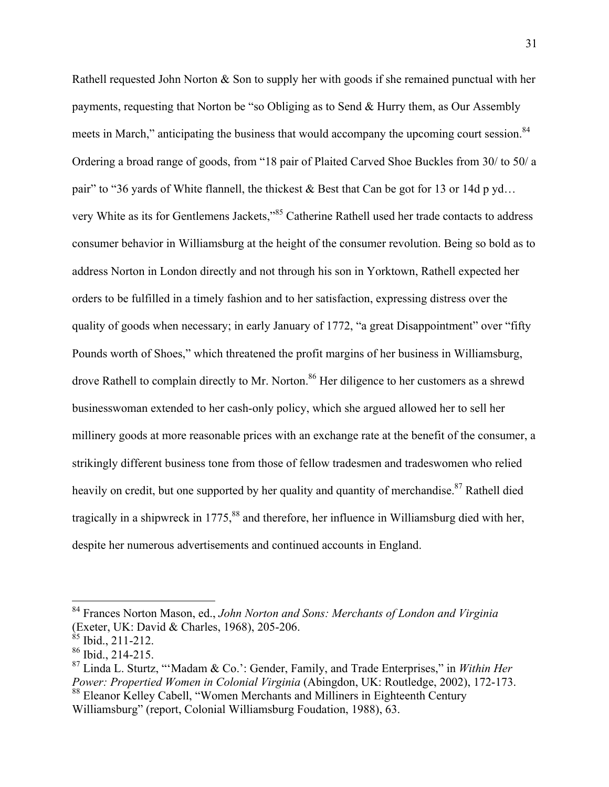Rathell requested John Norton & Son to supply her with goods if she remained punctual with her payments, requesting that Norton be "so Obliging as to Send & Hurry them, as Our Assembly meets in March," anticipating the business that would accompany the upcoming court session.<sup>84</sup> Ordering a broad range of goods, from "18 pair of Plaited Carved Shoe Buckles from 30/ to 50/ a pair" to "36 yards of White flannell, the thickest & Best that Can be got for 13 or 14d p yd... very White as its for Gentlemens Jackets,"<sup>85</sup> Catherine Rathell used her trade contacts to address consumer behavior in Williamsburg at the height of the consumer revolution. Being so bold as to address Norton in London directly and not through his son in Yorktown, Rathell expected her orders to be fulfilled in a timely fashion and to her satisfaction, expressing distress over the quality of goods when necessary; in early January of 1772, "a great Disappointment" over "fifty Pounds worth of Shoes," which threatened the profit margins of her business in Williamsburg, drove Rathell to complain directly to Mr. Norton.<sup>86</sup> Her diligence to her customers as a shrewd businesswoman extended to her cash-only policy, which she argued allowed her to sell her millinery goods at more reasonable prices with an exchange rate at the benefit of the consumer, a strikingly different business tone from those of fellow tradesmen and tradeswomen who relied heavily on credit, but one supported by her quality and quantity of merchandise.<sup>87</sup> Rathell died tragically in a shipwreck in  $1775$ ,  $88$  and therefore, her influence in Williamsburg died with her, despite her numerous advertisements and continued accounts in England.

 <sup>84</sup> Frances Norton Mason, ed., *John Norton and Sons: Merchants of London and Virginia*  (Exeter, UK: David & Charles, 1968), 205-206.

 $85$  Ibid., 211-212.

 $86$  Ibid., 214-215.

<sup>87</sup> Linda L. Sturtz, "'Madam & Co.': Gender, Family, and Trade Enterprises," in *Within Her Power: Propertied Women in Colonial Virginia* (Abingdon, UK: Routledge, 2002), 172-173. <sup>88</sup> Eleanor Kelley Cabell, "Women Merchants and Milliners in Eighteenth Century

Williamsburg" (report, Colonial Williamsburg Foudation, 1988), 63.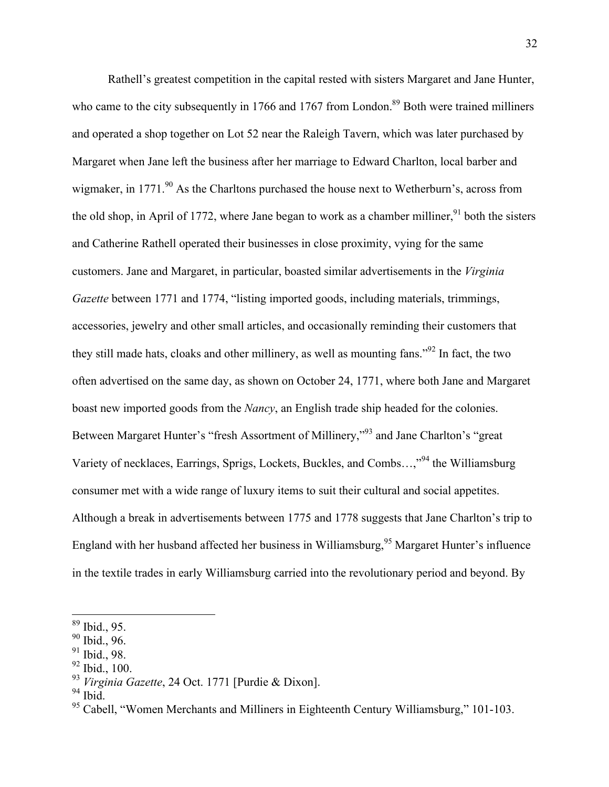Rathell's greatest competition in the capital rested with sisters Margaret and Jane Hunter, who came to the city subsequently in 1766 and 1767 from London.<sup>89</sup> Both were trained milliners and operated a shop together on Lot 52 near the Raleigh Tavern, which was later purchased by Margaret when Jane left the business after her marriage to Edward Charlton, local barber and wigmaker, in 1771.<sup>90</sup> As the Charltons purchased the house next to Wetherburn's, across from the old shop, in April of 1772, where Jane began to work as a chamber milliner,  $91$  both the sisters and Catherine Rathell operated their businesses in close proximity, vying for the same customers. Jane and Margaret, in particular, boasted similar advertisements in the *Virginia Gazette* between 1771 and 1774, "listing imported goods, including materials, trimmings, accessories, jewelry and other small articles, and occasionally reminding their customers that they still made hats, cloaks and other millinery, as well as mounting fans."<sup>92</sup> In fact, the two often advertised on the same day, as shown on October 24, 1771, where both Jane and Margaret boast new imported goods from the *Nancy*, an English trade ship headed for the colonies. Between Margaret Hunter's "fresh Assortment of Millinery,"93 and Jane Charlton's "great Variety of necklaces, Earrings, Sprigs, Lockets, Buckles, and Combs…,"<sup>94</sup> the Williamsburg consumer met with a wide range of luxury items to suit their cultural and social appetites. Although a break in advertisements between 1775 and 1778 suggests that Jane Charlton's trip to England with her husband affected her business in Williamsburg,<sup>95</sup> Margaret Hunter's influence in the textile trades in early Williamsburg carried into the revolutionary period and beyond. By

 <sup>89</sup> Ibid., 95.

<sup>90</sup> Ibid., 96.

<sup>91</sup> Ibid., 98.

 $92$  Ibid., 100.

<sup>93</sup> *Virginia Gazette*, 24 Oct. 1771 [Purdie & Dixon].

 $94$  Ibid.

<sup>&</sup>lt;sup>95</sup> Cabell, "Women Merchants and Milliners in Eighteenth Century Williamsburg," 101-103.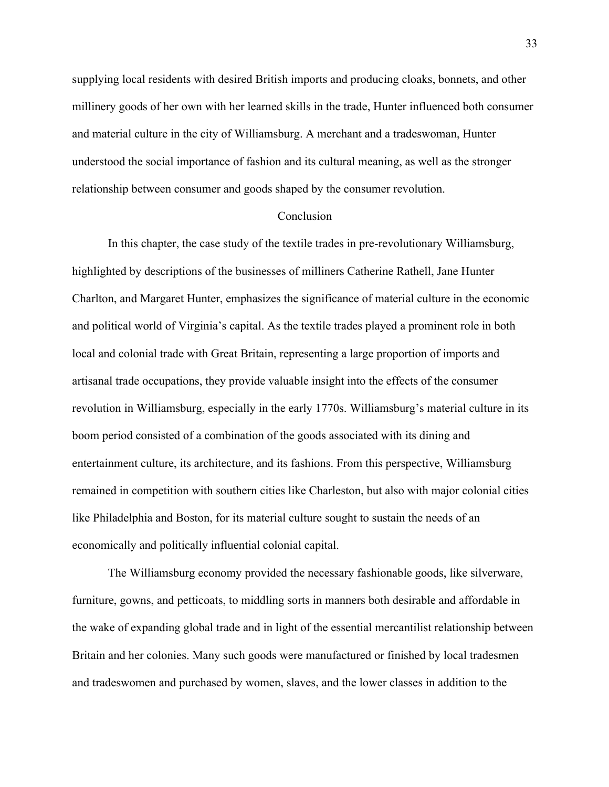supplying local residents with desired British imports and producing cloaks, bonnets, and other millinery goods of her own with her learned skills in the trade, Hunter influenced both consumer and material culture in the city of Williamsburg. A merchant and a tradeswoman, Hunter understood the social importance of fashion and its cultural meaning, as well as the stronger relationship between consumer and goods shaped by the consumer revolution.

## Conclusion

In this chapter, the case study of the textile trades in pre-revolutionary Williamsburg, highlighted by descriptions of the businesses of milliners Catherine Rathell, Jane Hunter Charlton, and Margaret Hunter, emphasizes the significance of material culture in the economic and political world of Virginia's capital. As the textile trades played a prominent role in both local and colonial trade with Great Britain, representing a large proportion of imports and artisanal trade occupations, they provide valuable insight into the effects of the consumer revolution in Williamsburg, especially in the early 1770s. Williamsburg's material culture in its boom period consisted of a combination of the goods associated with its dining and entertainment culture, its architecture, and its fashions. From this perspective, Williamsburg remained in competition with southern cities like Charleston, but also with major colonial cities like Philadelphia and Boston, for its material culture sought to sustain the needs of an economically and politically influential colonial capital.

The Williamsburg economy provided the necessary fashionable goods, like silverware, furniture, gowns, and petticoats, to middling sorts in manners both desirable and affordable in the wake of expanding global trade and in light of the essential mercantilist relationship between Britain and her colonies. Many such goods were manufactured or finished by local tradesmen and tradeswomen and purchased by women, slaves, and the lower classes in addition to the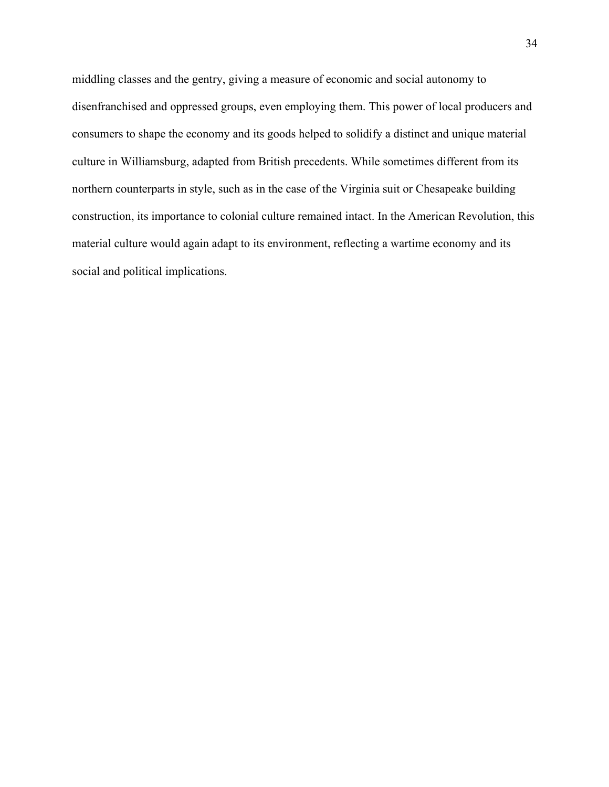middling classes and the gentry, giving a measure of economic and social autonomy to disenfranchised and oppressed groups, even employing them. This power of local producers and consumers to shape the economy and its goods helped to solidify a distinct and unique material culture in Williamsburg, adapted from British precedents. While sometimes different from its northern counterparts in style, such as in the case of the Virginia suit or Chesapeake building construction, its importance to colonial culture remained intact. In the American Revolution, this material culture would again adapt to its environment, reflecting a wartime economy and its social and political implications.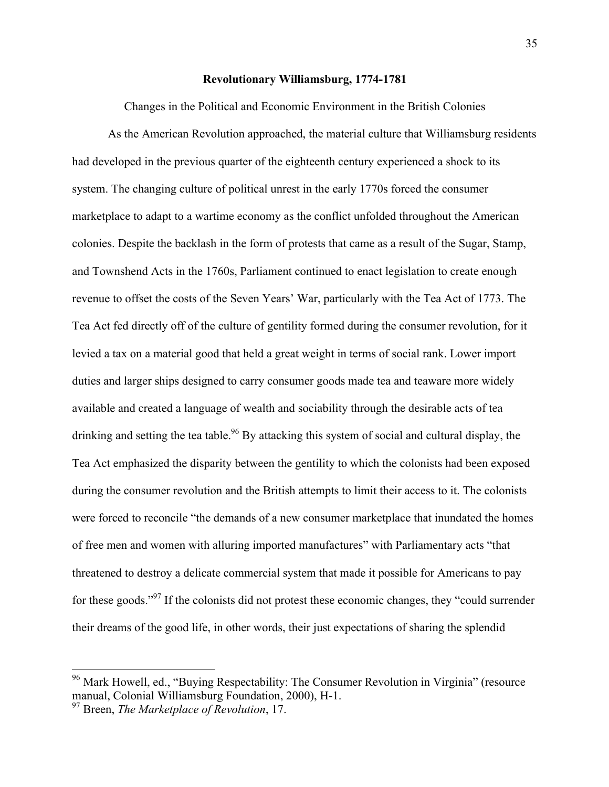#### **Revolutionary Williamsburg, 1774-1781**

Changes in the Political and Economic Environment in the British Colonies

As the American Revolution approached, the material culture that Williamsburg residents had developed in the previous quarter of the eighteenth century experienced a shock to its system. The changing culture of political unrest in the early 1770s forced the consumer marketplace to adapt to a wartime economy as the conflict unfolded throughout the American colonies. Despite the backlash in the form of protests that came as a result of the Sugar, Stamp, and Townshend Acts in the 1760s, Parliament continued to enact legislation to create enough revenue to offset the costs of the Seven Years' War, particularly with the Tea Act of 1773. The Tea Act fed directly off of the culture of gentility formed during the consumer revolution, for it levied a tax on a material good that held a great weight in terms of social rank. Lower import duties and larger ships designed to carry consumer goods made tea and teaware more widely available and created a language of wealth and sociability through the desirable acts of tea drinking and setting the tea table.<sup>96</sup> By attacking this system of social and cultural display, the Tea Act emphasized the disparity between the gentility to which the colonists had been exposed during the consumer revolution and the British attempts to limit their access to it. The colonists were forced to reconcile "the demands of a new consumer marketplace that inundated the homes of free men and women with alluring imported manufactures" with Parliamentary acts "that threatened to destroy a delicate commercial system that made it possible for Americans to pay for these goods."<sup>97</sup> If the colonists did not protest these economic changes, they "could surrender" their dreams of the good life, in other words, their just expectations of sharing the splendid

<sup>&</sup>lt;sup>96</sup> Mark Howell, ed., "Buying Respectability: The Consumer Revolution in Virginia" (resource manual, Colonial Williamsburg Foundation, 2000), H-1.

<sup>97</sup> Breen, *The Marketplace of Revolution*, 17.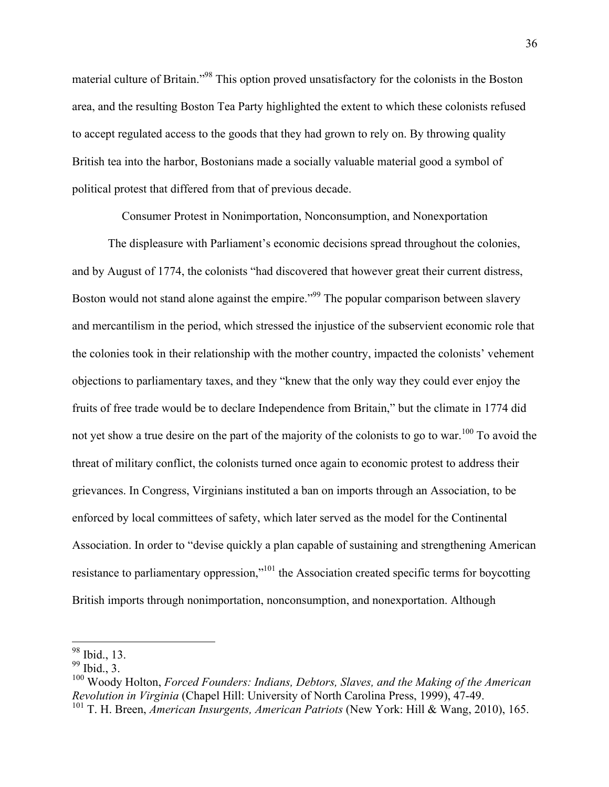material culture of Britain."98 This option proved unsatisfactory for the colonists in the Boston area, and the resulting Boston Tea Party highlighted the extent to which these colonists refused to accept regulated access to the goods that they had grown to rely on. By throwing quality British tea into the harbor, Bostonians made a socially valuable material good a symbol of political protest that differed from that of previous decade.

Consumer Protest in Nonimportation, Nonconsumption, and Nonexportation

The displeasure with Parliament's economic decisions spread throughout the colonies, and by August of 1774, the colonists "had discovered that however great their current distress, Boston would not stand alone against the empire."<sup>99</sup> The popular comparison between slavery and mercantilism in the period, which stressed the injustice of the subservient economic role that the colonies took in their relationship with the mother country, impacted the colonists' vehement objections to parliamentary taxes, and they "knew that the only way they could ever enjoy the fruits of free trade would be to declare Independence from Britain," but the climate in 1774 did not yet show a true desire on the part of the majority of the colonists to go to war.<sup>100</sup> To avoid the threat of military conflict, the colonists turned once again to economic protest to address their grievances. In Congress, Virginians instituted a ban on imports through an Association, to be enforced by local committees of safety, which later served as the model for the Continental Association. In order to "devise quickly a plan capable of sustaining and strengthening American resistance to parliamentary oppression,"<sup>101</sup> the Association created specific terms for boycotting British imports through nonimportation, nonconsumption, and nonexportation. Although

 <sup>98</sup> Ibid., 13.

 $99$  Ibid., 3.

<sup>100</sup> Woody Holton, *Forced Founders: Indians, Debtors, Slaves, and the Making of the American Revolution in Virginia* (Chapel Hill: University of North Carolina Press, 1999), 47-49. <sup>101</sup> T. H. Breen, *American Insurgents, American Patriots* (New York: Hill & Wang, 2010), 165.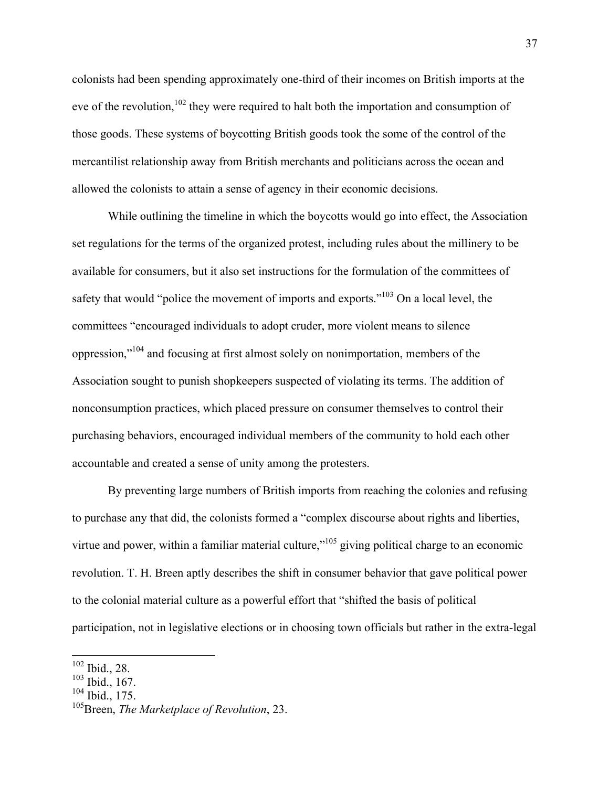colonists had been spending approximately one-third of their incomes on British imports at the eve of the revolution,  $102$  they were required to halt both the importation and consumption of those goods. These systems of boycotting British goods took the some of the control of the mercantilist relationship away from British merchants and politicians across the ocean and allowed the colonists to attain a sense of agency in their economic decisions.

While outlining the timeline in which the boycotts would go into effect, the Association set regulations for the terms of the organized protest, including rules about the millinery to be available for consumers, but it also set instructions for the formulation of the committees of safety that would "police the movement of imports and exports." $103$  On a local level, the committees "encouraged individuals to adopt cruder, more violent means to silence oppression,"104 and focusing at first almost solely on nonimportation, members of the Association sought to punish shopkeepers suspected of violating its terms. The addition of nonconsumption practices, which placed pressure on consumer themselves to control their purchasing behaviors, encouraged individual members of the community to hold each other accountable and created a sense of unity among the protesters.

By preventing large numbers of British imports from reaching the colonies and refusing to purchase any that did, the colonists formed a "complex discourse about rights and liberties, virtue and power, within a familiar material culture, $v^{105}$  giving political charge to an economic revolution. T. H. Breen aptly describes the shift in consumer behavior that gave political power to the colonial material culture as a powerful effort that "shifted the basis of political participation, not in legislative elections or in choosing town officials but rather in the extra-legal

 <sup>102</sup> Ibid., 28.

 $103$  Ibid., 167.

 $104$  Ibid., 175.

<sup>105</sup>Breen, *The Marketplace of Revolution*, 23.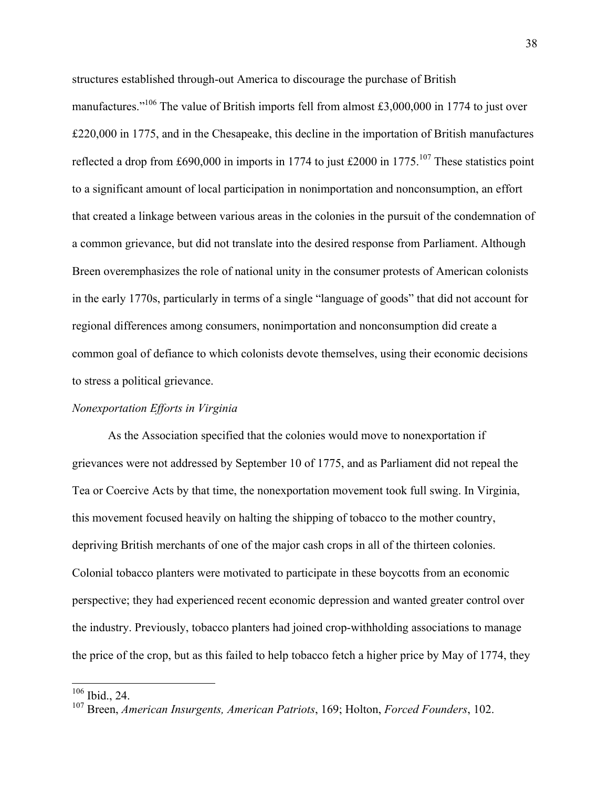structures established through-out America to discourage the purchase of British

manufactures."<sup>106</sup> The value of British imports fell from almost £3,000,000 in 1774 to just over £220,000 in 1775, and in the Chesapeake, this decline in the importation of British manufactures reflected a drop from £690,000 in imports in 1774 to just £2000 in 1775.<sup>107</sup> These statistics point to a significant amount of local participation in nonimportation and nonconsumption, an effort that created a linkage between various areas in the colonies in the pursuit of the condemnation of a common grievance, but did not translate into the desired response from Parliament. Although Breen overemphasizes the role of national unity in the consumer protests of American colonists in the early 1770s, particularly in terms of a single "language of goods" that did not account for regional differences among consumers, nonimportation and nonconsumption did create a common goal of defiance to which colonists devote themselves, using their economic decisions to stress a political grievance.

## *Nonexportation Efforts in Virginia*

As the Association specified that the colonies would move to nonexportation if grievances were not addressed by September 10 of 1775, and as Parliament did not repeal the Tea or Coercive Acts by that time, the nonexportation movement took full swing. In Virginia, this movement focused heavily on halting the shipping of tobacco to the mother country, depriving British merchants of one of the major cash crops in all of the thirteen colonies. Colonial tobacco planters were motivated to participate in these boycotts from an economic perspective; they had experienced recent economic depression and wanted greater control over the industry. Previously, tobacco planters had joined crop-withholding associations to manage the price of the crop, but as this failed to help tobacco fetch a higher price by May of 1774, they

 <sup>106</sup> Ibid., 24.

<sup>107</sup> Breen, *American Insurgents, American Patriots*, 169; Holton, *Forced Founders*, 102.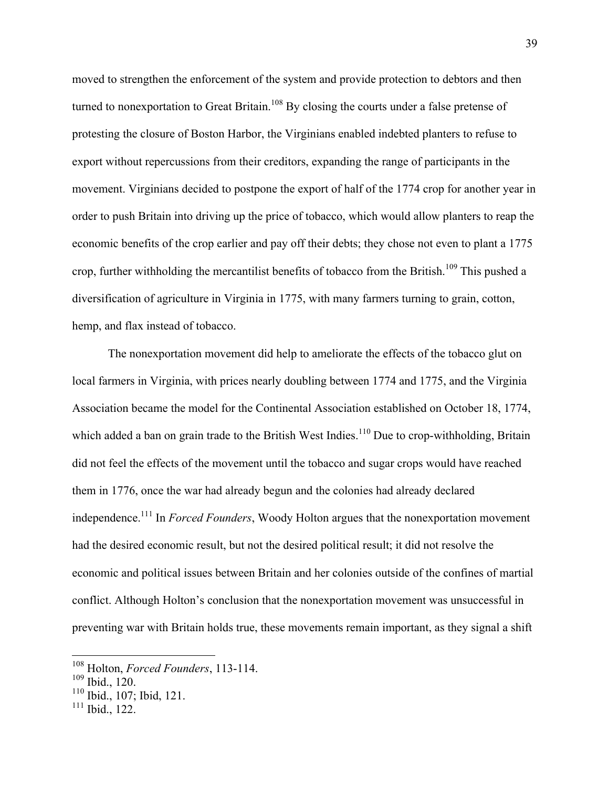moved to strengthen the enforcement of the system and provide protection to debtors and then turned to nonexportation to Great Britain.<sup>108</sup> By closing the courts under a false pretense of protesting the closure of Boston Harbor, the Virginians enabled indebted planters to refuse to export without repercussions from their creditors, expanding the range of participants in the movement. Virginians decided to postpone the export of half of the 1774 crop for another year in order to push Britain into driving up the price of tobacco, which would allow planters to reap the economic benefits of the crop earlier and pay off their debts; they chose not even to plant a 1775 crop, further withholding the mercantilist benefits of tobacco from the British.<sup>109</sup> This pushed a diversification of agriculture in Virginia in 1775, with many farmers turning to grain, cotton, hemp, and flax instead of tobacco.

The nonexportation movement did help to ameliorate the effects of the tobacco glut on local farmers in Virginia, with prices nearly doubling between 1774 and 1775, and the Virginia Association became the model for the Continental Association established on October 18, 1774, which added a ban on grain trade to the British West Indies.<sup>110</sup> Due to crop-withholding, Britain did not feel the effects of the movement until the tobacco and sugar crops would have reached them in 1776, once the war had already begun and the colonies had already declared independence.111 In *Forced Founders*, Woody Holton argues that the nonexportation movement had the desired economic result, but not the desired political result; it did not resolve the economic and political issues between Britain and her colonies outside of the confines of martial conflict. Although Holton's conclusion that the nonexportation movement was unsuccessful in preventing war with Britain holds true, these movements remain important, as they signal a shift

 <sup>108</sup> Holton, *Forced Founders*, 113-114.

<sup>109</sup> Ibid., 120.

<sup>110</sup> Ibid., 107; Ibid, 121.

 $111$  Ibid., 122.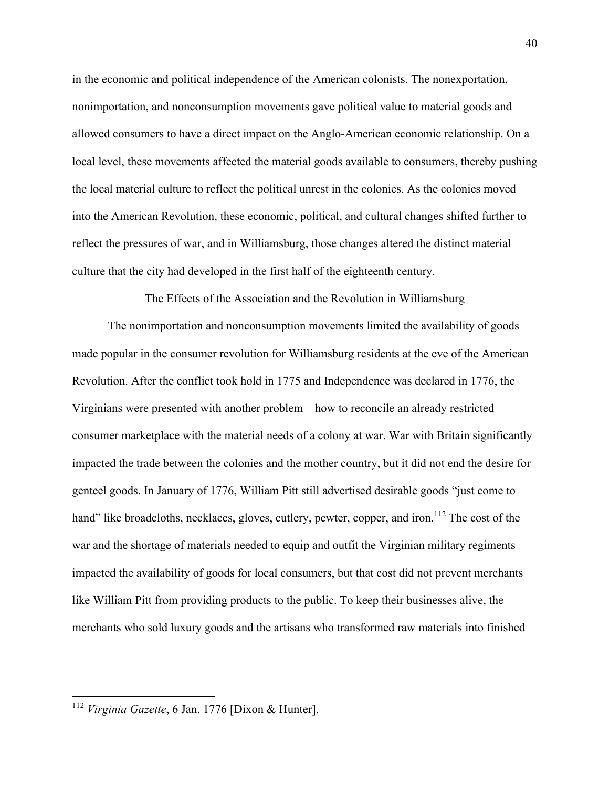in the economic and political independence of the American colonists. The nonexportation, nonimportation, and nonconsumption movements gave political value to material goods and allowed consumers to have a direct impact on the Anglo-American economic relationship. On a local level, these movements affected the material goods available to consumers, thereby pushing the local material culture to reflect the political unrest in the colonies. As the colonies moved into the American Revolution, these economic, political, and cultural changes shifted further to reflect the pressures of war, and in Williamsburg, those changes altered the distinct material culture that the city had developed in the first half of the eighteenth century.

The Effects of the Association and the Revolution in Williamsburg

The nonimportation and nonconsumption movements limited the availability of goods made popular in the consumer revolution for Williamsburg residents at the eve of the American Revolution. After the conflict took hold in 1775 and Independence was declared in 1776, the Virginians were presented with another problem – how to reconcile an already restricted consumer marketplace with the material needs of a colony at war. War with Britain significantly impacted the trade between the colonies and the mother country, but it did not end the desire for genteel goods. In January of 1776, William Pitt still advertised desirable goods "just come to hand" like broadcloths, necklaces, gloves, cutlery, pewter, copper, and iron.<sup>112</sup> The cost of the war and the shortage of materials needed to equip and outfit the Virginian military regiments impacted the availability of goods for local consumers, but that cost did not prevent merchants like William Pitt from providing products to the public. To keep their businesses alive, the merchants who sold luxury goods and the artisans who transformed raw materials into finished

 <sup>112</sup> *Virginia Gazette*, 6 Jan. 1776 [Dixon & Hunter].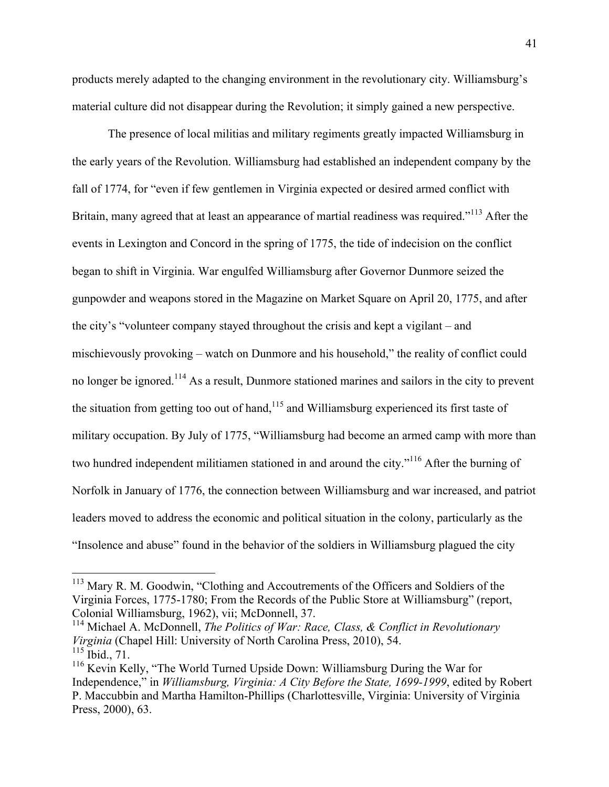products merely adapted to the changing environment in the revolutionary city. Williamsburg's material culture did not disappear during the Revolution; it simply gained a new perspective.

The presence of local militias and military regiments greatly impacted Williamsburg in the early years of the Revolution. Williamsburg had established an independent company by the fall of 1774, for "even if few gentlemen in Virginia expected or desired armed conflict with Britain, many agreed that at least an appearance of martial readiness was required."<sup>113</sup> After the events in Lexington and Concord in the spring of 1775, the tide of indecision on the conflict began to shift in Virginia. War engulfed Williamsburg after Governor Dunmore seized the gunpowder and weapons stored in the Magazine on Market Square on April 20, 1775, and after the city's "volunteer company stayed throughout the crisis and kept a vigilant – and mischievously provoking – watch on Dunmore and his household," the reality of conflict could no longer be ignored.<sup>114</sup> As a result, Dunmore stationed marines and sailors in the city to prevent the situation from getting too out of hand,<sup> $115$ </sup> and Williamsburg experienced its first taste of military occupation. By July of 1775, "Williamsburg had become an armed camp with more than two hundred independent militiamen stationed in and around the city."<sup>116</sup> After the burning of Norfolk in January of 1776, the connection between Williamsburg and war increased, and patriot leaders moved to address the economic and political situation in the colony, particularly as the "Insolence and abuse" found in the behavior of the soldiers in Williamsburg plagued the city

<sup>&</sup>lt;sup>113</sup> Mary R. M. Goodwin, "Clothing and Accoutrements of the Officers and Soldiers of the Virginia Forces, 1775-1780; From the Records of the Public Store at Williamsburg" (report, Colonial Williamsburg, 1962), vii; McDonnell, 37.

<sup>114</sup> Michael A. McDonnell, *The Politics of War: Race, Class, & Conflict in Revolutionary Virginia* (Chapel Hill: University of North Carolina Press, 2010), 54.  $115$  Ibid.,  $71$ .

<sup>&</sup>lt;sup>116</sup> Kevin Kelly, "The World Turned Upside Down: Williamsburg During the War for Independence," in *Williamsburg, Virginia: A City Before the State, 1699-1999*, edited by Robert P. Maccubbin and Martha Hamilton-Phillips (Charlottesville, Virginia: University of Virginia Press, 2000), 63.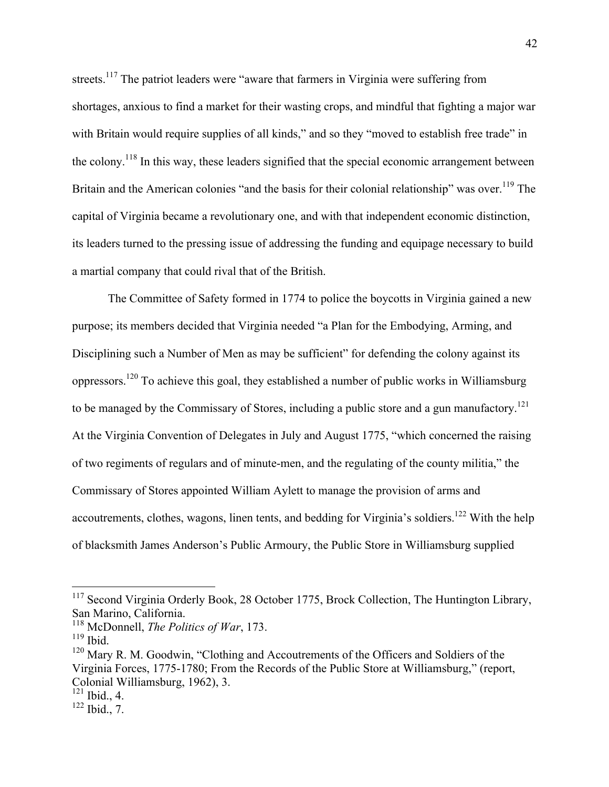streets.<sup>117</sup> The patriot leaders were "aware that farmers in Virginia were suffering from shortages, anxious to find a market for their wasting crops, and mindful that fighting a major war with Britain would require supplies of all kinds," and so they "moved to establish free trade" in the colony.118 In this way, these leaders signified that the special economic arrangement between Britain and the American colonies "and the basis for their colonial relationship" was over.<sup>119</sup> The capital of Virginia became a revolutionary one, and with that independent economic distinction, its leaders turned to the pressing issue of addressing the funding and equipage necessary to build a martial company that could rival that of the British.

The Committee of Safety formed in 1774 to police the boycotts in Virginia gained a new purpose; its members decided that Virginia needed "a Plan for the Embodying, Arming, and Disciplining such a Number of Men as may be sufficient" for defending the colony against its oppressors.<sup>120</sup> To achieve this goal, they established a number of public works in Williamsburg to be managed by the Commissary of Stores, including a public store and a gun manufactory.<sup>121</sup> At the Virginia Convention of Delegates in July and August 1775, "which concerned the raising of two regiments of regulars and of minute-men, and the regulating of the county militia," the Commissary of Stores appointed William Aylett to manage the provision of arms and accoutrements, clothes, wagons, linen tents, and bedding for Virginia's soldiers.<sup>122</sup> With the help of blacksmith James Anderson's Public Armoury, the Public Store in Williamsburg supplied

<sup>&</sup>lt;sup>117</sup> Second Virginia Orderly Book, 28 October 1775, Brock Collection, The Huntington Library, San Marino, California.

<sup>118</sup> McDonnell, *The Politics of War*, 173.

 $119$  Ibid.

<sup>&</sup>lt;sup>120</sup> Mary R. M. Goodwin, "Clothing and Accoutrements of the Officers and Soldiers of the Virginia Forces, 1775-1780; From the Records of the Public Store at Williamsburg," (report, Colonial Williamsburg, 1962), 3.

 $121$  Ibid., 4.

 $122$  Ibid., 7.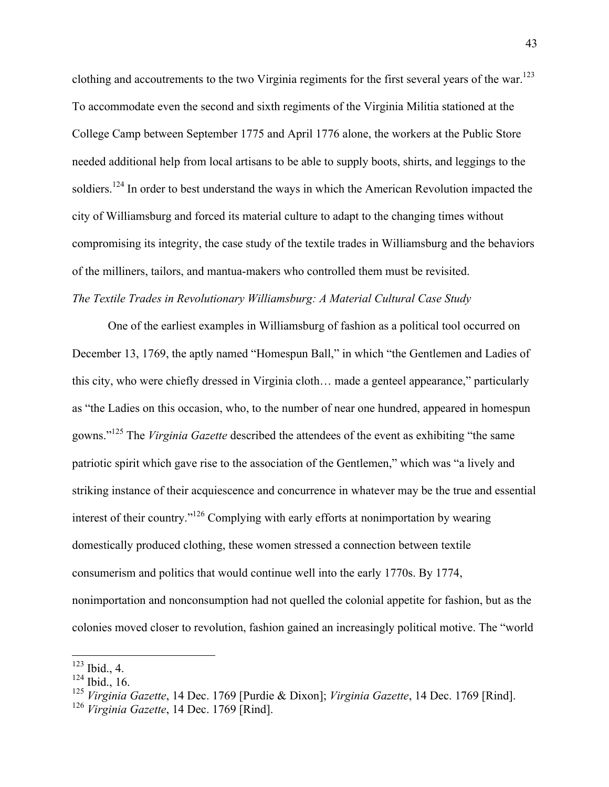clothing and accoutrements to the two Virginia regiments for the first several years of the war.<sup>123</sup> To accommodate even the second and sixth regiments of the Virginia Militia stationed at the College Camp between September 1775 and April 1776 alone, the workers at the Public Store needed additional help from local artisans to be able to supply boots, shirts, and leggings to the soldiers.<sup>124</sup> In order to best understand the ways in which the American Revolution impacted the city of Williamsburg and forced its material culture to adapt to the changing times without compromising its integrity, the case study of the textile trades in Williamsburg and the behaviors of the milliners, tailors, and mantua-makers who controlled them must be revisited. *The Textile Trades in Revolutionary Williamsburg: A Material Cultural Case Study*

One of the earliest examples in Williamsburg of fashion as a political tool occurred on December 13, 1769, the aptly named "Homespun Ball," in which "the Gentlemen and Ladies of this city, who were chiefly dressed in Virginia cloth… made a genteel appearance," particularly as "the Ladies on this occasion, who, to the number of near one hundred, appeared in homespun gowns."125 The *Virginia Gazette* described the attendees of the event as exhibiting "the same patriotic spirit which gave rise to the association of the Gentlemen," which was "a lively and striking instance of their acquiescence and concurrence in whatever may be the true and essential interest of their country."126 Complying with early efforts at nonimportation by wearing domestically produced clothing, these women stressed a connection between textile consumerism and politics that would continue well into the early 1770s. By 1774, nonimportation and nonconsumption had not quelled the colonial appetite for fashion, but as the colonies moved closer to revolution, fashion gained an increasingly political motive. The "world

 <sup>123</sup> Ibid., 4.

 $124$  Ibid., 16.

<sup>125</sup> *Virginia Gazette*, 14 Dec. 1769 [Purdie & Dixon]; *Virginia Gazette*, 14 Dec. 1769 [Rind].

<sup>126</sup> *Virginia Gazette*, 14 Dec. 1769 [Rind].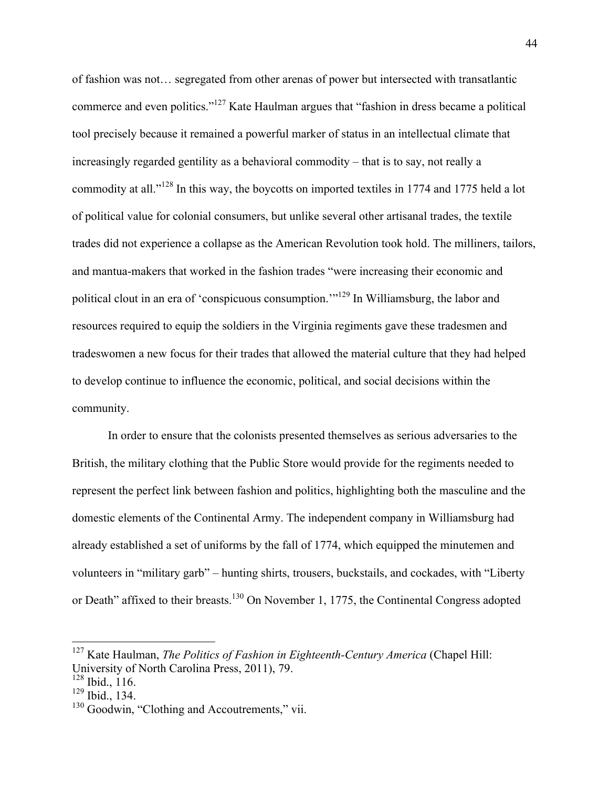of fashion was not… segregated from other arenas of power but intersected with transatlantic commerce and even politics."127 Kate Haulman argues that "fashion in dress became a political tool precisely because it remained a powerful marker of status in an intellectual climate that increasingly regarded gentility as a behavioral commodity – that is to say, not really a commodity at all."<sup>128</sup> In this way, the boycotts on imported textiles in 1774 and 1775 held a lot of political value for colonial consumers, but unlike several other artisanal trades, the textile trades did not experience a collapse as the American Revolution took hold. The milliners, tailors, and mantua-makers that worked in the fashion trades "were increasing their economic and political clout in an era of 'conspicuous consumption.'"<sup>129</sup> In Williamsburg, the labor and resources required to equip the soldiers in the Virginia regiments gave these tradesmen and tradeswomen a new focus for their trades that allowed the material culture that they had helped to develop continue to influence the economic, political, and social decisions within the community.

In order to ensure that the colonists presented themselves as serious adversaries to the British, the military clothing that the Public Store would provide for the regiments needed to represent the perfect link between fashion and politics, highlighting both the masculine and the domestic elements of the Continental Army. The independent company in Williamsburg had already established a set of uniforms by the fall of 1774, which equipped the minutemen and volunteers in "military garb" – hunting shirts, trousers, buckstails, and cockades, with "Liberty or Death" affixed to their breasts.<sup>130</sup> On November 1, 1775, the Continental Congress adopted

 <sup>127</sup> Kate Haulman, *The Politics of Fashion in Eighteenth-Century America* (Chapel Hill: University of North Carolina Press, 2011), 79.

<sup>128</sup> Ibid., 116.

<sup>129</sup> Ibid., 134.

<sup>&</sup>lt;sup>130</sup> Goodwin, "Clothing and Accoutrements," vii.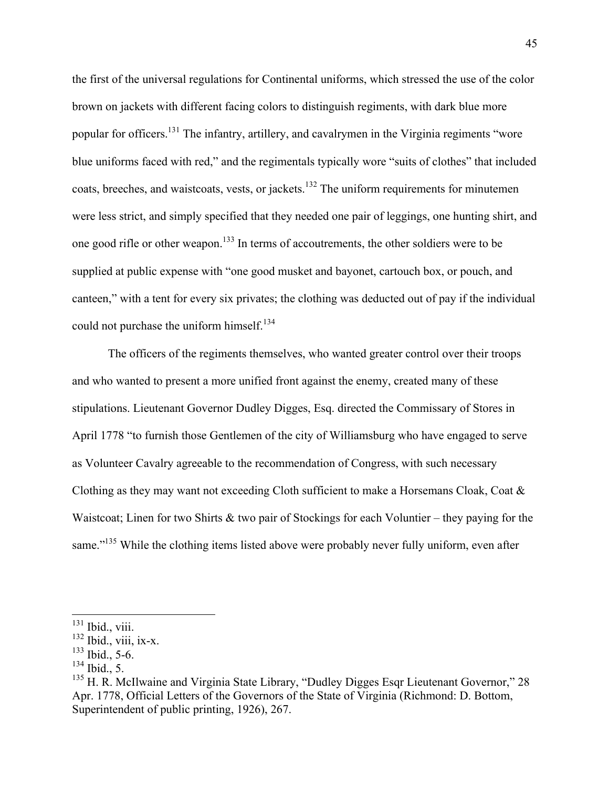the first of the universal regulations for Continental uniforms, which stressed the use of the color brown on jackets with different facing colors to distinguish regiments, with dark blue more popular for officers.131 The infantry, artillery, and cavalrymen in the Virginia regiments "wore blue uniforms faced with red," and the regimentals typically wore "suits of clothes" that included coats, breeches, and waistcoats, vests, or jackets.<sup>132</sup> The uniform requirements for minutemen were less strict, and simply specified that they needed one pair of leggings, one hunting shirt, and one good rifle or other weapon.133 In terms of accoutrements, the other soldiers were to be supplied at public expense with "one good musket and bayonet, cartouch box, or pouch, and canteen," with a tent for every six privates; the clothing was deducted out of pay if the individual could not purchase the uniform himself.<sup>134</sup>

The officers of the regiments themselves, who wanted greater control over their troops and who wanted to present a more unified front against the enemy, created many of these stipulations. Lieutenant Governor Dudley Digges, Esq. directed the Commissary of Stores in April 1778 "to furnish those Gentlemen of the city of Williamsburg who have engaged to serve as Volunteer Cavalry agreeable to the recommendation of Congress, with such necessary Clothing as they may want not exceeding Cloth sufficient to make a Horsemans Cloak, Coat & Waistcoat; Linen for two Shirts & two pair of Stockings for each Voluntier – they paying for the same."<sup>135</sup> While the clothing items listed above were probably never fully uniform, even after

 $131$  Ibid., viii.

 $132$  Ibid., viii, ix-x.

 $133$  Ibid., 5-6.

 $^{134}$  Ibid., 5.

<sup>&</sup>lt;sup>135</sup> H. R. McIlwaine and Virginia State Library, "Dudley Digges Esqr Lieutenant Governor," 28 Apr. 1778, Official Letters of the Governors of the State of Virginia (Richmond: D. Bottom, Superintendent of public printing, 1926), 267.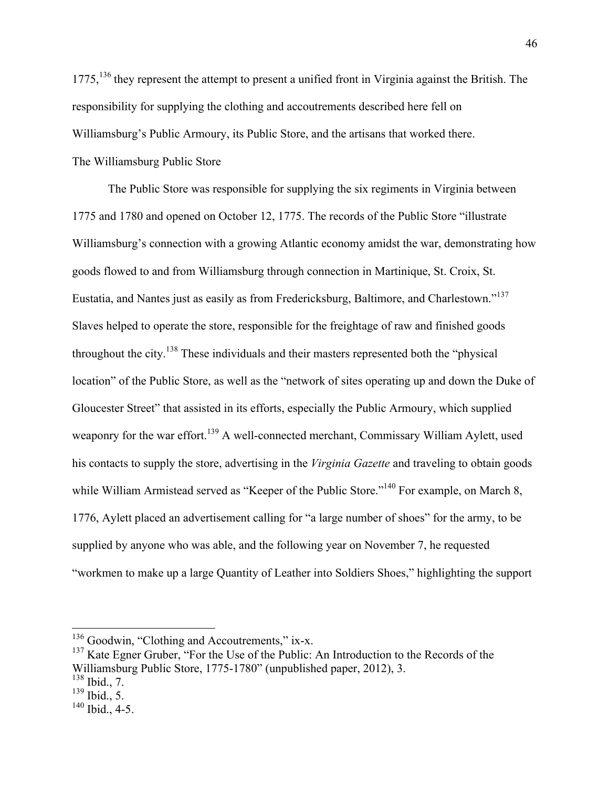1775,<sup>136</sup> they represent the attempt to present a unified front in Virginia against the British. The responsibility for supplying the clothing and accoutrements described here fell on Williamsburg's Public Armoury, its Public Store, and the artisans that worked there. The Williamsburg Public Store

The Public Store was responsible for supplying the six regiments in Virginia between 1775 and 1780 and opened on October 12, 1775. The records of the Public Store "illustrate Williamsburg's connection with a growing Atlantic economy amidst the war, demonstrating how goods flowed to and from Williamsburg through connection in Martinique, St. Croix, St. Eustatia, and Nantes just as easily as from Fredericksburg, Baltimore, and Charlestown."<sup>137</sup> Slaves helped to operate the store, responsible for the freightage of raw and finished goods throughout the city.<sup>138</sup> These individuals and their masters represented both the "physical location" of the Public Store, as well as the "network of sites operating up and down the Duke of Gloucester Street" that assisted in its efforts, especially the Public Armoury, which supplied weaponry for the war effort.<sup>139</sup> A well-connected merchant, Commissary William Aylett, used his contacts to supply the store, advertising in the *Virginia Gazette* and traveling to obtain goods while William Armistead served as "Keeper of the Public Store."<sup>140</sup> For example, on March 8, 1776, Aylett placed an advertisement calling for "a large number of shoes" for the army, to be supplied by anyone who was able, and the following year on November 7, he requested "workmen to make up a large Quantity of Leather into Soldiers Shoes," highlighting the support

 $136$  Goodwin, "Clothing and Accoutrements," ix-x.

 $137$  Kate Egner Gruber, "For the Use of the Public: An Introduction to the Records of the Williamsburg Public Store, 1775-1780" (unpublished paper, 2012), 3.

<sup>138</sup> Ibid., 7.

<sup>139</sup> Ibid., 5.

 $140$  Ibid., 4-5.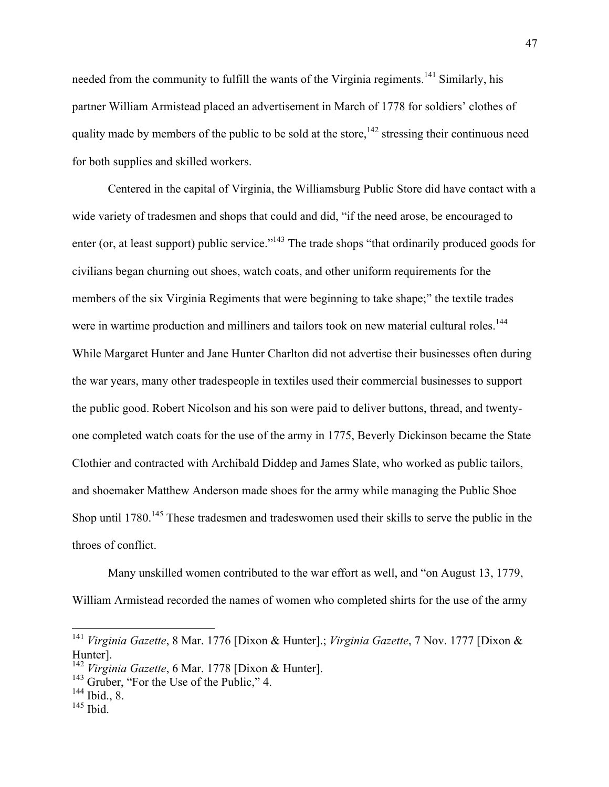needed from the community to fulfill the wants of the Virginia regiments.<sup>141</sup> Similarly, his partner William Armistead placed an advertisement in March of 1778 for soldiers' clothes of quality made by members of the public to be sold at the store,  $142$  stressing their continuous need for both supplies and skilled workers.

Centered in the capital of Virginia, the Williamsburg Public Store did have contact with a wide variety of tradesmen and shops that could and did, "if the need arose, be encouraged to enter (or, at least support) public service."<sup>143</sup> The trade shops "that ordinarily produced goods for civilians began churning out shoes, watch coats, and other uniform requirements for the members of the six Virginia Regiments that were beginning to take shape;" the textile trades were in wartime production and milliners and tailors took on new material cultural roles.<sup>144</sup> While Margaret Hunter and Jane Hunter Charlton did not advertise their businesses often during the war years, many other tradespeople in textiles used their commercial businesses to support the public good. Robert Nicolson and his son were paid to deliver buttons, thread, and twentyone completed watch coats for the use of the army in 1775, Beverly Dickinson became the State Clothier and contracted with Archibald Diddep and James Slate, who worked as public tailors, and shoemaker Matthew Anderson made shoes for the army while managing the Public Shoe Shop until 1780.<sup>145</sup> These tradesmen and tradeswomen used their skills to serve the public in the throes of conflict.

Many unskilled women contributed to the war effort as well, and "on August 13, 1779, William Armistead recorded the names of women who completed shirts for the use of the army

 <sup>141</sup> *Virginia Gazette*, 8 Mar. 1776 [Dixon & Hunter].; *Virginia Gazette*, 7 Nov. 1777 [Dixon & Hunter].

<sup>142</sup> *Virginia Gazette*, 6 Mar. 1778 [Dixon & Hunter].

<sup>&</sup>lt;sup>143</sup> Gruber, "For the Use of the Public," 4.

 $144$  Ibid., 8.

 $145$  Ibid.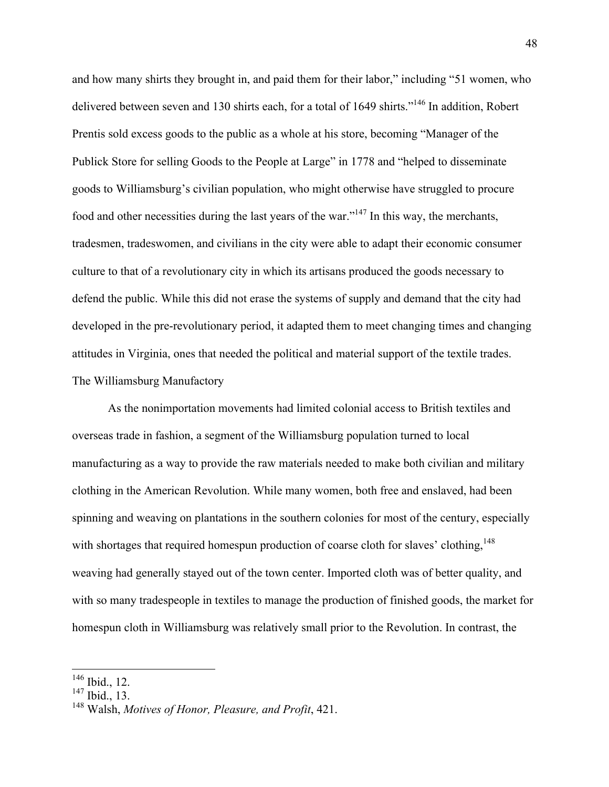and how many shirts they brought in, and paid them for their labor," including "51 women, who delivered between seven and 130 shirts each, for a total of 1649 shirts."<sup>146</sup> In addition, Robert Prentis sold excess goods to the public as a whole at his store, becoming "Manager of the Publick Store for selling Goods to the People at Large" in 1778 and "helped to disseminate goods to Williamsburg's civilian population, who might otherwise have struggled to procure food and other necessities during the last years of the war."147 In this way, the merchants, tradesmen, tradeswomen, and civilians in the city were able to adapt their economic consumer culture to that of a revolutionary city in which its artisans produced the goods necessary to defend the public. While this did not erase the systems of supply and demand that the city had developed in the pre-revolutionary period, it adapted them to meet changing times and changing attitudes in Virginia, ones that needed the political and material support of the textile trades. The Williamsburg Manufactory

As the nonimportation movements had limited colonial access to British textiles and overseas trade in fashion, a segment of the Williamsburg population turned to local manufacturing as a way to provide the raw materials needed to make both civilian and military clothing in the American Revolution. While many women, both free and enslaved, had been spinning and weaving on plantations in the southern colonies for most of the century, especially with shortages that required homespun production of coarse cloth for slaves' clothing,  $148$ weaving had generally stayed out of the town center. Imported cloth was of better quality, and with so many tradespeople in textiles to manage the production of finished goods, the market for homespun cloth in Williamsburg was relatively small prior to the Revolution. In contrast, the

 <sup>146</sup> Ibid., 12.

<sup>147</sup> Ibid., 13.

<sup>148</sup> Walsh, *Motives of Honor, Pleasure, and Profit*, 421.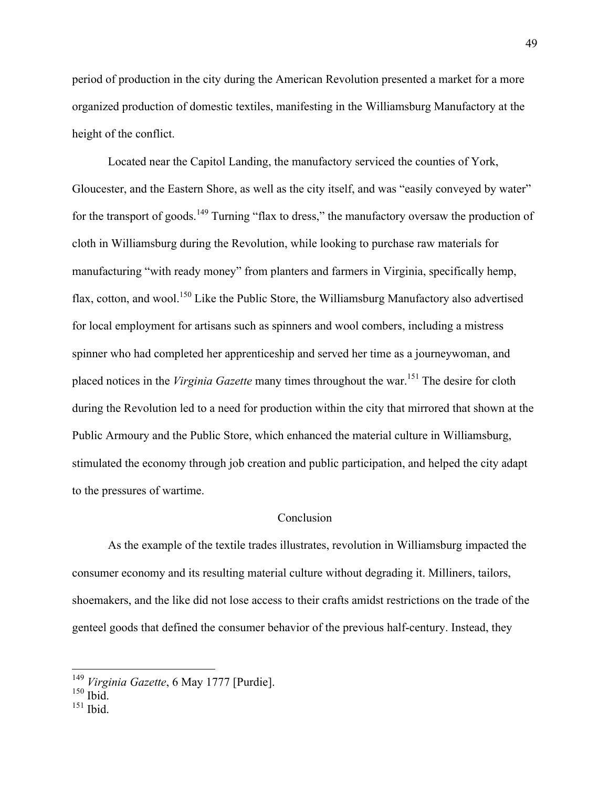period of production in the city during the American Revolution presented a market for a more organized production of domestic textiles, manifesting in the Williamsburg Manufactory at the height of the conflict.

Located near the Capitol Landing, the manufactory serviced the counties of York, Gloucester, and the Eastern Shore, as well as the city itself, and was "easily conveyed by water" for the transport of goods.<sup>149</sup> Turning "flax to dress," the manufactory oversaw the production of cloth in Williamsburg during the Revolution, while looking to purchase raw materials for manufacturing "with ready money" from planters and farmers in Virginia, specifically hemp, flax, cotton, and wool.<sup>150</sup> Like the Public Store, the Williamsburg Manufactory also advertised for local employment for artisans such as spinners and wool combers, including a mistress spinner who had completed her apprenticeship and served her time as a journeywoman, and placed notices in the *Virginia Gazette* many times throughout the war.<sup>151</sup> The desire for cloth during the Revolution led to a need for production within the city that mirrored that shown at the Public Armoury and the Public Store, which enhanced the material culture in Williamsburg, stimulated the economy through job creation and public participation, and helped the city adapt to the pressures of wartime.

## Conclusion

As the example of the textile trades illustrates, revolution in Williamsburg impacted the consumer economy and its resulting material culture without degrading it. Milliners, tailors, shoemakers, and the like did not lose access to their crafts amidst restrictions on the trade of the genteel goods that defined the consumer behavior of the previous half-century. Instead, they

 $151$  Ibid.

 <sup>149</sup> *Virginia Gazette*, 6 May 1777 [Purdie].

 $150$  Ibid.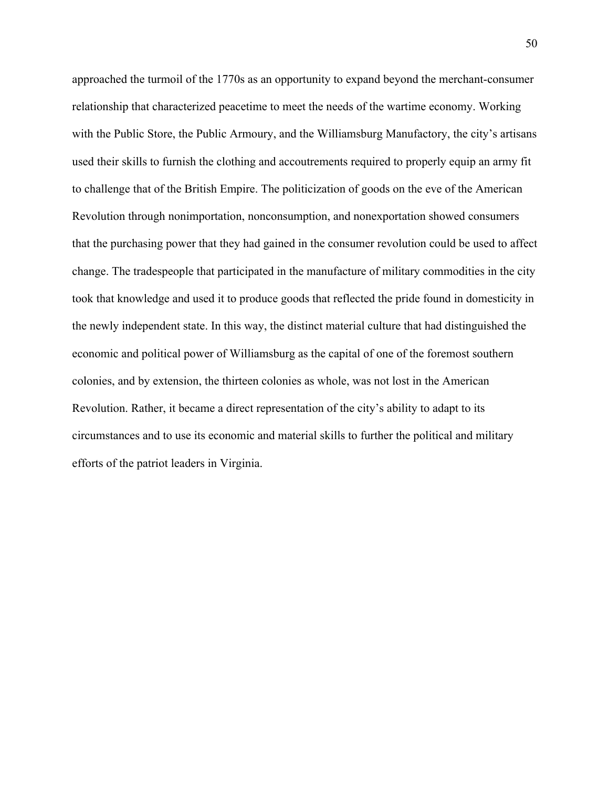approached the turmoil of the 1770s as an opportunity to expand beyond the merchant-consumer relationship that characterized peacetime to meet the needs of the wartime economy. Working with the Public Store, the Public Armoury, and the Williamsburg Manufactory, the city's artisans used their skills to furnish the clothing and accoutrements required to properly equip an army fit to challenge that of the British Empire. The politicization of goods on the eve of the American Revolution through nonimportation, nonconsumption, and nonexportation showed consumers that the purchasing power that they had gained in the consumer revolution could be used to affect change. The tradespeople that participated in the manufacture of military commodities in the city took that knowledge and used it to produce goods that reflected the pride found in domesticity in the newly independent state. In this way, the distinct material culture that had distinguished the economic and political power of Williamsburg as the capital of one of the foremost southern colonies, and by extension, the thirteen colonies as whole, was not lost in the American Revolution. Rather, it became a direct representation of the city's ability to adapt to its circumstances and to use its economic and material skills to further the political and military efforts of the patriot leaders in Virginia.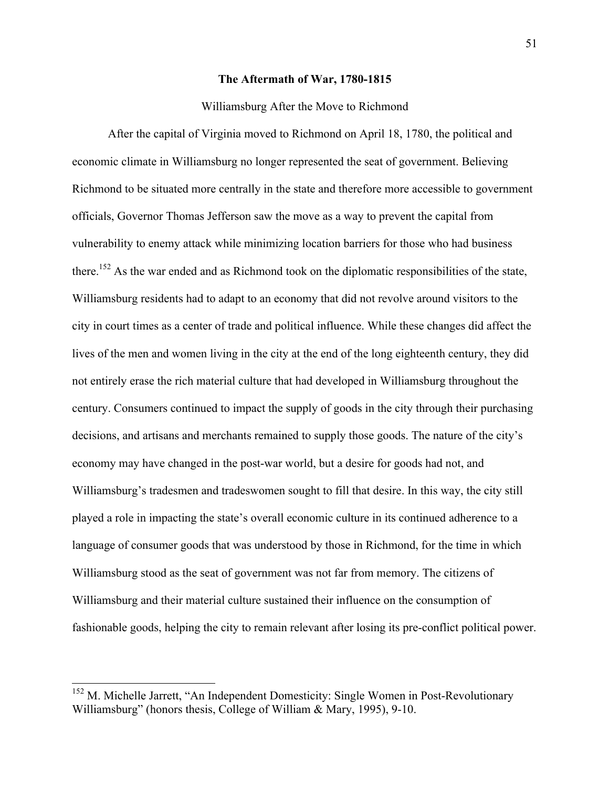# **The Aftermath of War, 1780-1815**

## Williamsburg After the Move to Richmond

After the capital of Virginia moved to Richmond on April 18, 1780, the political and economic climate in Williamsburg no longer represented the seat of government. Believing Richmond to be situated more centrally in the state and therefore more accessible to government officials, Governor Thomas Jefferson saw the move as a way to prevent the capital from vulnerability to enemy attack while minimizing location barriers for those who had business there.<sup>152</sup> As the war ended and as Richmond took on the diplomatic responsibilities of the state, Williamsburg residents had to adapt to an economy that did not revolve around visitors to the city in court times as a center of trade and political influence. While these changes did affect the lives of the men and women living in the city at the end of the long eighteenth century, they did not entirely erase the rich material culture that had developed in Williamsburg throughout the century. Consumers continued to impact the supply of goods in the city through their purchasing decisions, and artisans and merchants remained to supply those goods. The nature of the city's economy may have changed in the post-war world, but a desire for goods had not, and Williamsburg's tradesmen and tradeswomen sought to fill that desire. In this way, the city still played a role in impacting the state's overall economic culture in its continued adherence to a language of consumer goods that was understood by those in Richmond, for the time in which Williamsburg stood as the seat of government was not far from memory. The citizens of Williamsburg and their material culture sustained their influence on the consumption of fashionable goods, helping the city to remain relevant after losing its pre-conflict political power.

<sup>&</sup>lt;sup>152</sup> M. Michelle Jarrett, "An Independent Domesticity: Single Women in Post-Revolutionary Williamsburg" (honors thesis, College of William & Mary, 1995), 9-10.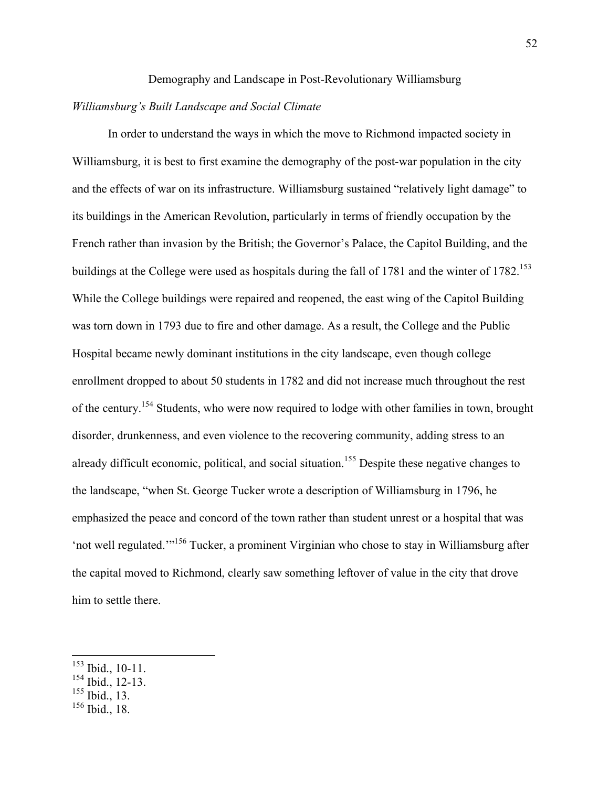#### Demography and Landscape in Post-Revolutionary Williamsburg

## *Williamsburg's Built Landscape and Social Climate*

In order to understand the ways in which the move to Richmond impacted society in Williamsburg, it is best to first examine the demography of the post-war population in the city and the effects of war on its infrastructure. Williamsburg sustained "relatively light damage" to its buildings in the American Revolution, particularly in terms of friendly occupation by the French rather than invasion by the British; the Governor's Palace, the Capitol Building, and the buildings at the College were used as hospitals during the fall of 1781 and the winter of  $1782$ <sup>153</sup> While the College buildings were repaired and reopened, the east wing of the Capitol Building was torn down in 1793 due to fire and other damage. As a result, the College and the Public Hospital became newly dominant institutions in the city landscape, even though college enrollment dropped to about 50 students in 1782 and did not increase much throughout the rest of the century.154 Students, who were now required to lodge with other families in town, brought disorder, drunkenness, and even violence to the recovering community, adding stress to an already difficult economic, political, and social situation.<sup>155</sup> Despite these negative changes to the landscape, "when St. George Tucker wrote a description of Williamsburg in 1796, he emphasized the peace and concord of the town rather than student unrest or a hospital that was 'not well regulated.'"<sup>156</sup> Tucker, a prominent Virginian who chose to stay in Williamsburg after the capital moved to Richmond, clearly saw something leftover of value in the city that drove him to settle there.

<sup>155</sup> Ibid., 13.

 <sup>153</sup> Ibid., 10-11.

<sup>&</sup>lt;sup>154</sup> Ibid., 12-13.

<sup>156</sup> Ibid., 18.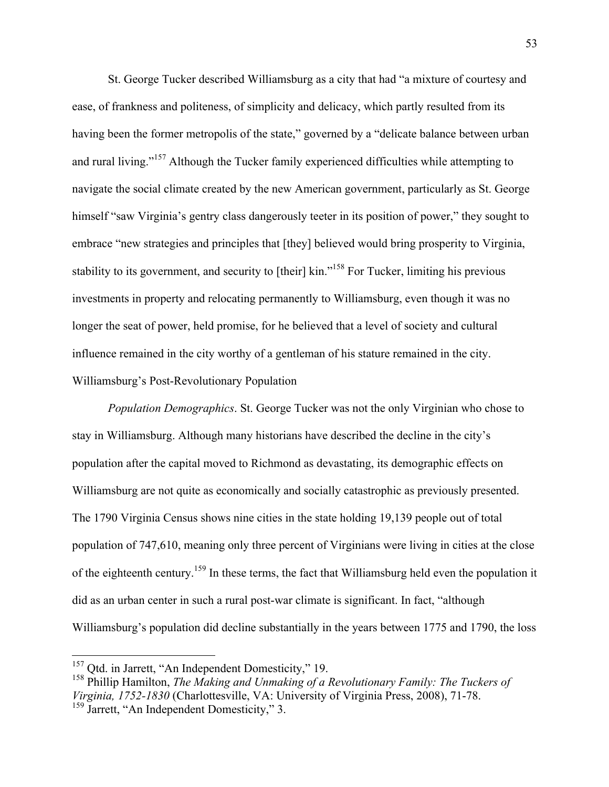St. George Tucker described Williamsburg as a city that had "a mixture of courtesy and ease, of frankness and politeness, of simplicity and delicacy, which partly resulted from its having been the former metropolis of the state," governed by a "delicate balance between urban and rural living."<sup>157</sup> Although the Tucker family experienced difficulties while attempting to navigate the social climate created by the new American government, particularly as St. George himself "saw Virginia's gentry class dangerously teeter in its position of power," they sought to embrace "new strategies and principles that [they] believed would bring prosperity to Virginia, stability to its government, and security to [their] kin."<sup>158</sup> For Tucker, limiting his previous investments in property and relocating permanently to Williamsburg, even though it was no longer the seat of power, held promise, for he believed that a level of society and cultural influence remained in the city worthy of a gentleman of his stature remained in the city. Williamsburg's Post-Revolutionary Population

*Population Demographics*. St. George Tucker was not the only Virginian who chose to stay in Williamsburg. Although many historians have described the decline in the city's population after the capital moved to Richmond as devastating, its demographic effects on Williamsburg are not quite as economically and socially catastrophic as previously presented. The 1790 Virginia Census shows nine cities in the state holding 19,139 people out of total population of 747,610, meaning only three percent of Virginians were living in cities at the close of the eighteenth century.<sup>159</sup> In these terms, the fact that Williamsburg held even the population it did as an urban center in such a rural post-war climate is significant. In fact, "although Williamsburg's population did decline substantially in the years between 1775 and 1790, the loss

<sup>&</sup>lt;sup>157</sup> Qtd. in Jarrett, "An Independent Domesticity," 19.

<sup>158</sup> Phillip Hamilton, *The Making and Unmaking of a Revolutionary Family: The Tuckers of Virginia, 1752-1830* (Charlottesville, VA: University of Virginia Press, 2008), 71-78. <sup>159</sup> Jarrett, "An Independent Domesticity," 3.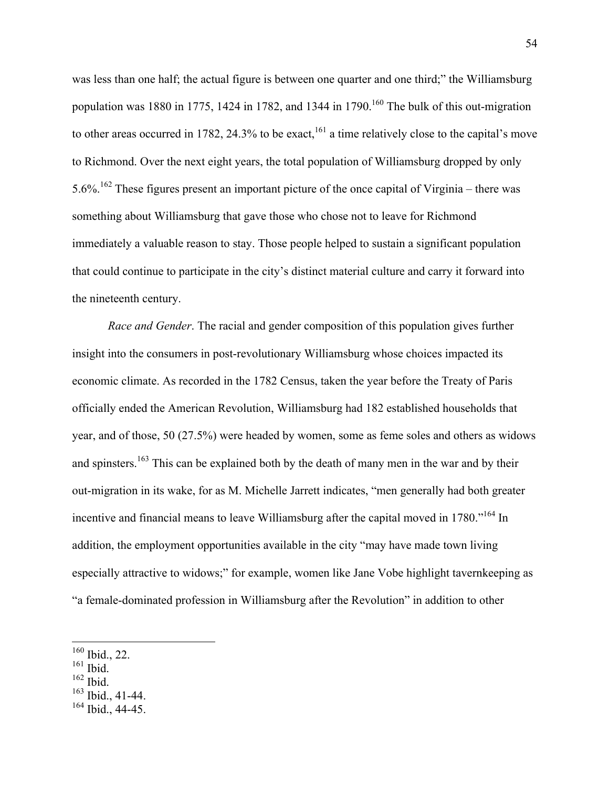was less than one half; the actual figure is between one quarter and one third;" the Williamsburg population was 1880 in 1775, 1424 in 1782, and 1344 in 1790.<sup>160</sup> The bulk of this out-migration to other areas occurred in 1782, 24.3% to be exact,<sup>161</sup> a time relatively close to the capital's move to Richmond. Over the next eight years, the total population of Williamsburg dropped by only 5.6%.<sup>162</sup> These figures present an important picture of the once capital of Virginia – there was something about Williamsburg that gave those who chose not to leave for Richmond immediately a valuable reason to stay. Those people helped to sustain a significant population that could continue to participate in the city's distinct material culture and carry it forward into the nineteenth century.

*Race and Gender*. The racial and gender composition of this population gives further insight into the consumers in post-revolutionary Williamsburg whose choices impacted its economic climate. As recorded in the 1782 Census, taken the year before the Treaty of Paris officially ended the American Revolution, Williamsburg had 182 established households that year, and of those, 50 (27.5%) were headed by women, some as feme soles and others as widows and spinsters.<sup>163</sup> This can be explained both by the death of many men in the war and by their out-migration in its wake, for as M. Michelle Jarrett indicates, "men generally had both greater incentive and financial means to leave Williamsburg after the capital moved in 1780."<sup>164</sup> In addition, the employment opportunities available in the city "may have made town living especially attractive to widows;" for example, women like Jane Vobe highlight tavernkeeping as "a female-dominated profession in Williamsburg after the Revolution" in addition to other

- $161$  Ibid.
- $162$  Ibid.
- <sup>163</sup> Ibid., 41-44.

 <sup>160</sup> Ibid., 22.

 $164$  Ibid., 44-45.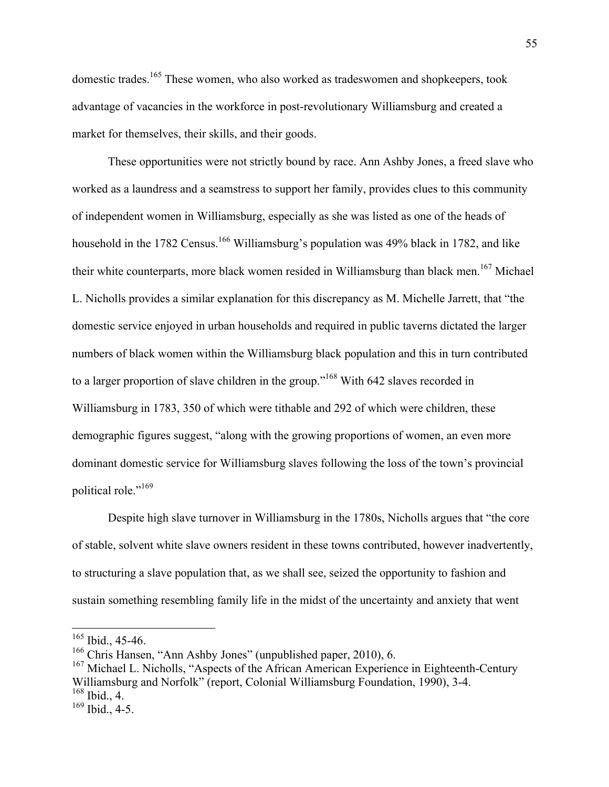domestic trades.<sup>165</sup> These women, who also worked as tradeswomen and shopkeepers, took advantage of vacancies in the workforce in post-revolutionary Williamsburg and created a market for themselves, their skills, and their goods.

These opportunities were not strictly bound by race. Ann Ashby Jones, a freed slave who worked as a laundress and a seamstress to support her family, provides clues to this community of independent women in Williamsburg, especially as she was listed as one of the heads of household in the 1782 Census.<sup>166</sup> Williamsburg's population was 49% black in 1782, and like their white counterparts, more black women resided in Williamsburg than black men.<sup>167</sup> Michael L. Nicholls provides a similar explanation for this discrepancy as M. Michelle Jarrett, that "the domestic service enjoyed in urban households and required in public taverns dictated the larger numbers of black women within the Williamsburg black population and this in turn contributed to a larger proportion of slave children in the group."<sup>168</sup> With 642 slaves recorded in Williamsburg in 1783, 350 of which were tithable and 292 of which were children, these demographic figures suggest, "along with the growing proportions of women, an even more dominant domestic service for Williamsburg slaves following the loss of the town's provincial political role."<sup>169</sup>

Despite high slave turnover in Williamsburg in the 1780s, Nicholls argues that "the core of stable, solvent white slave owners resident in these towns contributed, however inadvertently, to structuring a slave population that, as we shall see, seized the opportunity to fashion and sustain something resembling family life in the midst of the uncertainty and anxiety that went

 $165$  Ibid., 45-46.

<sup>166</sup> Chris Hansen, "Ann Ashby Jones" (unpublished paper, 2010), 6.

 $167$  Michael L. Nicholls, "Aspects of the African American Experience in Eighteenth-Century Williamsburg and Norfolk" (report, Colonial Williamsburg Foundation, 1990), 3-4.  $168$  Ibid., 4.

 $169$  Ibid., 4-5.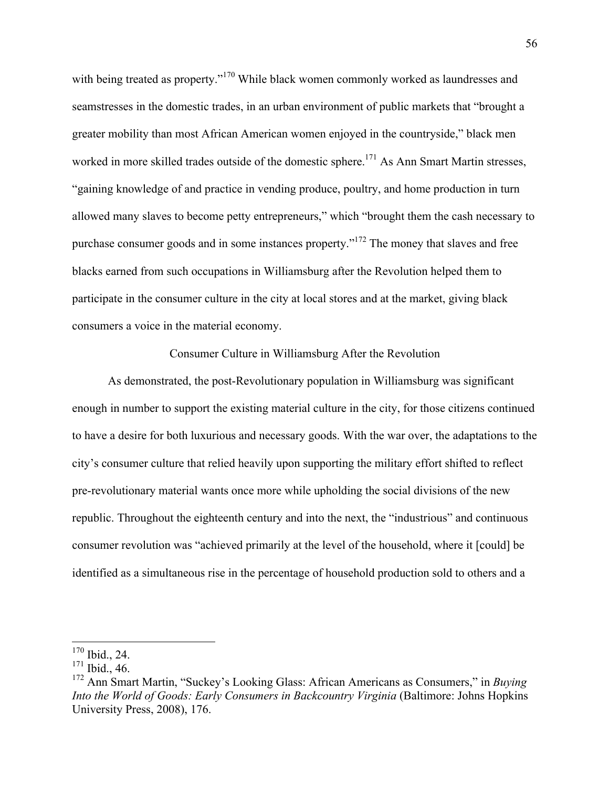with being treated as property."<sup>170</sup> While black women commonly worked as laundresses and seamstresses in the domestic trades, in an urban environment of public markets that "brought a greater mobility than most African American women enjoyed in the countryside," black men worked in more skilled trades outside of the domestic sphere.<sup>171</sup> As Ann Smart Martin stresses, "gaining knowledge of and practice in vending produce, poultry, and home production in turn allowed many slaves to become petty entrepreneurs," which "brought them the cash necessary to purchase consumer goods and in some instances property."<sup>172</sup> The money that slaves and free blacks earned from such occupations in Williamsburg after the Revolution helped them to participate in the consumer culture in the city at local stores and at the market, giving black consumers a voice in the material economy.

## Consumer Culture in Williamsburg After the Revolution

As demonstrated, the post-Revolutionary population in Williamsburg was significant enough in number to support the existing material culture in the city, for those citizens continued to have a desire for both luxurious and necessary goods. With the war over, the adaptations to the city's consumer culture that relied heavily upon supporting the military effort shifted to reflect pre-revolutionary material wants once more while upholding the social divisions of the new republic. Throughout the eighteenth century and into the next, the "industrious" and continuous consumer revolution was "achieved primarily at the level of the household, where it [could] be identified as a simultaneous rise in the percentage of household production sold to others and a

 <sup>170</sup> Ibid., 24.

 $171$  Ibid., 46.

<sup>172</sup> Ann Smart Martin, "Suckey's Looking Glass: African Americans as Consumers," in *Buying Into the World of Goods: Early Consumers in Backcountry Virginia* (Baltimore: Johns Hopkins University Press, 2008), 176.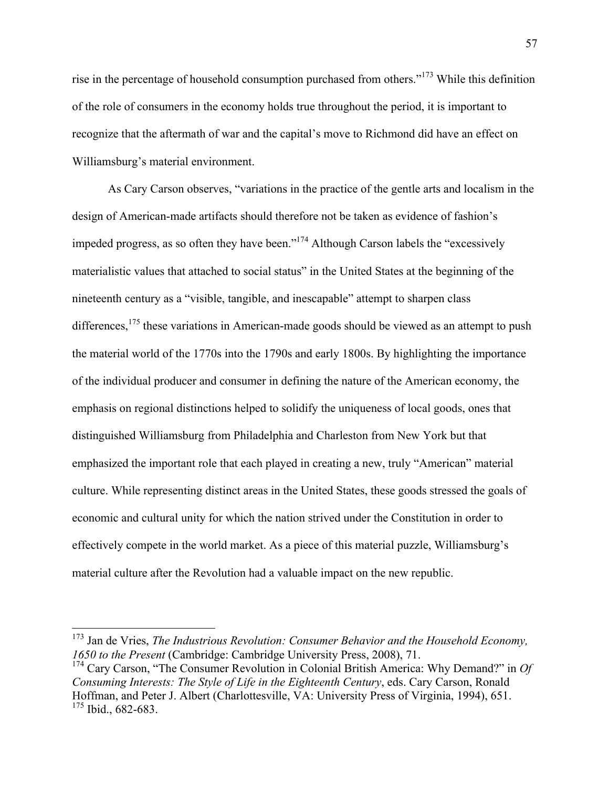rise in the percentage of household consumption purchased from others."<sup>173</sup> While this definition of the role of consumers in the economy holds true throughout the period, it is important to recognize that the aftermath of war and the capital's move to Richmond did have an effect on Williamsburg's material environment.

As Cary Carson observes, "variations in the practice of the gentle arts and localism in the design of American-made artifacts should therefore not be taken as evidence of fashion's impeded progress, as so often they have been."<sup>174</sup> Although Carson labels the "excessively materialistic values that attached to social status" in the United States at the beginning of the nineteenth century as a "visible, tangible, and inescapable" attempt to sharpen class differences,<sup>175</sup> these variations in American-made goods should be viewed as an attempt to push the material world of the 1770s into the 1790s and early 1800s. By highlighting the importance of the individual producer and consumer in defining the nature of the American economy, the emphasis on regional distinctions helped to solidify the uniqueness of local goods, ones that distinguished Williamsburg from Philadelphia and Charleston from New York but that emphasized the important role that each played in creating a new, truly "American" material culture. While representing distinct areas in the United States, these goods stressed the goals of economic and cultural unity for which the nation strived under the Constitution in order to effectively compete in the world market. As a piece of this material puzzle, Williamsburg's material culture after the Revolution had a valuable impact on the new republic.

 <sup>173</sup> Jan de Vries, *The Industrious Revolution: Consumer Behavior and the Household Economy, 1650 to the Present* (Cambridge: Cambridge University Press, 2008), 71.

<sup>174</sup> Cary Carson, "The Consumer Revolution in Colonial British America: Why Demand?" in *Of Consuming Interests: The Style of Life in the Eighteenth Century*, eds. Cary Carson, Ronald Hoffman, and Peter J. Albert (Charlottesville, VA: University Press of Virginia, 1994), 651. <sup>175</sup> Ibid., 682-683.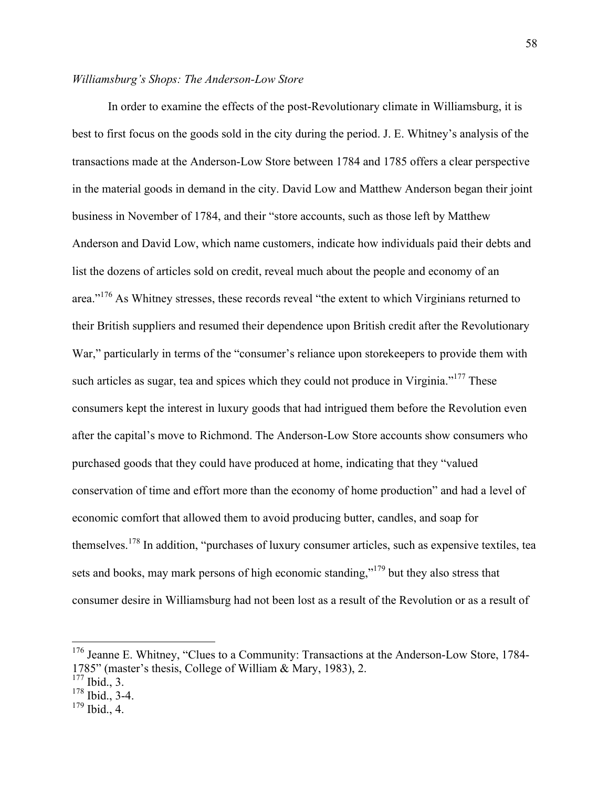## *Williamsburg's Shops: The Anderson-Low Store*

In order to examine the effects of the post-Revolutionary climate in Williamsburg, it is best to first focus on the goods sold in the city during the period. J. E. Whitney's analysis of the transactions made at the Anderson-Low Store between 1784 and 1785 offers a clear perspective in the material goods in demand in the city. David Low and Matthew Anderson began their joint business in November of 1784, and their "store accounts, such as those left by Matthew Anderson and David Low, which name customers, indicate how individuals paid their debts and list the dozens of articles sold on credit, reveal much about the people and economy of an area."<sup>176</sup> As Whitney stresses, these records reveal "the extent to which Virginians returned to their British suppliers and resumed their dependence upon British credit after the Revolutionary War," particularly in terms of the "consumer's reliance upon store keepers to provide them with such articles as sugar, tea and spices which they could not produce in Virginia."<sup>177</sup> These consumers kept the interest in luxury goods that had intrigued them before the Revolution even after the capital's move to Richmond. The Anderson-Low Store accounts show consumers who purchased goods that they could have produced at home, indicating that they "valued conservation of time and effort more than the economy of home production" and had a level of economic comfort that allowed them to avoid producing butter, candles, and soap for themselves.<sup>178</sup> In addition, "purchases of luxury consumer articles, such as expensive textiles, tea sets and books, may mark persons of high economic standing,"<sup>179</sup> but they also stress that consumer desire in Williamsburg had not been lost as a result of the Revolution or as a result of

<sup>&</sup>lt;sup>176</sup> Jeanne E. Whitney, "Clues to a Community: Transactions at the Anderson-Low Store, 1784-1785" (master's thesis, College of William & Mary, 1983), 2.

 $177$  Ibid., 3.

<sup>178</sup> Ibid., 3-4.

 $179$  Ibid., 4.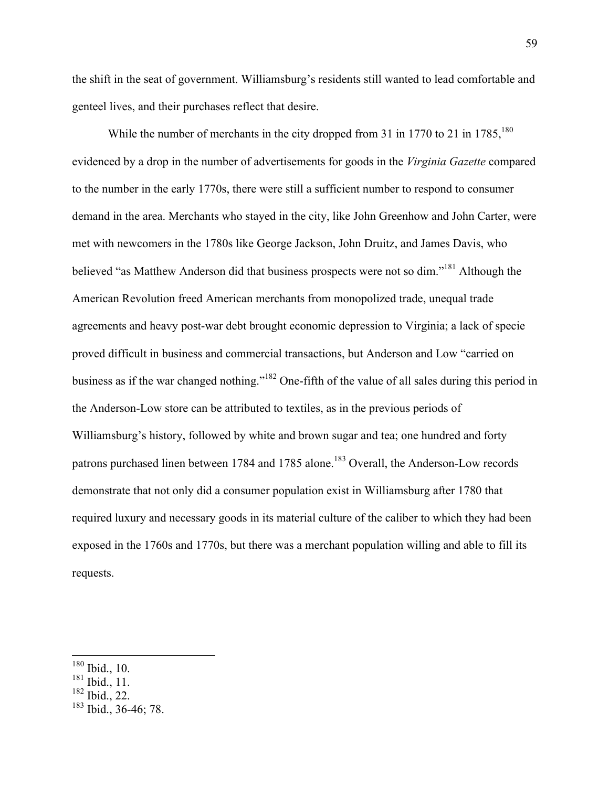the shift in the seat of government. Williamsburg's residents still wanted to lead comfortable and genteel lives, and their purchases reflect that desire.

While the number of merchants in the city dropped from 31 in 1770 to 21 in  $1785$ ,<sup>180</sup> evidenced by a drop in the number of advertisements for goods in the *Virginia Gazette* compared to the number in the early 1770s, there were still a sufficient number to respond to consumer demand in the area. Merchants who stayed in the city, like John Greenhow and John Carter, were met with newcomers in the 1780s like George Jackson, John Druitz, and James Davis, who believed "as Matthew Anderson did that business prospects were not so dim."<sup>181</sup> Although the American Revolution freed American merchants from monopolized trade, unequal trade agreements and heavy post-war debt brought economic depression to Virginia; a lack of specie proved difficult in business and commercial transactions, but Anderson and Low "carried on business as if the war changed nothing."<sup>182</sup> One-fifth of the value of all sales during this period in the Anderson-Low store can be attributed to textiles, as in the previous periods of Williamsburg's history, followed by white and brown sugar and tea; one hundred and forty patrons purchased linen between 1784 and 1785 alone.<sup>183</sup> Overall, the Anderson-Low records demonstrate that not only did a consumer population exist in Williamsburg after 1780 that required luxury and necessary goods in its material culture of the caliber to which they had been exposed in the 1760s and 1770s, but there was a merchant population willing and able to fill its requests.

 $182$  Ibid., 22.

 <sup>180</sup> Ibid., 10.

<sup>181</sup> Ibid., 11.

<sup>183</sup> Ibid., 36-46; 78.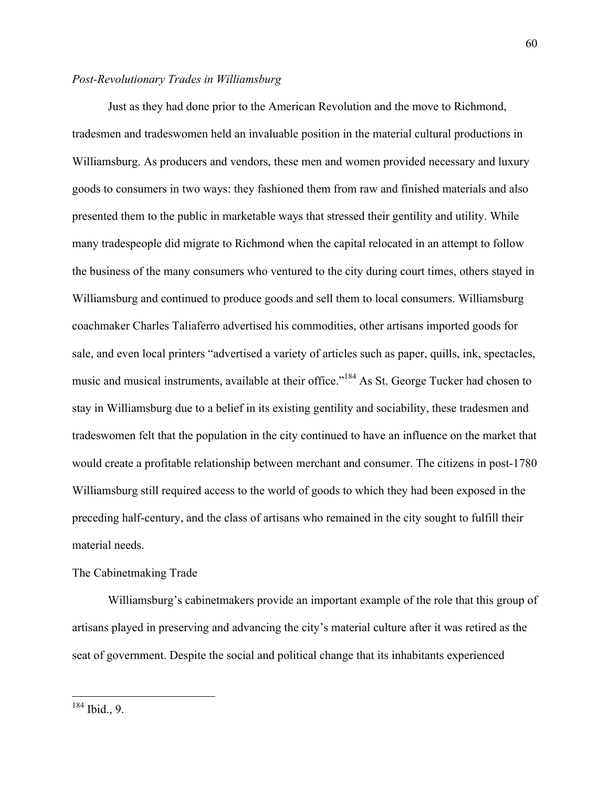# *Post-Revolutionary Trades in Williamsburg*

Just as they had done prior to the American Revolution and the move to Richmond, tradesmen and tradeswomen held an invaluable position in the material cultural productions in Williamsburg. As producers and vendors, these men and women provided necessary and luxury goods to consumers in two ways: they fashioned them from raw and finished materials and also presented them to the public in marketable ways that stressed their gentility and utility. While many tradespeople did migrate to Richmond when the capital relocated in an attempt to follow the business of the many consumers who ventured to the city during court times, others stayed in Williamsburg and continued to produce goods and sell them to local consumers. Williamsburg coachmaker Charles Taliaferro advertised his commodities, other artisans imported goods for sale, and even local printers "advertised a variety of articles such as paper, quills, ink, spectacles, music and musical instruments, available at their office."<sup>184</sup> As St. George Tucker had chosen to stay in Williamsburg due to a belief in its existing gentility and sociability, these tradesmen and tradeswomen felt that the population in the city continued to have an influence on the market that would create a profitable relationship between merchant and consumer. The citizens in post-1780 Williamsburg still required access to the world of goods to which they had been exposed in the preceding half-century, and the class of artisans who remained in the city sought to fulfill their material needs.

## The Cabinetmaking Trade

Williamsburg's cabinetmakers provide an important example of the role that this group of artisans played in preserving and advancing the city's material culture after it was retired as the seat of government. Despite the social and political change that its inhabitants experienced

60

 <sup>184</sup> Ibid., 9.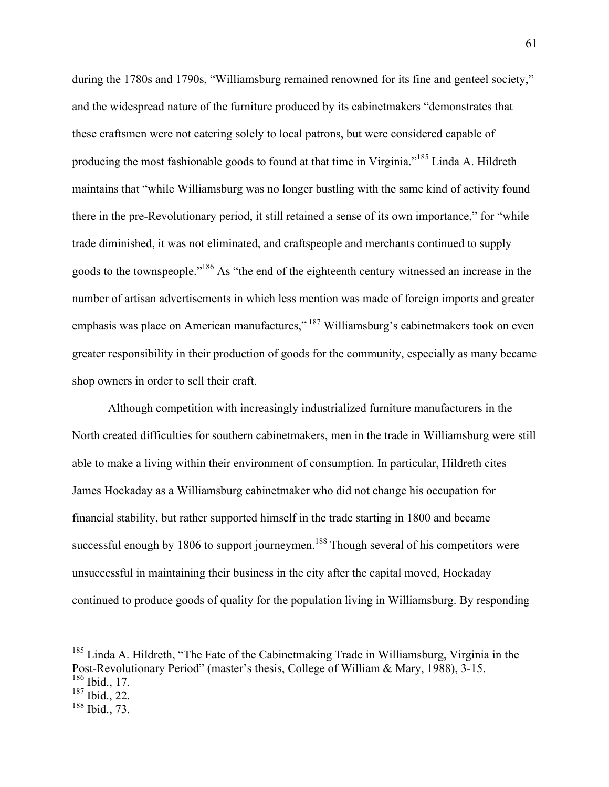during the 1780s and 1790s, "Williamsburg remained renowned for its fine and genteel society," and the widespread nature of the furniture produced by its cabinetmakers "demonstrates that these craftsmen were not catering solely to local patrons, but were considered capable of producing the most fashionable goods to found at that time in Virginia."185 Linda A. Hildreth maintains that "while Williamsburg was no longer bustling with the same kind of activity found there in the pre-Revolutionary period, it still retained a sense of its own importance," for "while trade diminished, it was not eliminated, and craftspeople and merchants continued to supply goods to the townspeople."186 As "the end of the eighteenth century witnessed an increase in the number of artisan advertisements in which less mention was made of foreign imports and greater emphasis was place on American manufactures,"<sup>187</sup> Williamsburg's cabinetmakers took on even greater responsibility in their production of goods for the community, especially as many became shop owners in order to sell their craft.

Although competition with increasingly industrialized furniture manufacturers in the North created difficulties for southern cabinetmakers, men in the trade in Williamsburg were still able to make a living within their environment of consumption. In particular, Hildreth cites James Hockaday as a Williamsburg cabinetmaker who did not change his occupation for financial stability, but rather supported himself in the trade starting in 1800 and became successful enough by 1806 to support journeymen.<sup>188</sup> Though several of his competitors were unsuccessful in maintaining their business in the city after the capital moved, Hockaday continued to produce goods of quality for the population living in Williamsburg. By responding

<sup>&</sup>lt;sup>185</sup> Linda A. Hildreth, "The Fate of the Cabinetmaking Trade in Williamsburg, Virginia in the Post-Revolutionary Period" (master's thesis, College of William & Mary, 1988), 3-15. <sup>186</sup> Ibid., 17.

<sup>187</sup> Ibid., 22.

<sup>188</sup> Ibid., 73.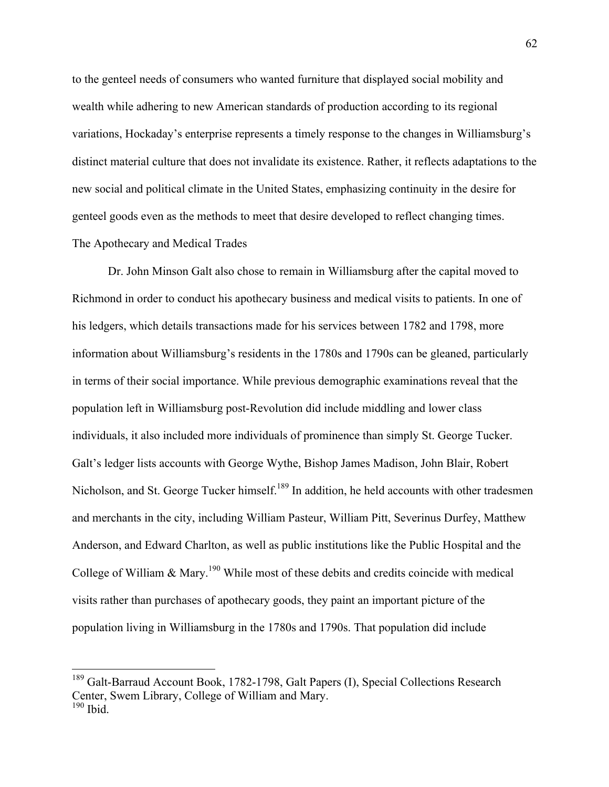to the genteel needs of consumers who wanted furniture that displayed social mobility and wealth while adhering to new American standards of production according to its regional variations, Hockaday's enterprise represents a timely response to the changes in Williamsburg's distinct material culture that does not invalidate its existence. Rather, it reflects adaptations to the new social and political climate in the United States, emphasizing continuity in the desire for genteel goods even as the methods to meet that desire developed to reflect changing times. The Apothecary and Medical Trades

Dr. John Minson Galt also chose to remain in Williamsburg after the capital moved to Richmond in order to conduct his apothecary business and medical visits to patients. In one of his ledgers, which details transactions made for his services between 1782 and 1798, more information about Williamsburg's residents in the 1780s and 1790s can be gleaned, particularly in terms of their social importance. While previous demographic examinations reveal that the population left in Williamsburg post-Revolution did include middling and lower class individuals, it also included more individuals of prominence than simply St. George Tucker. Galt's ledger lists accounts with George Wythe, Bishop James Madison, John Blair, Robert Nicholson, and St. George Tucker himself.<sup>189</sup> In addition, he held accounts with other tradesmen and merchants in the city, including William Pasteur, William Pitt, Severinus Durfey, Matthew Anderson, and Edward Charlton, as well as public institutions like the Public Hospital and the College of William  $\&$  Mary.<sup>190</sup> While most of these debits and credits coincide with medical visits rather than purchases of apothecary goods, they paint an important picture of the population living in Williamsburg in the 1780s and 1790s. That population did include

<sup>&</sup>lt;sup>189</sup> Galt-Barraud Account Book, 1782-1798, Galt Papers (I), Special Collections Research Center, Swem Library, College of William and Mary.  $190$  Ibid.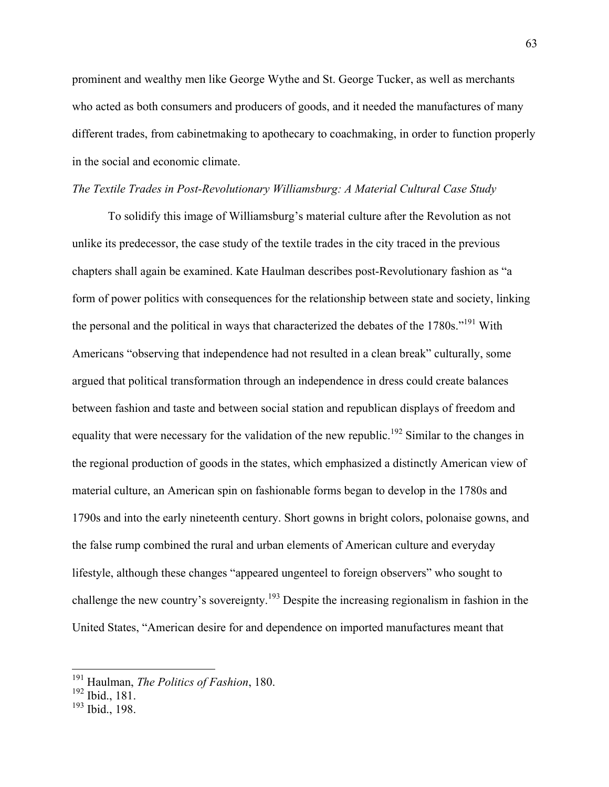prominent and wealthy men like George Wythe and St. George Tucker, as well as merchants who acted as both consumers and producers of goods, and it needed the manufactures of many different trades, from cabinetmaking to apothecary to coachmaking, in order to function properly in the social and economic climate.

#### *The Textile Trades in Post-Revolutionary Williamsburg: A Material Cultural Case Study*

To solidify this image of Williamsburg's material culture after the Revolution as not unlike its predecessor, the case study of the textile trades in the city traced in the previous chapters shall again be examined. Kate Haulman describes post-Revolutionary fashion as "a form of power politics with consequences for the relationship between state and society, linking the personal and the political in ways that characterized the debates of the 1780s."191 With Americans "observing that independence had not resulted in a clean break" culturally, some argued that political transformation through an independence in dress could create balances between fashion and taste and between social station and republican displays of freedom and equality that were necessary for the validation of the new republic.<sup>192</sup> Similar to the changes in the regional production of goods in the states, which emphasized a distinctly American view of material culture, an American spin on fashionable forms began to develop in the 1780s and 1790s and into the early nineteenth century. Short gowns in bright colors, polonaise gowns, and the false rump combined the rural and urban elements of American culture and everyday lifestyle, although these changes "appeared ungenteel to foreign observers" who sought to challenge the new country's sovereignty.<sup>193</sup> Despite the increasing regionalism in fashion in the United States, "American desire for and dependence on imported manufactures meant that

 <sup>191</sup> Haulman, *The Politics of Fashion*, 180.

<sup>192</sup> Ibid., 181.

 $193$  Ibid., 198.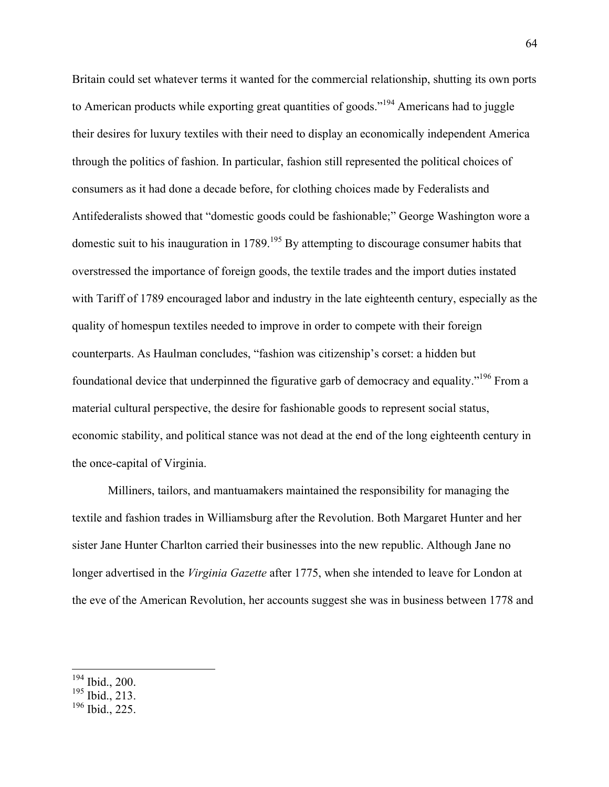Britain could set whatever terms it wanted for the commercial relationship, shutting its own ports to American products while exporting great quantities of goods."194 Americans had to juggle their desires for luxury textiles with their need to display an economically independent America through the politics of fashion. In particular, fashion still represented the political choices of consumers as it had done a decade before, for clothing choices made by Federalists and Antifederalists showed that "domestic goods could be fashionable;" George Washington wore a domestic suit to his inauguration in 1789.<sup>195</sup> By attempting to discourage consumer habits that overstressed the importance of foreign goods, the textile trades and the import duties instated with Tariff of 1789 encouraged labor and industry in the late eighteenth century, especially as the quality of homespun textiles needed to improve in order to compete with their foreign counterparts. As Haulman concludes, "fashion was citizenship's corset: a hidden but foundational device that underpinned the figurative garb of democracy and equality."196 From a material cultural perspective, the desire for fashionable goods to represent social status, economic stability, and political stance was not dead at the end of the long eighteenth century in the once-capital of Virginia.

Milliners, tailors, and mantuamakers maintained the responsibility for managing the textile and fashion trades in Williamsburg after the Revolution. Both Margaret Hunter and her sister Jane Hunter Charlton carried their businesses into the new republic. Although Jane no longer advertised in the *Virginia Gazette* after 1775, when she intended to leave for London at the eve of the American Revolution, her accounts suggest she was in business between 1778 and

 <sup>194</sup> Ibid., 200.

 $195$  Ibid., 213.

 $196$  Ibid., 225.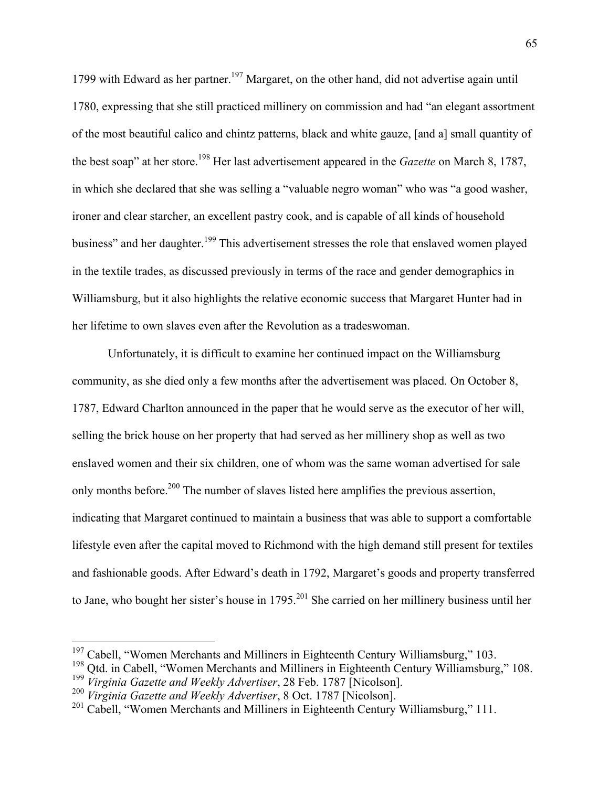1799 with Edward as her partner.<sup>197</sup> Margaret, on the other hand, did not advertise again until 1780, expressing that she still practiced millinery on commission and had "an elegant assortment of the most beautiful calico and chintz patterns, black and white gauze, [and a] small quantity of the best soap" at her store.<sup>198</sup> Her last advertisement appeared in the *Gazette* on March 8, 1787, in which she declared that she was selling a "valuable negro woman" who was "a good washer, ironer and clear starcher, an excellent pastry cook, and is capable of all kinds of household business" and her daughter.<sup>199</sup> This advertisement stresses the role that enslaved women played in the textile trades, as discussed previously in terms of the race and gender demographics in Williamsburg, but it also highlights the relative economic success that Margaret Hunter had in her lifetime to own slaves even after the Revolution as a tradeswoman.

Unfortunately, it is difficult to examine her continued impact on the Williamsburg community, as she died only a few months after the advertisement was placed. On October 8, 1787, Edward Charlton announced in the paper that he would serve as the executor of her will, selling the brick house on her property that had served as her millinery shop as well as two enslaved women and their six children, one of whom was the same woman advertised for sale only months before.<sup>200</sup> The number of slaves listed here amplifies the previous assertion, indicating that Margaret continued to maintain a business that was able to support a comfortable lifestyle even after the capital moved to Richmond with the high demand still present for textiles and fashionable goods. After Edward's death in 1792, Margaret's goods and property transferred to Jane, who bought her sister's house in 1795.<sup>201</sup> She carried on her millinery business until her

<sup>&</sup>lt;sup>197</sup> Cabell, "Women Merchants and Milliners in Eighteenth Century Williamsburg," 103.

<sup>&</sup>lt;sup>198</sup> Qtd. in Cabell, "Women Merchants and Milliners in Eighteenth Century Williamsburg," 108.<br><sup>199</sup> Virginia Gazette and Weekly Advertiser, 28 Feb. 1787 [Nicolson].

<sup>&</sup>lt;sup>200</sup> *Virginia Gazette and Weekly Advertiser*, 8 Oct. 1787 [Nicolson].

 $201$  Cabell, "Women Merchants and Milliners in Eighteenth Century Williamsburg," 111.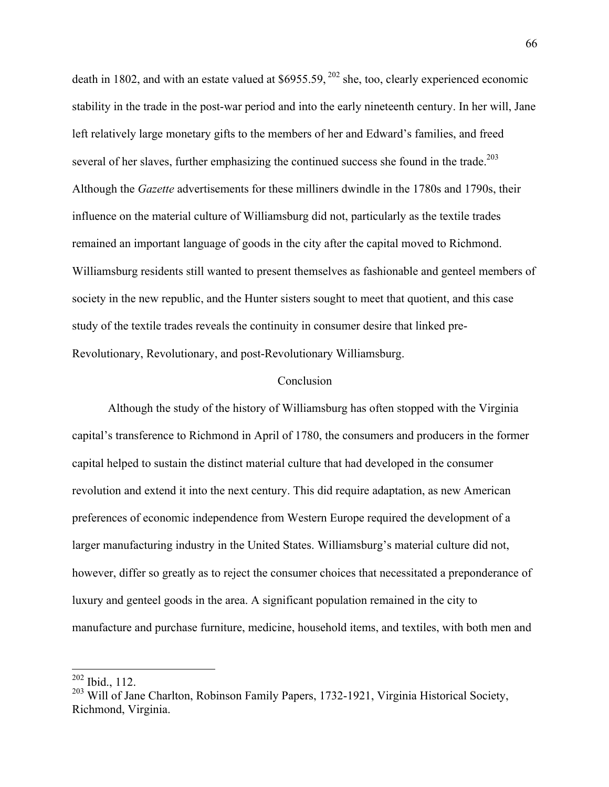death in 1802, and with an estate valued at  $$6955.59$ ,  $^{202}$  she, too, clearly experienced economic stability in the trade in the post-war period and into the early nineteenth century. In her will, Jane left relatively large monetary gifts to the members of her and Edward's families, and freed several of her slaves, further emphasizing the continued success she found in the trade.<sup>203</sup> Although the *Gazette* advertisements for these milliners dwindle in the 1780s and 1790s, their influence on the material culture of Williamsburg did not, particularly as the textile trades remained an important language of goods in the city after the capital moved to Richmond. Williamsburg residents still wanted to present themselves as fashionable and genteel members of society in the new republic, and the Hunter sisters sought to meet that quotient, and this case study of the textile trades reveals the continuity in consumer desire that linked pre-Revolutionary, Revolutionary, and post-Revolutionary Williamsburg.

#### Conclusion

Although the study of the history of Williamsburg has often stopped with the Virginia capital's transference to Richmond in April of 1780, the consumers and producers in the former capital helped to sustain the distinct material culture that had developed in the consumer revolution and extend it into the next century. This did require adaptation, as new American preferences of economic independence from Western Europe required the development of a larger manufacturing industry in the United States. Williamsburg's material culture did not, however, differ so greatly as to reject the consumer choices that necessitated a preponderance of luxury and genteel goods in the area. A significant population remained in the city to manufacture and purchase furniture, medicine, household items, and textiles, with both men and

 <sup>202</sup> Ibid., 112.

<sup>&</sup>lt;sup>203</sup> Will of Jane Charlton, Robinson Family Papers, 1732-1921, Virginia Historical Society, Richmond, Virginia.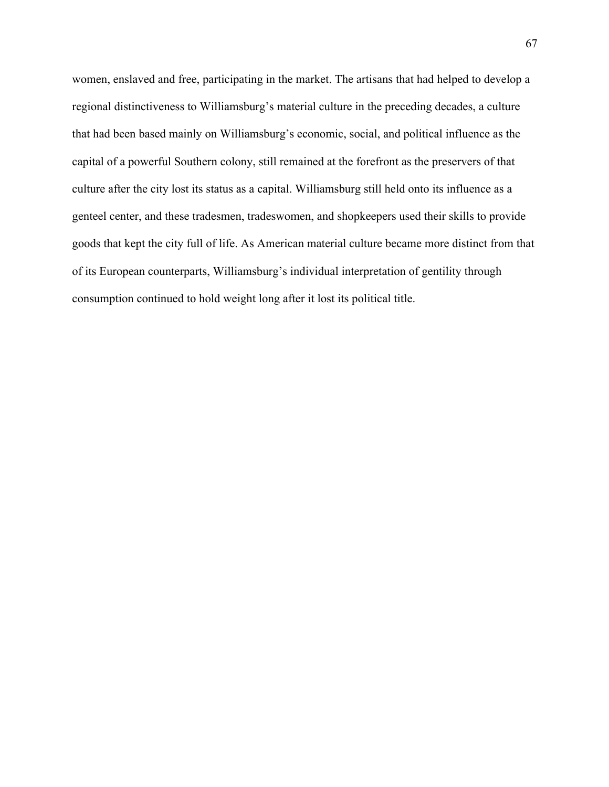women, enslaved and free, participating in the market. The artisans that had helped to develop a regional distinctiveness to Williamsburg's material culture in the preceding decades, a culture that had been based mainly on Williamsburg's economic, social, and political influence as the capital of a powerful Southern colony, still remained at the forefront as the preservers of that culture after the city lost its status as a capital. Williamsburg still held onto its influence as a genteel center, and these tradesmen, tradeswomen, and shopkeepers used their skills to provide goods that kept the city full of life. As American material culture became more distinct from that of its European counterparts, Williamsburg's individual interpretation of gentility through consumption continued to hold weight long after it lost its political title.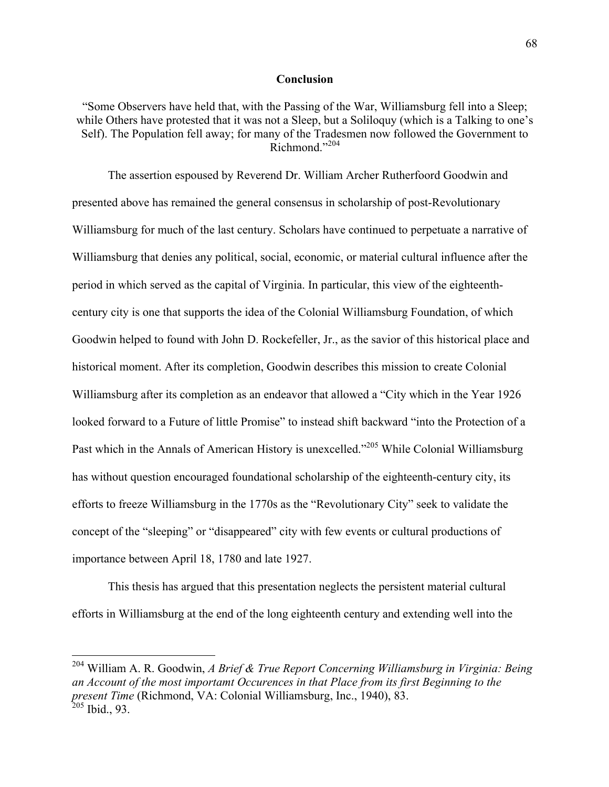## **Conclusion**

"Some Observers have held that, with the Passing of the War, Williamsburg fell into a Sleep; while Others have protested that it was not a Sleep, but a Soliloquy (which is a Talking to one's Self). The Population fell away; for many of the Tradesmen now followed the Government to  $Richmond$ <sup>"204</sup>

The assertion espoused by Reverend Dr. William Archer Rutherfoord Goodwin and presented above has remained the general consensus in scholarship of post-Revolutionary Williamsburg for much of the last century. Scholars have continued to perpetuate a narrative of Williamsburg that denies any political, social, economic, or material cultural influence after the period in which served as the capital of Virginia. In particular, this view of the eighteenthcentury city is one that supports the idea of the Colonial Williamsburg Foundation, of which Goodwin helped to found with John D. Rockefeller, Jr., as the savior of this historical place and historical moment. After its completion, Goodwin describes this mission to create Colonial Williamsburg after its completion as an endeavor that allowed a "City which in the Year 1926 looked forward to a Future of little Promise" to instead shift backward "into the Protection of a Past which in the Annals of American History is unexcelled."<sup>205</sup> While Colonial Williamsburg has without question encouraged foundational scholarship of the eighteenth-century city, its efforts to freeze Williamsburg in the 1770s as the "Revolutionary City" seek to validate the concept of the "sleeping" or "disappeared" city with few events or cultural productions of importance between April 18, 1780 and late 1927.

This thesis has argued that this presentation neglects the persistent material cultural efforts in Williamsburg at the end of the long eighteenth century and extending well into the

 <sup>204</sup> William A. R. Goodwin, *A Brief & True Report Concerning Williamsburg in Virginia: Being an Account of the most importamt Occurences in that Place from its first Beginning to the present Time* (Richmond, VA: Colonial Williamsburg, Inc., 1940), 83.  $205$  Ibid., 93.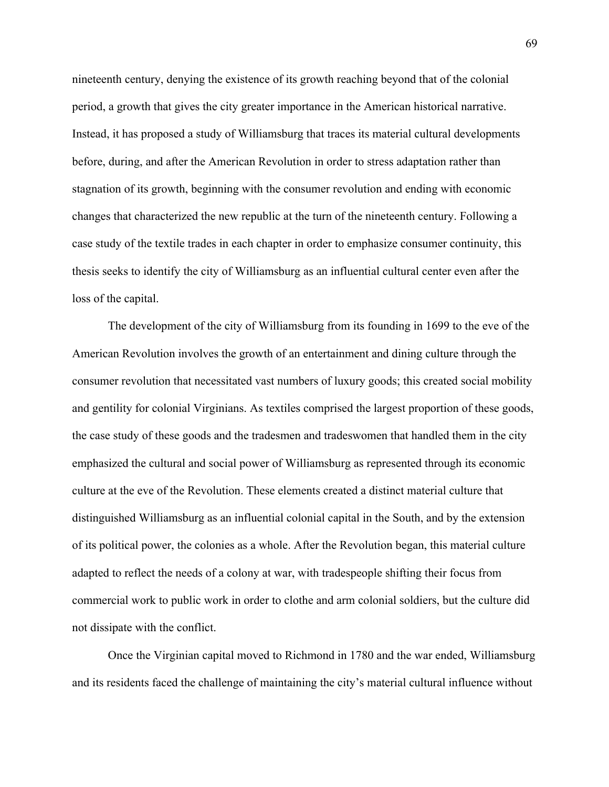nineteenth century, denying the existence of its growth reaching beyond that of the colonial period, a growth that gives the city greater importance in the American historical narrative. Instead, it has proposed a study of Williamsburg that traces its material cultural developments before, during, and after the American Revolution in order to stress adaptation rather than stagnation of its growth, beginning with the consumer revolution and ending with economic changes that characterized the new republic at the turn of the nineteenth century. Following a case study of the textile trades in each chapter in order to emphasize consumer continuity, this thesis seeks to identify the city of Williamsburg as an influential cultural center even after the loss of the capital.

The development of the city of Williamsburg from its founding in 1699 to the eve of the American Revolution involves the growth of an entertainment and dining culture through the consumer revolution that necessitated vast numbers of luxury goods; this created social mobility and gentility for colonial Virginians. As textiles comprised the largest proportion of these goods, the case study of these goods and the tradesmen and tradeswomen that handled them in the city emphasized the cultural and social power of Williamsburg as represented through its economic culture at the eve of the Revolution. These elements created a distinct material culture that distinguished Williamsburg as an influential colonial capital in the South, and by the extension of its political power, the colonies as a whole. After the Revolution began, this material culture adapted to reflect the needs of a colony at war, with tradespeople shifting their focus from commercial work to public work in order to clothe and arm colonial soldiers, but the culture did not dissipate with the conflict.

Once the Virginian capital moved to Richmond in 1780 and the war ended, Williamsburg and its residents faced the challenge of maintaining the city's material cultural influence without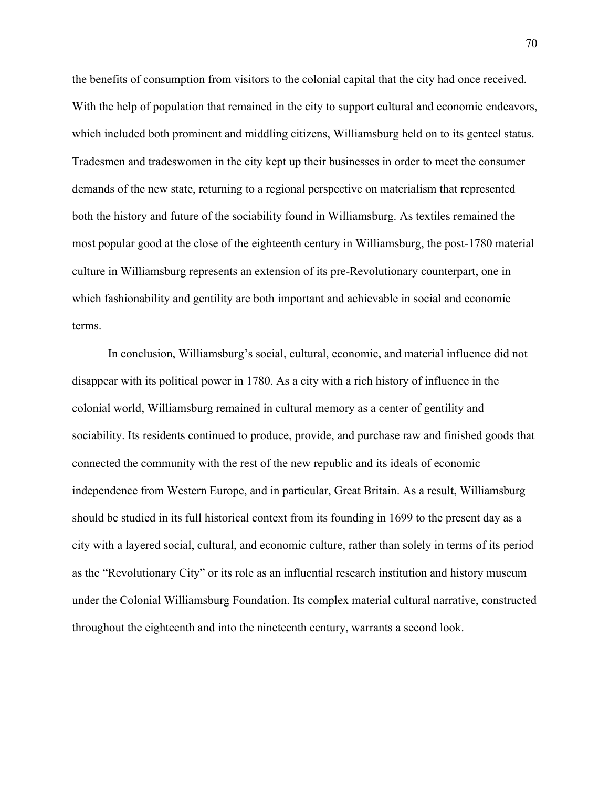the benefits of consumption from visitors to the colonial capital that the city had once received. With the help of population that remained in the city to support cultural and economic endeavors, which included both prominent and middling citizens, Williamsburg held on to its genteel status. Tradesmen and tradeswomen in the city kept up their businesses in order to meet the consumer demands of the new state, returning to a regional perspective on materialism that represented both the history and future of the sociability found in Williamsburg. As textiles remained the most popular good at the close of the eighteenth century in Williamsburg, the post-1780 material culture in Williamsburg represents an extension of its pre-Revolutionary counterpart, one in which fashionability and gentility are both important and achievable in social and economic terms.

In conclusion, Williamsburg's social, cultural, economic, and material influence did not disappear with its political power in 1780. As a city with a rich history of influence in the colonial world, Williamsburg remained in cultural memory as a center of gentility and sociability. Its residents continued to produce, provide, and purchase raw and finished goods that connected the community with the rest of the new republic and its ideals of economic independence from Western Europe, and in particular, Great Britain. As a result, Williamsburg should be studied in its full historical context from its founding in 1699 to the present day as a city with a layered social, cultural, and economic culture, rather than solely in terms of its period as the "Revolutionary City" or its role as an influential research institution and history museum under the Colonial Williamsburg Foundation. Its complex material cultural narrative, constructed throughout the eighteenth and into the nineteenth century, warrants a second look.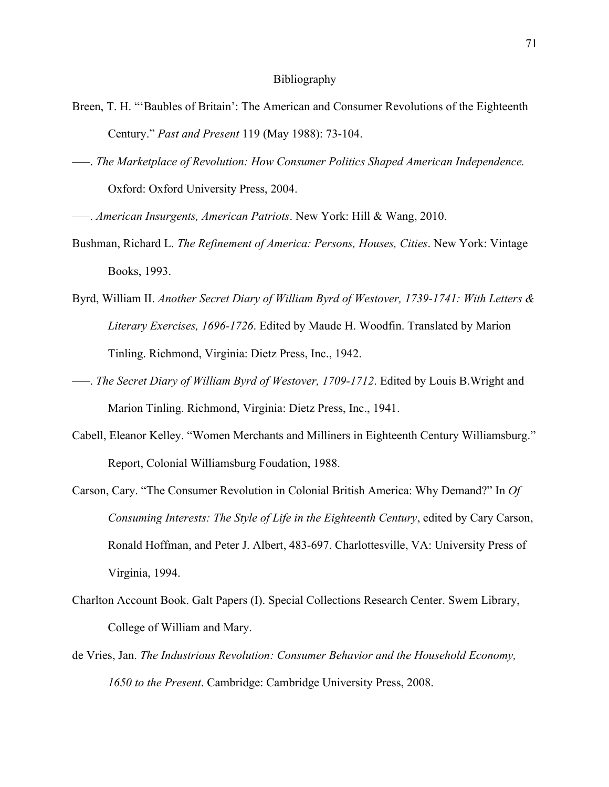## Bibliography

- Breen, T. H. "'Baubles of Britain': The American and Consumer Revolutions of the Eighteenth Century." *Past and Present* 119 (May 1988): 73-104.
- –––. *The Marketplace of Revolution: How Consumer Politics Shaped American Independence.* Oxford: Oxford University Press, 2004.
- –––. *American Insurgents, American Patriots*. New York: Hill & Wang, 2010.
- Bushman, Richard L. *The Refinement of America: Persons, Houses, Cities*. New York: Vintage Books, 1993.
- Byrd, William II. *Another Secret Diary of William Byrd of Westover, 1739-1741: With Letters & Literary Exercises, 1696-1726*. Edited by Maude H. Woodfin. Translated by Marion Tinling. Richmond, Virginia: Dietz Press, Inc., 1942.
- –––. *The Secret Diary of William Byrd of Westover, 1709-1712*. Edited by Louis B.Wright and Marion Tinling. Richmond, Virginia: Dietz Press, Inc., 1941.
- Cabell, Eleanor Kelley. "Women Merchants and Milliners in Eighteenth Century Williamsburg." Report, Colonial Williamsburg Foudation, 1988.
- Carson, Cary. "The Consumer Revolution in Colonial British America: Why Demand?" In *Of Consuming Interests: The Style of Life in the Eighteenth Century*, edited by Cary Carson, Ronald Hoffman, and Peter J. Albert, 483-697. Charlottesville, VA: University Press of Virginia, 1994.
- Charlton Account Book. Galt Papers (I). Special Collections Research Center. Swem Library, College of William and Mary.
- de Vries, Jan. *The Industrious Revolution: Consumer Behavior and the Household Economy, 1650 to the Present*. Cambridge: Cambridge University Press, 2008.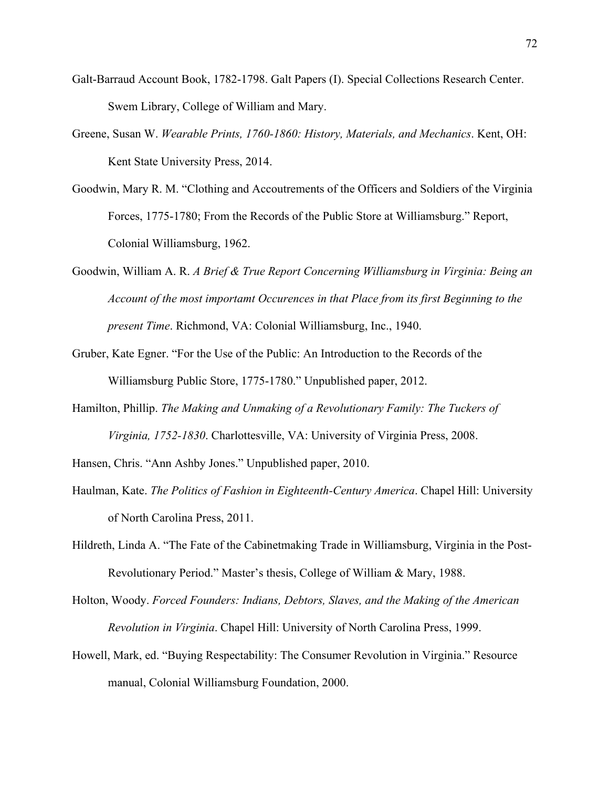- Galt-Barraud Account Book, 1782-1798. Galt Papers (I). Special Collections Research Center. Swem Library, College of William and Mary.
- Greene, Susan W. *Wearable Prints, 1760-1860: History, Materials, and Mechanics*. Kent, OH: Kent State University Press, 2014.
- Goodwin, Mary R. M. "Clothing and Accoutrements of the Officers and Soldiers of the Virginia Forces, 1775-1780; From the Records of the Public Store at Williamsburg." Report, Colonial Williamsburg, 1962.
- Goodwin, William A. R. *A Brief & True Report Concerning Williamsburg in Virginia: Being an Account of the most importamt Occurences in that Place from its first Beginning to the present Time*. Richmond, VA: Colonial Williamsburg, Inc., 1940.
- Gruber, Kate Egner. "For the Use of the Public: An Introduction to the Records of the Williamsburg Public Store, 1775-1780." Unpublished paper, 2012.
- Hamilton, Phillip. *The Making and Unmaking of a Revolutionary Family: The Tuckers of Virginia, 1752-1830*. Charlottesville, VA: University of Virginia Press, 2008.
- Hansen, Chris. "Ann Ashby Jones." Unpublished paper, 2010.
- Haulman, Kate. *The Politics of Fashion in Eighteenth-Century America*. Chapel Hill: University of North Carolina Press, 2011.
- Hildreth, Linda A. "The Fate of the Cabinetmaking Trade in Williamsburg, Virginia in the Post-Revolutionary Period." Master's thesis, College of William & Mary, 1988.
- Holton, Woody. *Forced Founders: Indians, Debtors, Slaves, and the Making of the American Revolution in Virginia*. Chapel Hill: University of North Carolina Press, 1999.
- Howell, Mark, ed. "Buying Respectability: The Consumer Revolution in Virginia." Resource manual, Colonial Williamsburg Foundation, 2000.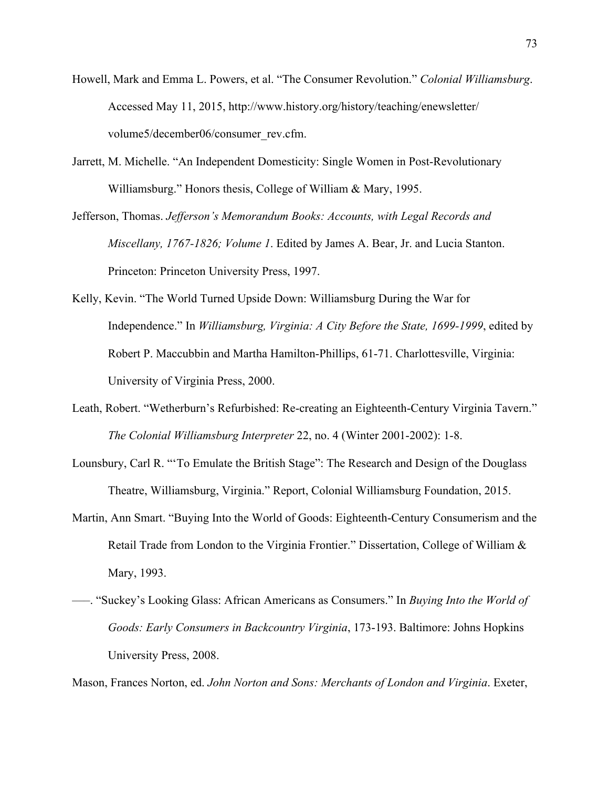- Howell, Mark and Emma L. Powers, et al. "The Consumer Revolution." *Colonial Williamsburg*. Accessed May 11, 2015, http://www.history.org/history/teaching/enewsletter/ volume5/december06/consumer\_rev.cfm.
- Jarrett, M. Michelle. "An Independent Domesticity: Single Women in Post-Revolutionary Williamsburg." Honors thesis, College of William & Mary, 1995.
- Jefferson, Thomas. *Jefferson's Memorandum Books: Accounts, with Legal Records and Miscellany, 1767-1826; Volume 1*. Edited by James A. Bear, Jr. and Lucia Stanton. Princeton: Princeton University Press, 1997.
- Kelly, Kevin. "The World Turned Upside Down: Williamsburg During the War for Independence." In *Williamsburg, Virginia: A City Before the State, 1699-1999*, edited by Robert P. Maccubbin and Martha Hamilton-Phillips, 61-71. Charlottesville, Virginia: University of Virginia Press, 2000.
- Leath, Robert. "Wetherburn's Refurbished: Re-creating an Eighteenth-Century Virginia Tavern." *The Colonial Williamsburg Interpreter* 22, no. 4 (Winter 2001-2002): 1-8.
- Lounsbury, Carl R. "'To Emulate the British Stage": The Research and Design of the Douglass Theatre, Williamsburg, Virginia." Report, Colonial Williamsburg Foundation, 2015.
- Martin, Ann Smart. "Buying Into the World of Goods: Eighteenth-Century Consumerism and the Retail Trade from London to the Virginia Frontier." Dissertation, College of William & Mary, 1993.
- –––. "Suckey's Looking Glass: African Americans as Consumers." In *Buying Into the World of Goods: Early Consumers in Backcountry Virginia*, 173-193. Baltimore: Johns Hopkins University Press, 2008.

Mason, Frances Norton, ed. *John Norton and Sons: Merchants of London and Virginia*. Exeter,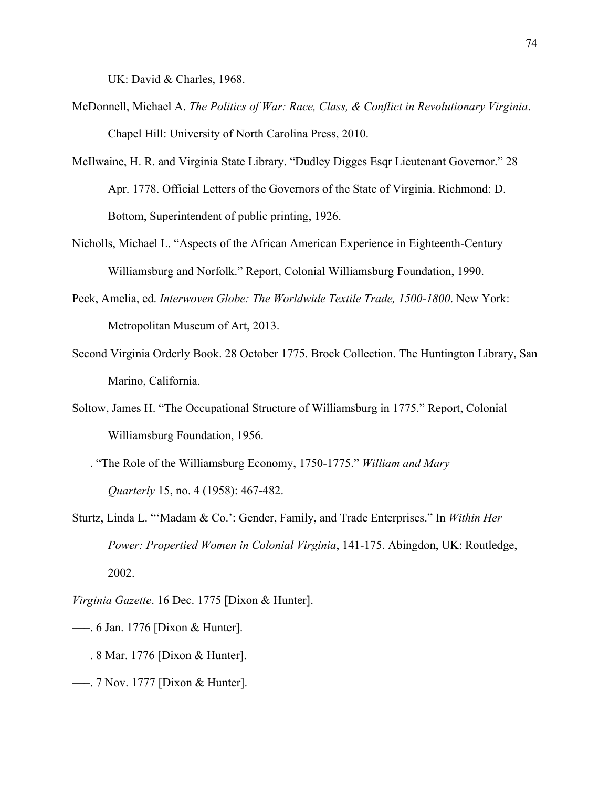UK: David & Charles, 1968.

- McDonnell, Michael A. *The Politics of War: Race, Class, & Conflict in Revolutionary Virginia*. Chapel Hill: University of North Carolina Press, 2010.
- McIlwaine, H. R. and Virginia State Library. "Dudley Digges Esqr Lieutenant Governor." 28 Apr. 1778. Official Letters of the Governors of the State of Virginia. Richmond: D. Bottom, Superintendent of public printing, 1926.
- Nicholls, Michael L. "Aspects of the African American Experience in Eighteenth-Century Williamsburg and Norfolk." Report, Colonial Williamsburg Foundation, 1990.
- Peck, Amelia, ed. *Interwoven Globe: The Worldwide Textile Trade, 1500-1800*. New York: Metropolitan Museum of Art, 2013.
- Second Virginia Orderly Book. 28 October 1775. Brock Collection. The Huntington Library, San Marino, California.
- Soltow, James H. "The Occupational Structure of Williamsburg in 1775." Report, Colonial Williamsburg Foundation, 1956.
- –––. "The Role of the Williamsburg Economy, 1750-1775." *William and Mary Quarterly* 15, no. 4 (1958): 467-482.
- Sturtz, Linda L. "'Madam & Co.': Gender, Family, and Trade Enterprises." In *Within Her Power: Propertied Women in Colonial Virginia*, 141-175. Abingdon, UK: Routledge, 2002.
- *Virginia Gazette*. 16 Dec. 1775 [Dixon & Hunter].
- –––. 6 Jan. 1776 [Dixon & Hunter].
- –––. 8 Mar. 1776 [Dixon & Hunter].
- –––. 7 Nov. 1777 [Dixon & Hunter].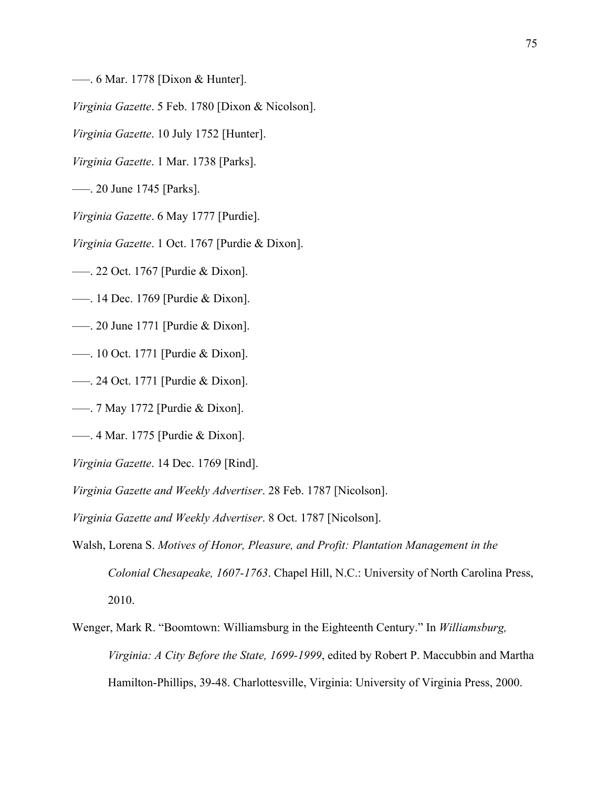–––. 6 Mar. 1778 [Dixon & Hunter].

*Virginia Gazette*. 5 Feb. 1780 [Dixon & Nicolson].

*Virginia Gazette*. 10 July 1752 [Hunter].

*Virginia Gazette*. 1 Mar. 1738 [Parks].

–––. 20 June 1745 [Parks].

*Virginia Gazette*. 6 May 1777 [Purdie].

*Virginia Gazette*. 1 Oct. 1767 [Purdie & Dixon].

–––. 22 Oct. 1767 [Purdie & Dixon].

–––. 14 Dec. 1769 [Purdie & Dixon].

–––. 20 June 1771 [Purdie & Dixon].

–––. 10 Oct. 1771 [Purdie & Dixon].

–––. 24 Oct. 1771 [Purdie & Dixon].

–––. 7 May 1772 [Purdie & Dixon].

–––. 4 Mar. 1775 [Purdie & Dixon].

*Virginia Gazette*. 14 Dec. 1769 [Rind].

*Virginia Gazette and Weekly Advertiser*. 28 Feb. 1787 [Nicolson].

*Virginia Gazette and Weekly Advertiser*. 8 Oct. 1787 [Nicolson].

Walsh, Lorena S. *Motives of Honor, Pleasure, and Profit: Plantation Management in the Colonial Chesapeake, 1607-1763*. Chapel Hill, N.C.: University of North Carolina Press, 2010.

Wenger, Mark R. "Boomtown: Williamsburg in the Eighteenth Century." In *Williamsburg, Virginia: A City Before the State, 1699-1999*, edited by Robert P. Maccubbin and Martha Hamilton-Phillips, 39-48. Charlottesville, Virginia: University of Virginia Press, 2000.